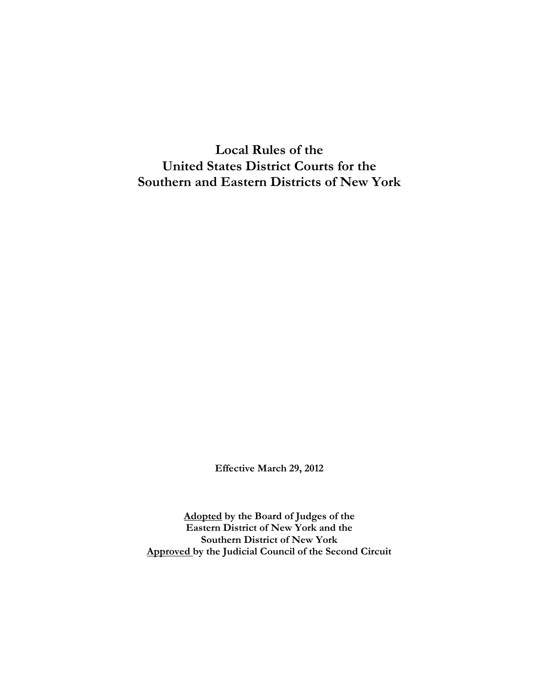**Local Rules of the United States District Courts for the Southern and Eastern Districts of New York**

**Effective March 29, 2012**

**Adopted by the Board of Judges of the Eastern District of New York and the Southern District of New York Approved by the Judicial Council of the Second Circuit**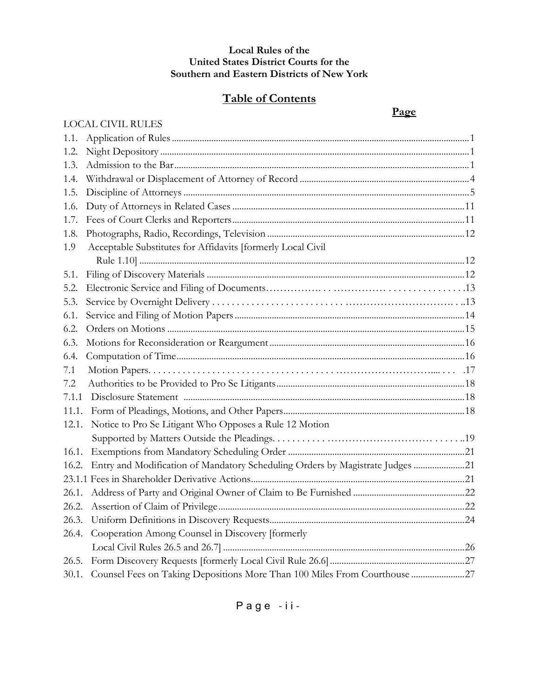# **Local Rules of the United States District Courts for the Southern and Eastern Districts of New York**

# **Table of Contents**

# **Page**

|       | <b>LOCAL CIVIL RULES</b>                                                      |  |
|-------|-------------------------------------------------------------------------------|--|
| 1.1.  |                                                                               |  |
| 1.2.  |                                                                               |  |
| 1.3.  |                                                                               |  |
| 1.4.  |                                                                               |  |
| 1.5.  |                                                                               |  |
| 1.6.  |                                                                               |  |
| 1.7.  |                                                                               |  |
| 1.8.  |                                                                               |  |
| 1.9   | Acceptable Substitutes for Affidavits [formerly Local Civil                   |  |
|       |                                                                               |  |
| 5.1.  |                                                                               |  |
| 5.2.  |                                                                               |  |
| 5.3.  |                                                                               |  |
| 6.1.  |                                                                               |  |
| 6.2.  |                                                                               |  |
| 6.3.  |                                                                               |  |
| 6.4.  |                                                                               |  |
| 7.1   |                                                                               |  |
| 7.2   |                                                                               |  |
| 7.1.1 |                                                                               |  |
| 11.1. |                                                                               |  |
| 12.1. | Notice to Pro Se Litigant Who Opposes a Rule 12 Motion                        |  |
|       |                                                                               |  |
| 16.1. |                                                                               |  |
| 16.2. | Entry and Modification of Mandatory Scheduling Orders by Magistrate Judges 21 |  |
|       |                                                                               |  |
|       |                                                                               |  |
|       |                                                                               |  |
| 26.3. |                                                                               |  |
| 26.4. | Cooperation Among Counsel in Discovery [formerly                              |  |
|       |                                                                               |  |
| 26.5. |                                                                               |  |
| 30.1. | Counsel Fees on Taking Depositions More Than 100 Miles From Courthouse 27     |  |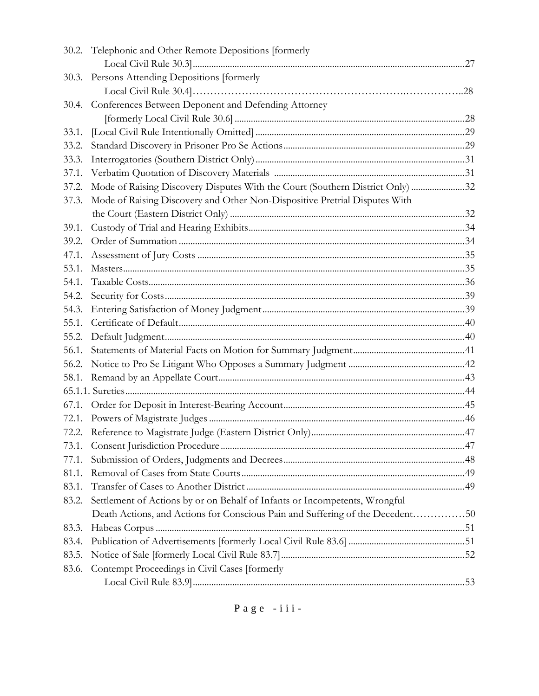|       | 30.2. Telephonic and Other Remote Depositions [formerly                       |  |
|-------|-------------------------------------------------------------------------------|--|
|       |                                                                               |  |
|       | 30.3. Persons Attending Depositions [formerly                                 |  |
|       | Local Civil Rule 30.4. 28                                                     |  |
|       | 30.4. Conferences Between Deponent and Defending Attorney                     |  |
|       |                                                                               |  |
| 33.1. |                                                                               |  |
| 33.2. |                                                                               |  |
| 33.3. |                                                                               |  |
| 37.1. |                                                                               |  |
| 37.2. | Mode of Raising Discovery Disputes With the Court (Southern District Only) 32 |  |
| 37.3. | Mode of Raising Discovery and Other Non-Dispositive Pretrial Disputes With    |  |
|       |                                                                               |  |
| 39.1. |                                                                               |  |
| 39.2. |                                                                               |  |
| 47.1. |                                                                               |  |
| 53.1. |                                                                               |  |
| 54.1. |                                                                               |  |
| 54.2. |                                                                               |  |
| 54.3. |                                                                               |  |
| 55.1. |                                                                               |  |
| 55.2. |                                                                               |  |
| 56.1. |                                                                               |  |
| 56.2. |                                                                               |  |
| 58.1. |                                                                               |  |
|       |                                                                               |  |
| 67.1. |                                                                               |  |
|       |                                                                               |  |
|       |                                                                               |  |
|       |                                                                               |  |
| 77.1. |                                                                               |  |
| 81.1. |                                                                               |  |
| 83.1. |                                                                               |  |
| 83.2. | Settlement of Actions by or on Behalf of Infants or Incompetents, Wrongful    |  |
|       | Death Actions, and Actions for Conscious Pain and Suffering of the Decedent50 |  |
| 83.3. |                                                                               |  |
| 83.4. |                                                                               |  |
| 83.5. |                                                                               |  |
| 83.6. | Contempt Proceedings in Civil Cases [formerly                                 |  |
|       |                                                                               |  |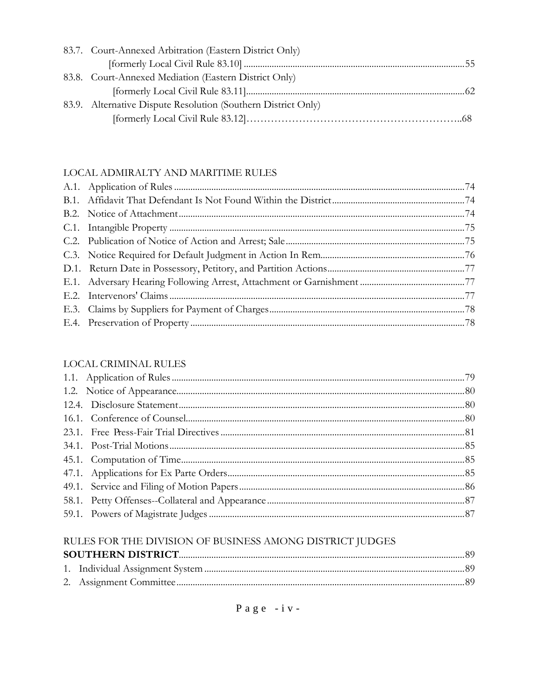| 83.7. Court-Annexed Arbitration (Eastern District Only)       |  |
|---------------------------------------------------------------|--|
|                                                               |  |
| 83.8. Court-Annexed Mediation (Eastern District Only)         |  |
|                                                               |  |
| 83.9. Alternative Dispute Resolution (Southern District Only) |  |
|                                                               |  |

# LOCAL ADMIRALTY AND MARITIME RULES

# **LOCAL CRIMINAL RULES**

# RULES FOR THE DIVISION OF BUSINESS AMONG DISTRICT JUDGES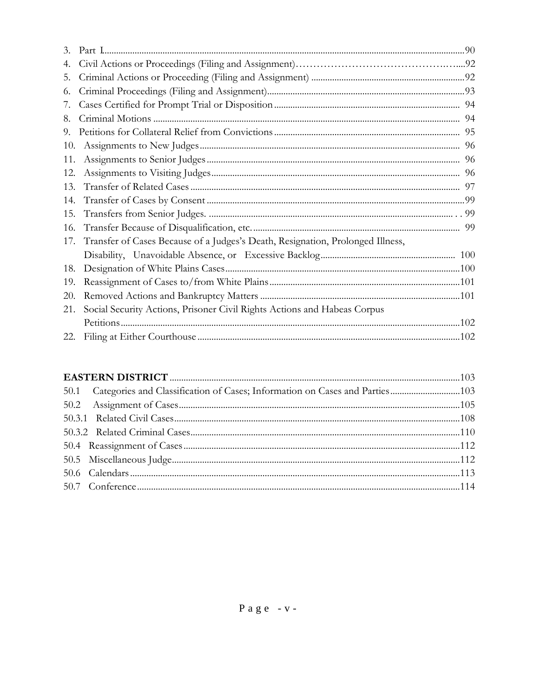| 3.  |                                                                                |  |
|-----|--------------------------------------------------------------------------------|--|
| 4.  |                                                                                |  |
| 5.  |                                                                                |  |
| 6.  |                                                                                |  |
|     |                                                                                |  |
| 8.  |                                                                                |  |
| 9.  |                                                                                |  |
| 10. |                                                                                |  |
| 11. |                                                                                |  |
| 12. |                                                                                |  |
| 13. |                                                                                |  |
| 14. |                                                                                |  |
| 15. |                                                                                |  |
| 16. |                                                                                |  |
| 17. | Transfer of Cases Because of a Judges's Death, Resignation, Prolonged Illness, |  |
|     |                                                                                |  |
| 18. |                                                                                |  |
| 19. |                                                                                |  |
| 20. |                                                                                |  |
| 21. | Social Security Actions, Prisoner Civil Rights Actions and Habeas Corpus       |  |
|     |                                                                                |  |
| 22. |                                                                                |  |

|  | 50.1 Categories and Classification of Cases; Information on Cases and Parties103 |  |
|--|----------------------------------------------------------------------------------|--|
|  |                                                                                  |  |
|  |                                                                                  |  |
|  |                                                                                  |  |
|  |                                                                                  |  |
|  |                                                                                  |  |
|  |                                                                                  |  |
|  |                                                                                  |  |
|  |                                                                                  |  |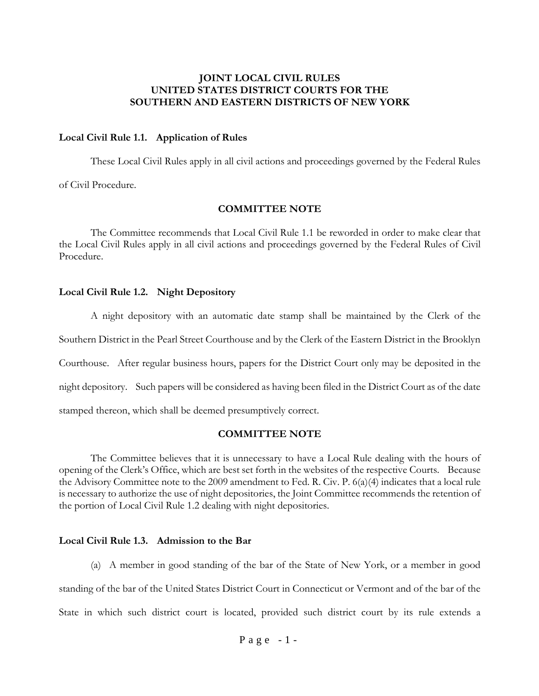# **JOINT LOCAL CIVIL RULES UNITED STATES DISTRICT COURTS FOR THE SOUTHERN AND EASTERN DISTRICTS OF NEW YORK**

# **Local Civil Rule 1.1. Application of Rules**

These Local Civil Rules apply in all civil actions and proceedings governed by the Federal Rules

of Civil Procedure.

#### **COMMITTEE NOTE**

The Committee recommends that Local Civil Rule 1.1 be reworded in order to make clear that the Local Civil Rules apply in all civil actions and proceedings governed by the Federal Rules of Civil Procedure.

## **Local Civil Rule 1.2. Night Depository**

A night depository with an automatic date stamp shall be maintained by the Clerk of the Southern District in the Pearl Street Courthouse and by the Clerk of the Eastern District in the Brooklyn Courthouse. After regular business hours, papers for the District Court only may be deposited in the night depository. Such papers will be considered as having been filed in the District Court as of the date stamped thereon, which shall be deemed presumptively correct.

## **COMMITTEE NOTE**

The Committee believes that it is unnecessary to have a Local Rule dealing with the hours of opening of the Clerk's Office, which are best set forth in the websites of the respective Courts. Because the Advisory Committee note to the 2009 amendment to Fed. R. Civ. P. 6(a)(4) indicates that a local rule is necessary to authorize the use of night depositories, the Joint Committee recommends the retention of the portion of Local Civil Rule 1.2 dealing with night depositories.

# **Local Civil Rule 1.3. Admission to the Bar**

(a) A member in good standing of the bar of the State of New York, or a member in good standing of the bar of the United States District Court in Connecticut or Vermont and of the bar of the State in which such district court is located, provided such district court by its rule extends a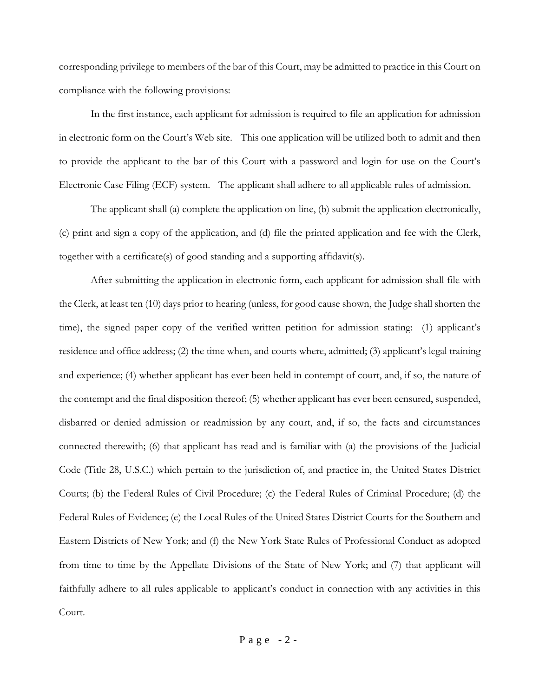corresponding privilege to members of the bar of this Court, may be admitted to practice in this Court on compliance with the following provisions:

In the first instance, each applicant for admission is required to file an application for admission in electronic form on the Court's Web site. This one application will be utilized both to admit and then to provide the applicant to the bar of this Court with a password and login for use on the Court's Electronic Case Filing (ECF) system. The applicant shall adhere to all applicable rules of admission.

The applicant shall (a) complete the application on-line, (b) submit the application electronically, (c) print and sign a copy of the application, and (d) file the printed application and fee with the Clerk, together with a certificate(s) of good standing and a supporting affidavit(s).

After submitting the application in electronic form, each applicant for admission shall file with the Clerk, at least ten (10) days prior to hearing (unless, for good cause shown, the Judge shall shorten the time), the signed paper copy of the verified written petition for admission stating: (1) applicant's residence and office address; (2) the time when, and courts where, admitted; (3) applicant's legal training and experience; (4) whether applicant has ever been held in contempt of court, and, if so, the nature of the contempt and the final disposition thereof; (5) whether applicant has ever been censured, suspended, disbarred or denied admission or readmission by any court, and, if so, the facts and circumstances connected therewith; (6) that applicant has read and is familiar with (a) the provisions of the Judicial Code (Title 28, U.S.C.) which pertain to the jurisdiction of, and practice in, the United States District Courts; (b) the Federal Rules of Civil Procedure; (c) the Federal Rules of Criminal Procedure; (d) the Federal Rules of Evidence; (e) the Local Rules of the United States District Courts for the Southern and Eastern Districts of New York; and (f) the New York State Rules of Professional Conduct as adopted from time to time by the Appellate Divisions of the State of New York; and (7) that applicant will faithfully adhere to all rules applicable to applicant's conduct in connection with any activities in this Court.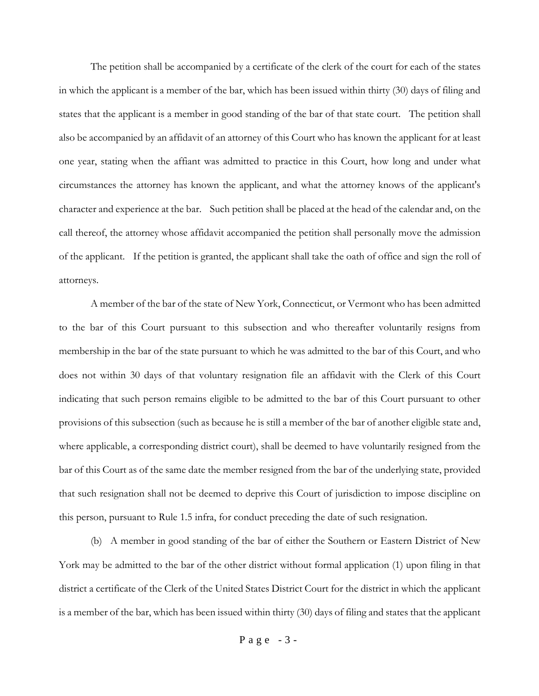The petition shall be accompanied by a certificate of the clerk of the court for each of the states in which the applicant is a member of the bar, which has been issued within thirty (30) days of filing and states that the applicant is a member in good standing of the bar of that state court. The petition shall also be accompanied by an affidavit of an attorney of this Court who has known the applicant for at least one year, stating when the affiant was admitted to practice in this Court, how long and under what circumstances the attorney has known the applicant, and what the attorney knows of the applicant's character and experience at the bar. Such petition shall be placed at the head of the calendar and, on the call thereof, the attorney whose affidavit accompanied the petition shall personally move the admission of the applicant. If the petition is granted, the applicant shall take the oath of office and sign the roll of attorneys.

A member of the bar of the state of New York, Connecticut, or Vermont who has been admitted to the bar of this Court pursuant to this subsection and who thereafter voluntarily resigns from membership in the bar of the state pursuant to which he was admitted to the bar of this Court, and who does not within 30 days of that voluntary resignation file an affidavit with the Clerk of this Court indicating that such person remains eligible to be admitted to the bar of this Court pursuant to other provisions of this subsection (such as because he is still a member of the bar of another eligible state and, where applicable, a corresponding district court), shall be deemed to have voluntarily resigned from the bar of this Court as of the same date the member resigned from the bar of the underlying state, provided that such resignation shall not be deemed to deprive this Court of jurisdiction to impose discipline on this person, pursuant to Rule 1.5 infra, for conduct preceding the date of such resignation.

(b) A member in good standing of the bar of either the Southern or Eastern District of New York may be admitted to the bar of the other district without formal application (1) upon filing in that district a certificate of the Clerk of the United States District Court for the district in which the applicant is a member of the bar, which has been issued within thirty (30) days of filing and states that the applicant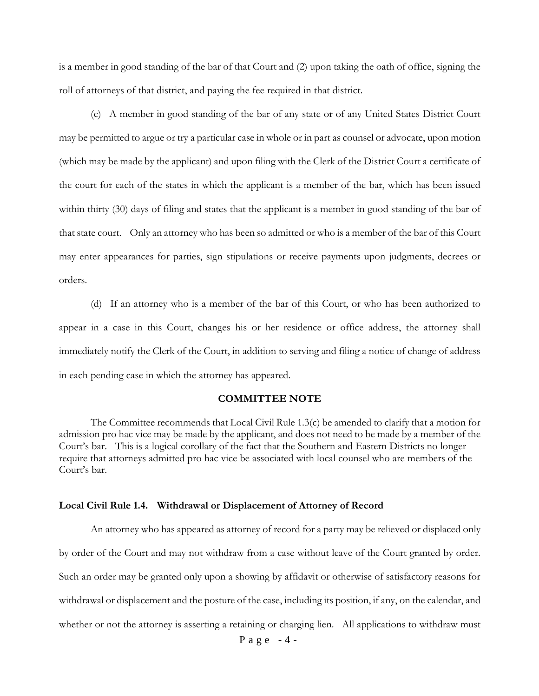is a member in good standing of the bar of that Court and (2) upon taking the oath of office, signing the roll of attorneys of that district, and paying the fee required in that district.

(c) A member in good standing of the bar of any state or of any United States District Court may be permitted to argue or try a particular case in whole or in part as counsel or advocate, upon motion (which may be made by the applicant) and upon filing with the Clerk of the District Court a certificate of the court for each of the states in which the applicant is a member of the bar, which has been issued within thirty (30) days of filing and states that the applicant is a member in good standing of the bar of that state court. Only an attorney who has been so admitted or who is a member of the bar of this Court may enter appearances for parties, sign stipulations or receive payments upon judgments, decrees or orders.

(d) If an attorney who is a member of the bar of this Court, or who has been authorized to appear in a case in this Court, changes his or her residence or office address, the attorney shall immediately notify the Clerk of the Court, in addition to serving and filing a notice of change of address in each pending case in which the attorney has appeared.

#### **COMMITTEE NOTE**

The Committee recommends that Local Civil Rule 1.3(c) be amended to clarify that a motion for admission pro hac vice may be made by the applicant, and does not need to be made by a member of the Court's bar. This is a logical corollary of the fact that the Southern and Eastern Districts no longer require that attorneys admitted pro hac vice be associated with local counsel who are members of the Court's bar.

#### **Local Civil Rule 1.4. Withdrawal or Displacement of Attorney of Record**

An attorney who has appeared as attorney of record for a party may be relieved or displaced only by order of the Court and may not withdraw from a case without leave of the Court granted by order. Such an order may be granted only upon a showing by affidavit or otherwise of satisfactory reasons for withdrawal or displacement and the posture of the case, including its position, if any, on the calendar, and whether or not the attorney is asserting a retaining or charging lien. All applications to withdraw must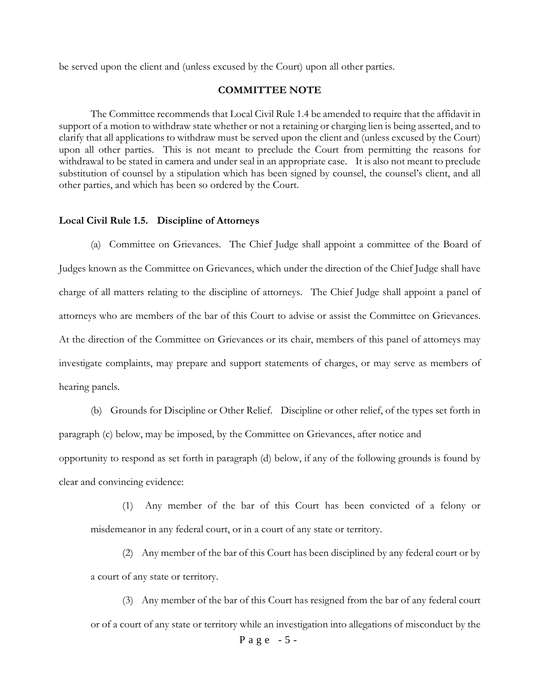be served upon the client and (unless excused by the Court) upon all other parties.

#### **COMMITTEE NOTE**

The Committee recommends that Local Civil Rule 1.4 be amended to require that the affidavit in support of a motion to withdraw state whether or not a retaining or charging lien is being asserted, and to clarify that all applications to withdraw must be served upon the client and (unless excused by the Court) upon all other parties. This is not meant to preclude the Court from permitting the reasons for withdrawal to be stated in camera and under seal in an appropriate case. It is also not meant to preclude substitution of counsel by a stipulation which has been signed by counsel, the counsel's client, and all other parties, and which has been so ordered by the Court.

#### **Local Civil Rule 1.5. Discipline of Attorneys**

(a) Committee on Grievances. The Chief Judge shall appoint a committee of the Board of Judges known as the Committee on Grievances, which under the direction of the Chief Judge shall have charge of all matters relating to the discipline of attorneys. The Chief Judge shall appoint a panel of attorneys who are members of the bar of this Court to advise or assist the Committee on Grievances. At the direction of the Committee on Grievances or its chair, members of this panel of attorneys may investigate complaints, may prepare and support statements of charges, or may serve as members of hearing panels.

(b) Grounds for Discipline or Other Relief. Discipline or other relief, of the types set forth in paragraph (c) below, may be imposed, by the Committee on Grievances, after notice and opportunity to respond as set forth in paragraph (d) below, if any of the following grounds is found by clear and convincing evidence:

(1) Any member of the bar of this Court has been convicted of a felony or misdemeanor in any federal court, or in a court of any state or territory.

(2) Any member of the bar of this Court has been disciplined by any federal court or by a court of any state or territory.

Page  $-5$  -(3) Any member of the bar of this Court has resigned from the bar of any federal court or of a court of any state or territory while an investigation into allegations of misconduct by the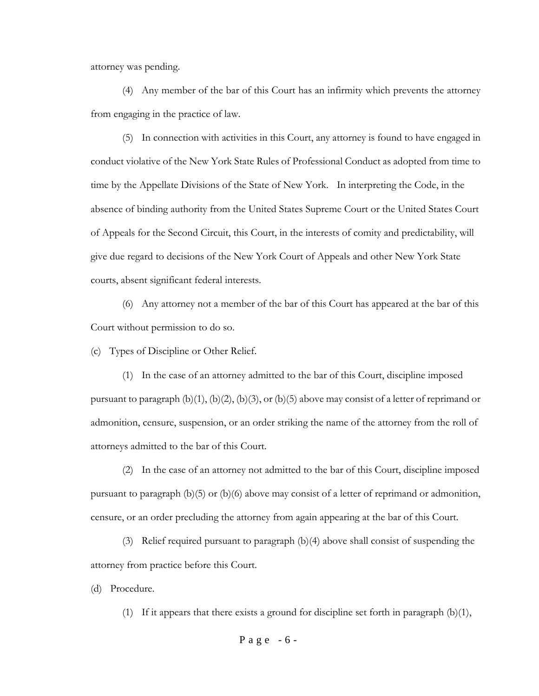attorney was pending.

(4) Any member of the bar of this Court has an infirmity which prevents the attorney from engaging in the practice of law.

(5) In connection with activities in this Court, any attorney is found to have engaged in conduct violative of the New York State Rules of Professional Conduct as adopted from time to time by the Appellate Divisions of the State of New York. In interpreting the Code, in the absence of binding authority from the United States Supreme Court or the United States Court of Appeals for the Second Circuit, this Court, in the interests of comity and predictability, will give due regard to decisions of the New York Court of Appeals and other New York State courts, absent significant federal interests.

(6) Any attorney not a member of the bar of this Court has appeared at the bar of this Court without permission to do so.

(c) Types of Discipline or Other Relief.

(1) In the case of an attorney admitted to the bar of this Court, discipline imposed pursuant to paragraph  $(b)(1)$ ,  $(b)(2)$ ,  $(b)(3)$ , or  $(b)(5)$  above may consist of a letter of reprimand or admonition, censure, suspension, or an order striking the name of the attorney from the roll of attorneys admitted to the bar of this Court.

(2) In the case of an attorney not admitted to the bar of this Court, discipline imposed pursuant to paragraph (b)(5) or (b)(6) above may consist of a letter of reprimand or admonition, censure, or an order precluding the attorney from again appearing at the bar of this Court.

(3) Relief required pursuant to paragraph (b)(4) above shall consist of suspending the attorney from practice before this Court.

(d) Procedure.

(1) If it appears that there exists a ground for discipline set forth in paragraph  $(b)(1)$ ,

Page  $-6$  -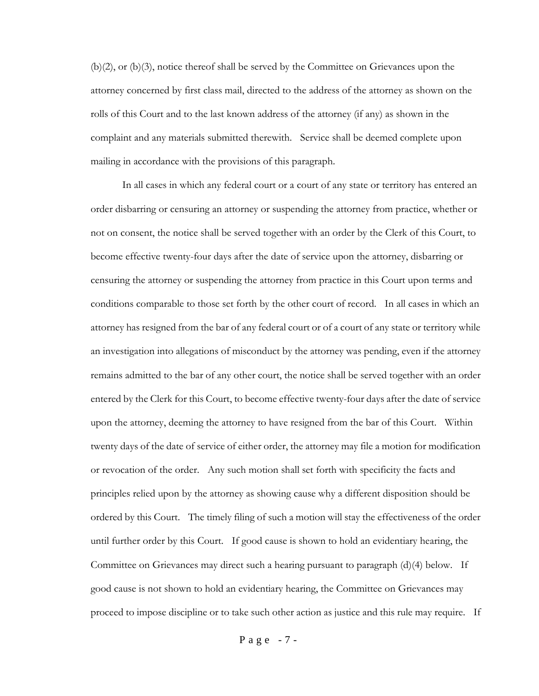(b)(2), or (b)(3), notice thereof shall be served by the Committee on Grievances upon the attorney concerned by first class mail, directed to the address of the attorney as shown on the rolls of this Court and to the last known address of the attorney (if any) as shown in the complaint and any materials submitted therewith. Service shall be deemed complete upon mailing in accordance with the provisions of this paragraph.

In all cases in which any federal court or a court of any state or territory has entered an order disbarring or censuring an attorney or suspending the attorney from practice, whether or not on consent, the notice shall be served together with an order by the Clerk of this Court, to become effective twenty-four days after the date of service upon the attorney, disbarring or censuring the attorney or suspending the attorney from practice in this Court upon terms and conditions comparable to those set forth by the other court of record. In all cases in which an attorney has resigned from the bar of any federal court or of a court of any state or territory while an investigation into allegations of misconduct by the attorney was pending, even if the attorney remains admitted to the bar of any other court, the notice shall be served together with an order entered by the Clerk for this Court, to become effective twenty-four days after the date of service upon the attorney, deeming the attorney to have resigned from the bar of this Court. Within twenty days of the date of service of either order, the attorney may file a motion for modification or revocation of the order. Any such motion shall set forth with specificity the facts and principles relied upon by the attorney as showing cause why a different disposition should be ordered by this Court. The timely filing of such a motion will stay the effectiveness of the order until further order by this Court. If good cause is shown to hold an evidentiary hearing, the Committee on Grievances may direct such a hearing pursuant to paragraph (d)(4) below. If good cause is not shown to hold an evidentiary hearing, the Committee on Grievances may proceed to impose discipline or to take such other action as justice and this rule may require. If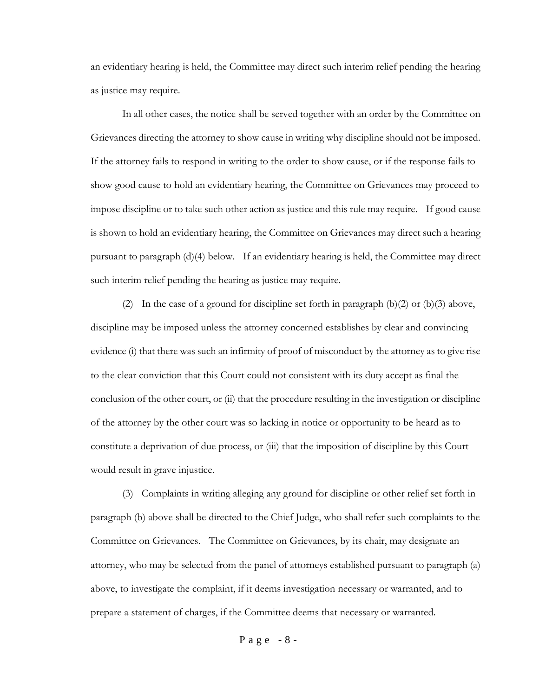an evidentiary hearing is held, the Committee may direct such interim relief pending the hearing as justice may require.

In all other cases, the notice shall be served together with an order by the Committee on Grievances directing the attorney to show cause in writing why discipline should not be imposed. If the attorney fails to respond in writing to the order to show cause, or if the response fails to show good cause to hold an evidentiary hearing, the Committee on Grievances may proceed to impose discipline or to take such other action as justice and this rule may require. If good cause is shown to hold an evidentiary hearing, the Committee on Grievances may direct such a hearing pursuant to paragraph (d)(4) below. If an evidentiary hearing is held, the Committee may direct such interim relief pending the hearing as justice may require.

(2) In the case of a ground for discipline set forth in paragraph  $(b)(2)$  or  $(b)(3)$  above, discipline may be imposed unless the attorney concerned establishes by clear and convincing evidence (i) that there was such an infirmity of proof of misconduct by the attorney as to give rise to the clear conviction that this Court could not consistent with its duty accept as final the conclusion of the other court, or (ii) that the procedure resulting in the investigation or discipline of the attorney by the other court was so lacking in notice or opportunity to be heard as to constitute a deprivation of due process, or (iii) that the imposition of discipline by this Court would result in grave injustice.

(3) Complaints in writing alleging any ground for discipline or other relief set forth in paragraph (b) above shall be directed to the Chief Judge, who shall refer such complaints to the Committee on Grievances. The Committee on Grievances, by its chair, may designate an attorney, who may be selected from the panel of attorneys established pursuant to paragraph (a) above, to investigate the complaint, if it deems investigation necessary or warranted, and to prepare a statement of charges, if the Committee deems that necessary or warranted.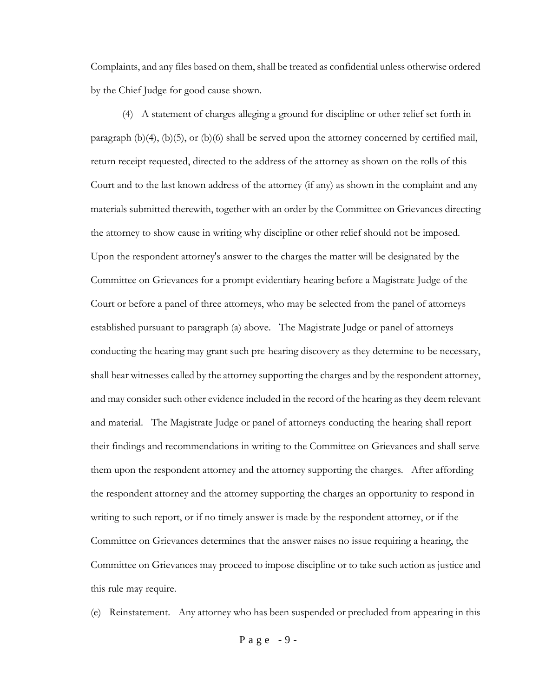Complaints, and any files based on them, shall be treated as confidential unless otherwise ordered by the Chief Judge for good cause shown.

(4) A statement of charges alleging a ground for discipline or other relief set forth in paragraph  $(b)(4)$ ,  $(b)(5)$ , or  $(b)(6)$  shall be served upon the attorney concerned by certified mail, return receipt requested, directed to the address of the attorney as shown on the rolls of this Court and to the last known address of the attorney (if any) as shown in the complaint and any materials submitted therewith, together with an order by the Committee on Grievances directing the attorney to show cause in writing why discipline or other relief should not be imposed. Upon the respondent attorney's answer to the charges the matter will be designated by the Committee on Grievances for a prompt evidentiary hearing before a Magistrate Judge of the Court or before a panel of three attorneys, who may be selected from the panel of attorneys established pursuant to paragraph (a) above. The Magistrate Judge or panel of attorneys conducting the hearing may grant such pre-hearing discovery as they determine to be necessary, shall hear witnesses called by the attorney supporting the charges and by the respondent attorney, and may consider such other evidence included in the record of the hearing as they deem relevant and material. The Magistrate Judge or panel of attorneys conducting the hearing shall report their findings and recommendations in writing to the Committee on Grievances and shall serve them upon the respondent attorney and the attorney supporting the charges. After affording the respondent attorney and the attorney supporting the charges an opportunity to respond in writing to such report, or if no timely answer is made by the respondent attorney, or if the Committee on Grievances determines that the answer raises no issue requiring a hearing, the Committee on Grievances may proceed to impose discipline or to take such action as justice and this rule may require.

(e) Reinstatement. Any attorney who has been suspended or precluded from appearing in this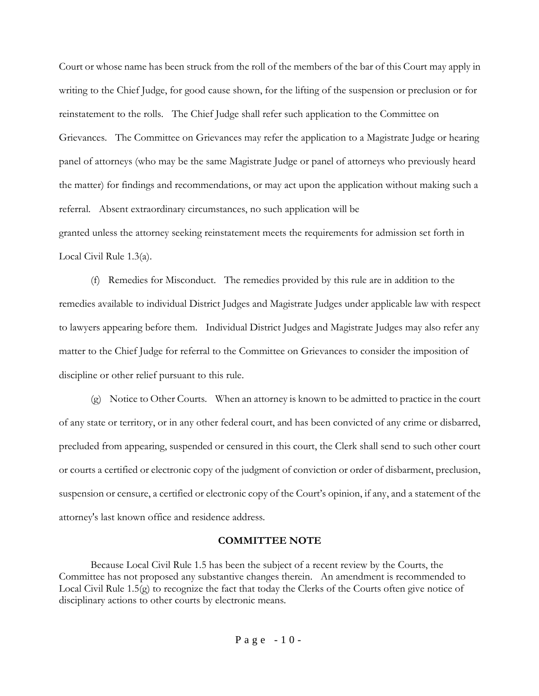Court or whose name has been struck from the roll of the members of the bar of this Court may apply in writing to the Chief Judge, for good cause shown, for the lifting of the suspension or preclusion or for reinstatement to the rolls. The Chief Judge shall refer such application to the Committee on Grievances. The Committee on Grievances may refer the application to a Magistrate Judge or hearing panel of attorneys (who may be the same Magistrate Judge or panel of attorneys who previously heard the matter) for findings and recommendations, or may act upon the application without making such a referral. Absent extraordinary circumstances, no such application will be granted unless the attorney seeking reinstatement meets the requirements for admission set forth in Local Civil Rule 1.3(a).

(f) Remedies for Misconduct. The remedies provided by this rule are in addition to the remedies available to individual District Judges and Magistrate Judges under applicable law with respect to lawyers appearing before them. Individual District Judges and Magistrate Judges may also refer any matter to the Chief Judge for referral to the Committee on Grievances to consider the imposition of discipline or other relief pursuant to this rule.

(g) Notice to Other Courts. When an attorney is known to be admitted to practice in the court of any state or territory, or in any other federal court, and has been convicted of any crime or disbarred, precluded from appearing, suspended or censured in this court, the Clerk shall send to such other court or courts a certified or electronic copy of the judgment of conviction or order of disbarment, preclusion, suspension or censure, a certified or electronic copy of the Court's opinion, if any, and a statement of the attorney's last known office and residence address.

# **COMMITTEE NOTE**

Because Local Civil Rule 1.5 has been the subject of a recent review by the Courts, the Committee has not proposed any substantive changes therein. An amendment is recommended to Local Civil Rule 1.5(g) to recognize the fact that today the Clerks of the Courts often give notice of disciplinary actions to other courts by electronic means.

 $P$  a g e  $-10$  -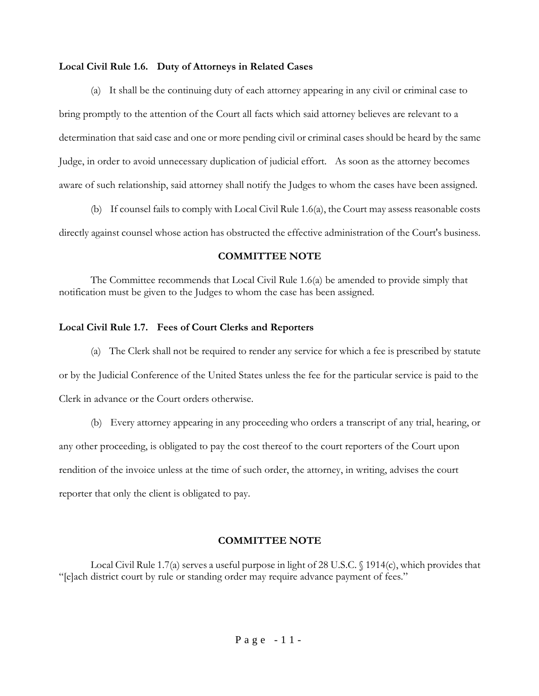## **Local Civil Rule 1.6. Duty of Attorneys in Related Cases**

- (a) It shall be the continuing duty of each attorney appearing in any civil or criminal case to bring promptly to the attention of the Court all facts which said attorney believes are relevant to a determination that said case and one or more pending civil or criminal cases should be heard by the same Judge, in order to avoid unnecessary duplication of judicial effort. As soon as the attorney becomes aware of such relationship, said attorney shall notify the Judges to whom the cases have been assigned.
- (b) If counsel fails to comply with Local Civil Rule 1.6(a), the Court may assess reasonable costs directly against counsel whose action has obstructed the effective administration of the Court's business.

## **COMMITTEE NOTE**

The Committee recommends that Local Civil Rule 1.6(a) be amended to provide simply that notification must be given to the Judges to whom the case has been assigned.

#### **Local Civil Rule 1.7. Fees of Court Clerks and Reporters**

- (a) The Clerk shall not be required to render any service for which a fee is prescribed by statute or by the Judicial Conference of the United States unless the fee for the particular service is paid to the Clerk in advance or the Court orders otherwise.
- (b) Every attorney appearing in any proceeding who orders a transcript of any trial, hearing, or any other proceeding, is obligated to pay the cost thereof to the court reporters of the Court upon rendition of the invoice unless at the time of such order, the attorney, in writing, advises the court reporter that only the client is obligated to pay.

# **COMMITTEE NOTE**

Local Civil Rule 1.7(a) serves a useful purpose in light of 28 U.S.C. § 1914(c), which provides that "[e]ach district court by rule or standing order may require advance payment of fees."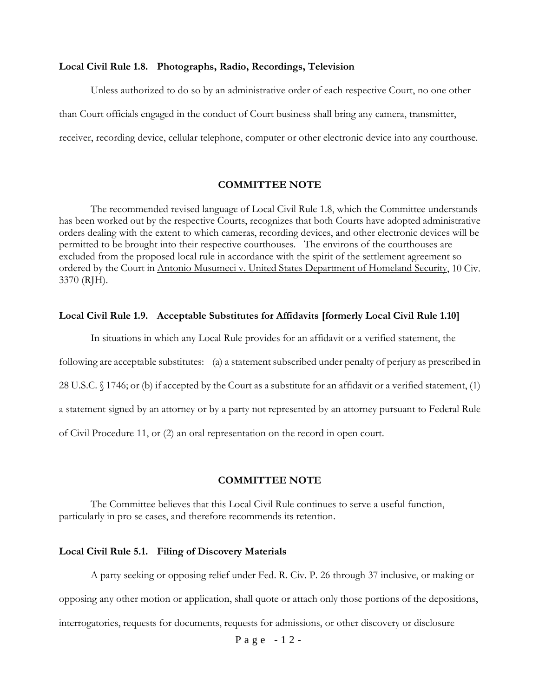#### **Local Civil Rule 1.8. Photographs, Radio, Recordings, Television**

Unless authorized to do so by an administrative order of each respective Court, no one other than Court officials engaged in the conduct of Court business shall bring any camera, transmitter, receiver, recording device, cellular telephone, computer or other electronic device into any courthouse.

## **COMMITTEE NOTE**

The recommended revised language of Local Civil Rule 1.8, which the Committee understands has been worked out by the respective Courts, recognizes that both Courts have adopted administrative orders dealing with the extent to which cameras, recording devices, and other electronic devices will be permitted to be brought into their respective courthouses. The environs of the courthouses are excluded from the proposed local rule in accordance with the spirit of the settlement agreement so ordered by the Court in Antonio Musumeci v. United States Department of Homeland Security, 10 Civ. 3370 (RJH).

#### **Local Civil Rule 1.9. Acceptable Substitutes for Affidavits [formerly Local Civil Rule 1.10]**

In situations in which any Local Rule provides for an affidavit or a verified statement, the following are acceptable substitutes: (a) a statement subscribed under penalty of perjury as prescribed in 28 U.S.C. § 1746; or (b) if accepted by the Court as a substitute for an affidavit or a verified statement, (1) a statement signed by an attorney or by a party not represented by an attorney pursuant to Federal Rule of Civil Procedure 11, or (2) an oral representation on the record in open court.

## **COMMITTEE NOTE**

The Committee believes that this Local Civil Rule continues to serve a useful function, particularly in pro se cases, and therefore recommends its retention.

# **Local Civil Rule 5.1. Filing of Discovery Materials**

A party seeking or opposing relief under Fed. R. Civ. P. 26 through 37 inclusive, or making or opposing any other motion or application, shall quote or attach only those portions of the depositions, interrogatories, requests for documents, requests for admissions, or other discovery or disclosure

Page - 1 2 -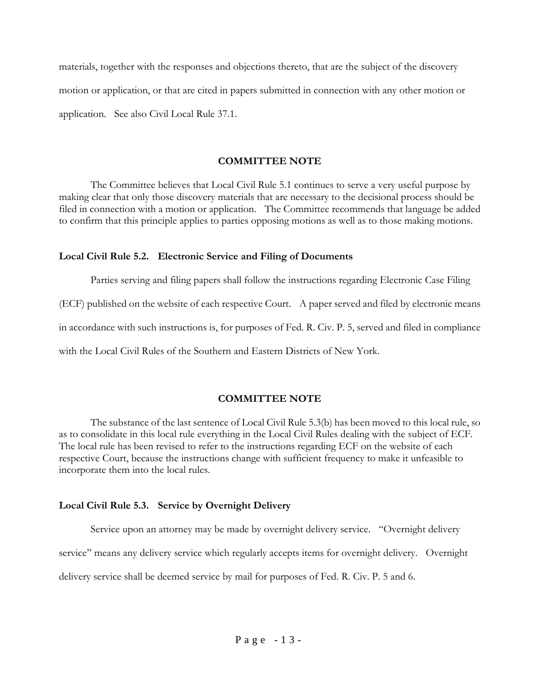materials, together with the responses and objections thereto, that are the subject of the discovery motion or application, or that are cited in papers submitted in connection with any other motion or application. See also Civil Local Rule 37.1.

## **COMMITTEE NOTE**

The Committee believes that Local Civil Rule 5.1 continues to serve a very useful purpose by making clear that only those discovery materials that are necessary to the decisional process should be filed in connection with a motion or application. The Committee recommends that language be added to confirm that this principle applies to parties opposing motions as well as to those making motions.

## **Local Civil Rule 5.2. Electronic Service and Filing of Documents**

Parties serving and filing papers shall follow the instructions regarding Electronic Case Filing (ECF) published on the website of each respective Court. A paper served and filed by electronic means in accordance with such instructions is, for purposes of Fed. R. Civ. P. 5, served and filed in compliance with the Local Civil Rules of the Southern and Eastern Districts of New York.

## **COMMITTEE NOTE**

The substance of the last sentence of Local Civil Rule 5.3(b) has been moved to this local rule, so as to consolidate in this local rule everything in the Local Civil Rules dealing with the subject of ECF. The local rule has been revised to refer to the instructions regarding ECF on the website of each respective Court, because the instructions change with sufficient frequency to make it unfeasible to incorporate them into the local rules.

## **Local Civil Rule 5.3. Service by Overnight Delivery**

Service upon an attorney may be made by overnight delivery service. "Overnight delivery service" means any delivery service which regularly accepts items for overnight delivery. Overnight delivery service shall be deemed service by mail for purposes of Fed. R. Civ. P. 5 and 6.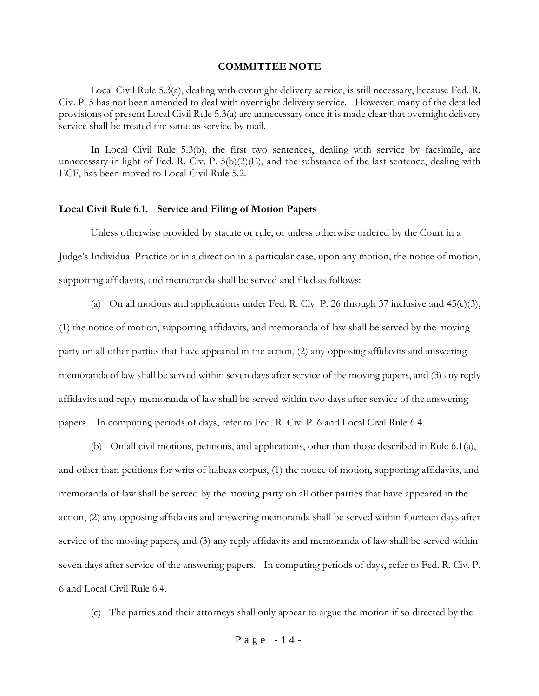#### **COMMITTEE NOTE**

Local Civil Rule 5.3(a), dealing with overnight delivery service, is still necessary, because Fed. R. Civ. P. 5 has not been amended to deal with overnight delivery service. However, many of the detailed provisions of present Local Civil Rule 5.3(a) are unnecessary once it is made clear that overnight delivery service shall be treated the same as service by mail.

In Local Civil Rule 5.3(b), the first two sentences, dealing with service by facsimile, are unnecessary in light of Fed. R. Civ. P. 5(b)(2)(E), and the substance of the last sentence, dealing with ECF, has been moved to Local Civil Rule 5.2.

#### **Local Civil Rule 6.1. Service and Filing of Motion Papers**

Unless otherwise provided by statute or rule, or unless otherwise ordered by the Court in a Judge's Individual Practice or in a direction in a particular case, upon any motion, the notice of motion, supporting affidavits, and memoranda shall be served and filed as follows:

(a) On all motions and applications under Fed. R. Civ. P. 26 through 37 inclusive and  $45(c)(3)$ ,

(1) the notice of motion, supporting affidavits, and memoranda of law shall be served by the moving party on all other parties that have appeared in the action, (2) any opposing affidavits and answering memoranda of law shall be served within seven days after service of the moving papers, and (3) any reply affidavits and reply memoranda of law shall be served within two days after service of the answering papers. In computing periods of days, refer to Fed. R. Civ. P. 6 and Local Civil Rule 6.4.

(b) On all civil motions, petitions, and applications, other than those described in Rule 6.1(a), and other than petitions for writs of habeas corpus, (1) the notice of motion, supporting affidavits, and memoranda of law shall be served by the moving party on all other parties that have appeared in the action, (2) any opposing affidavits and answering memoranda shall be served within fourteen days after service of the moving papers, and (3) any reply affidavits and memoranda of law shall be served within seven days after service of the answering papers. In computing periods of days, refer to Fed. R. Civ. P. 6 and Local Civil Rule 6.4.

(c) The parties and their attorneys shall only appear to argue the motion if so directed by the

Page - 1 4 -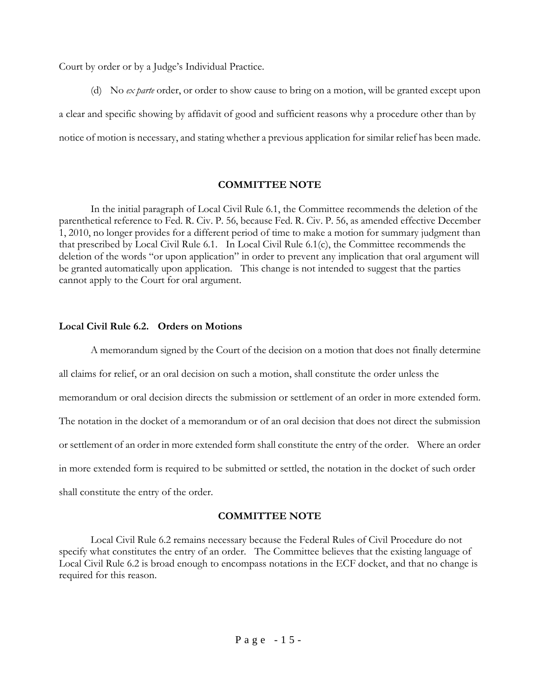Court by order or by a Judge's Individual Practice.

(d) No *ex parte* order, or order to show cause to bring on a motion, will be granted except upon a clear and specific showing by affidavit of good and sufficient reasons why a procedure other than by notice of motion is necessary, and stating whether a previous application for similar relief has been made.

# **COMMITTEE NOTE**

In the initial paragraph of Local Civil Rule 6.1, the Committee recommends the deletion of the parenthetical reference to Fed. R. Civ. P. 56, because Fed. R. Civ. P. 56, as amended effective December 1, 2010, no longer provides for a different period of time to make a motion for summary judgment than that prescribed by Local Civil Rule 6.1. In Local Civil Rule 6.1(c), the Committee recommends the deletion of the words "or upon application" in order to prevent any implication that oral argument will be granted automatically upon application. This change is not intended to suggest that the parties cannot apply to the Court for oral argument.

# **Local Civil Rule 6.2. Orders on Motions**

A memorandum signed by the Court of the decision on a motion that does not finally determine all claims for relief, or an oral decision on such a motion, shall constitute the order unless the memorandum or oral decision directs the submission or settlement of an order in more extended form. The notation in the docket of a memorandum or of an oral decision that does not direct the submission or settlement of an order in more extended form shall constitute the entry of the order. Where an order in more extended form is required to be submitted or settled, the notation in the docket of such order shall constitute the entry of the order.

# **COMMITTEE NOTE**

Local Civil Rule 6.2 remains necessary because the Federal Rules of Civil Procedure do not specify what constitutes the entry of an order. The Committee believes that the existing language of Local Civil Rule 6.2 is broad enough to encompass notations in the ECF docket, and that no change is required for this reason.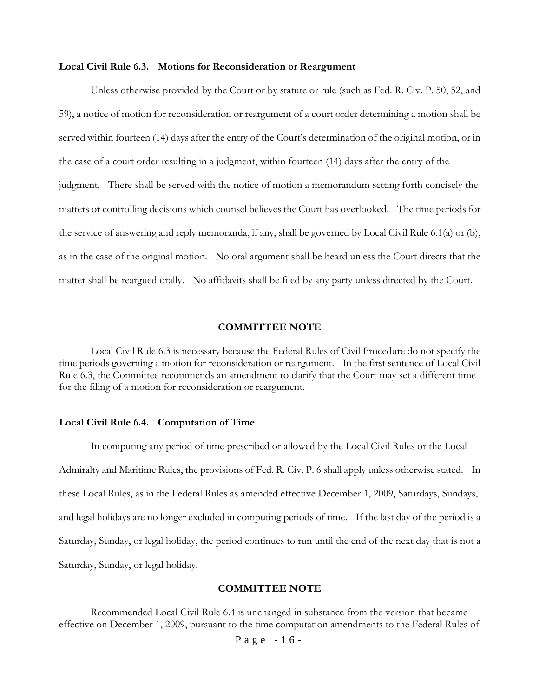#### **Local Civil Rule 6.3. Motions for Reconsideration or Reargument**

Unless otherwise provided by the Court or by statute or rule (such as Fed. R. Civ. P. 50, 52, and 59), a notice of motion for reconsideration or reargument of a court order determining a motion shall be served within fourteen (14) days after the entry of the Court's determination of the original motion, or in the case of a court order resulting in a judgment, within fourteen (14) days after the entry of the judgment. There shall be served with the notice of motion a memorandum setting forth concisely the matters or controlling decisions which counsel believes the Court has overlooked. The time periods for the service of answering and reply memoranda, if any, shall be governed by Local Civil Rule 6.1(a) or (b), as in the case of the original motion. No oral argument shall be heard unless the Court directs that the matter shall be reargued orally. No affidavits shall be filed by any party unless directed by the Court.

#### **COMMITTEE NOTE**

Local Civil Rule 6.3 is necessary because the Federal Rules of Civil Procedure do not specify the time periods governing a motion for reconsideration or reargument. In the first sentence of Local Civil Rule 6.3, the Committee recommends an amendment to clarify that the Court may set a different time for the filing of a motion for reconsideration or reargument.

## **Local Civil Rule 6.4. Computation of Time**

In computing any period of time prescribed or allowed by the Local Civil Rules or the Local Admiralty and Maritime Rules, the provisions of Fed. R. Civ. P. 6 shall apply unless otherwise stated. In these Local Rules, as in the Federal Rules as amended effective December 1, 2009, Saturdays, Sundays, and legal holidays are no longer excluded in computing periods of time. If the last day of the period is a Saturday, Sunday, or legal holiday, the period continues to run until the end of the next day that is not a Saturday, Sunday, or legal holiday.

## **COMMITTEE NOTE**

Recommended Local Civil Rule 6.4 is unchanged in substance from the version that became effective on December 1, 2009, pursuant to the time computation amendments to the Federal Rules of

Page - 1 6 -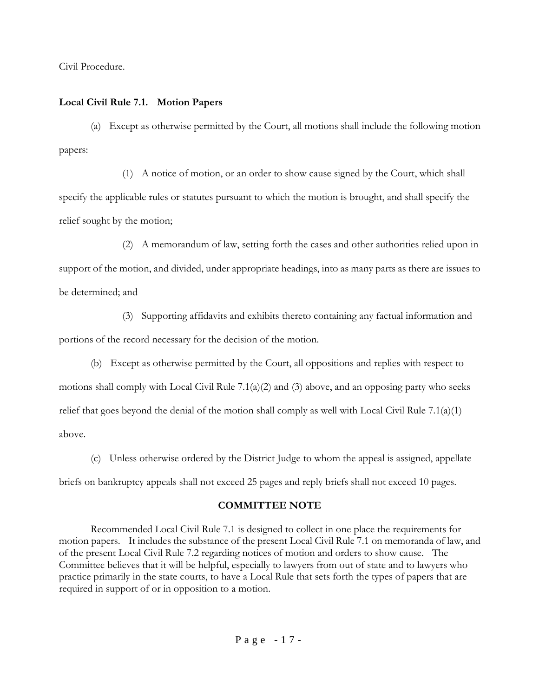Civil Procedure.

# **Local Civil Rule 7.1. Motion Papers**

(a) Except as otherwise permitted by the Court, all motions shall include the following motion papers:

(1) A notice of motion, or an order to show cause signed by the Court, which shall specify the applicable rules or statutes pursuant to which the motion is brought, and shall specify the relief sought by the motion;

(2) A memorandum of law, setting forth the cases and other authorities relied upon in support of the motion, and divided, under appropriate headings, into as many parts as there are issues to be determined; and

(3) Supporting affidavits and exhibits thereto containing any factual information and portions of the record necessary for the decision of the motion.

(b) Except as otherwise permitted by the Court, all oppositions and replies with respect to motions shall comply with Local Civil Rule 7.1(a)(2) and (3) above, and an opposing party who seeks relief that goes beyond the denial of the motion shall comply as well with Local Civil Rule 7.1(a)(1) above.

(c) Unless otherwise ordered by the District Judge to whom the appeal is assigned, appellate briefs on bankruptcy appeals shall not exceed 25 pages and reply briefs shall not exceed 10 pages.

# **COMMITTEE NOTE**

Recommended Local Civil Rule 7.1 is designed to collect in one place the requirements for motion papers. It includes the substance of the present Local Civil Rule 7.1 on memoranda of law, and of the present Local Civil Rule 7.2 regarding notices of motion and orders to show cause. The Committee believes that it will be helpful, especially to lawyers from out of state and to lawyers who practice primarily in the state courts, to have a Local Rule that sets forth the types of papers that are required in support of or in opposition to a motion.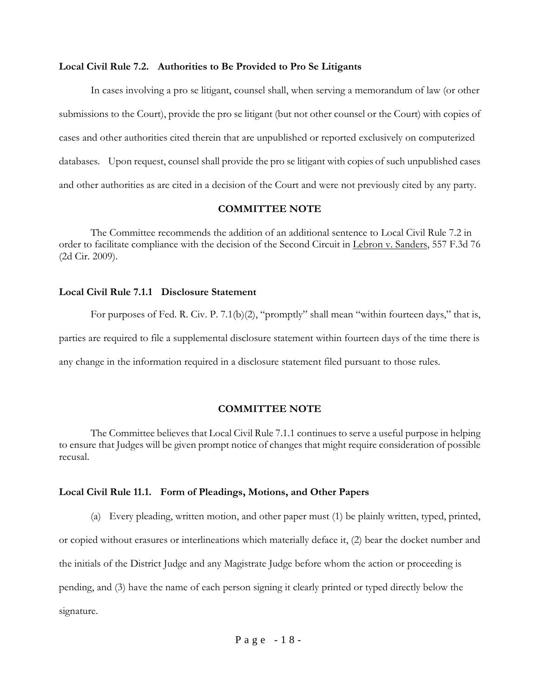#### **Local Civil Rule 7.2. Authorities to Be Provided to Pro Se Litigants**

In cases involving a pro se litigant, counsel shall, when serving a memorandum of law (or other submissions to the Court), provide the pro se litigant (but not other counsel or the Court) with copies of cases and other authorities cited therein that are unpublished or reported exclusively on computerized databases. Upon request, counsel shall provide the pro se litigant with copies of such unpublished cases and other authorities as are cited in a decision of the Court and were not previously cited by any party.

## **COMMITTEE NOTE**

The Committee recommends the addition of an additional sentence to Local Civil Rule 7.2 in order to facilitate compliance with the decision of the Second Circuit in Lebron v. Sanders, 557 F.3d 76 (2d Cir. 2009).

## **Local Civil Rule 7.1.1 Disclosure Statement**

For purposes of Fed. R. Civ. P. 7.1(b)(2), "promptly" shall mean "within fourteen days," that is, parties are required to file a supplemental disclosure statement within fourteen days of the time there is any change in the information required in a disclosure statement filed pursuant to those rules.

# **COMMITTEE NOTE**

The Committee believes that Local Civil Rule 7.1.1 continues to serve a useful purpose in helping to ensure that Judges will be given prompt notice of changes that might require consideration of possible recusal.

## **Local Civil Rule 11.1. Form of Pleadings, Motions, and Other Papers**

(a) Every pleading, written motion, and other paper must (1) be plainly written, typed, printed, or copied without erasures or interlineations which materially deface it, (2) bear the docket number and the initials of the District Judge and any Magistrate Judge before whom the action or proceeding is pending, and (3) have the name of each person signing it clearly printed or typed directly below the signature.

Page - 1 8 -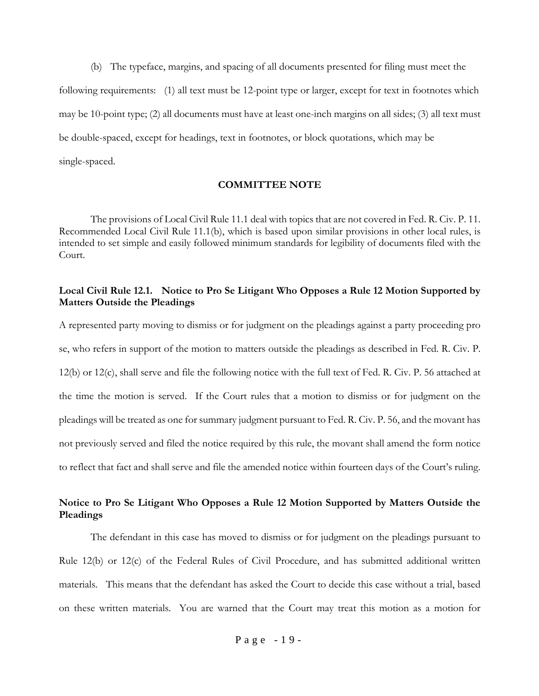(b) The typeface, margins, and spacing of all documents presented for filing must meet the following requirements: (1) all text must be 12-point type or larger, except for text in footnotes which may be 10-point type; (2) all documents must have at least one-inch margins on all sides; (3) all text must be double-spaced, except for headings, text in footnotes, or block quotations, which may be single-spaced.

#### **COMMITTEE NOTE**

The provisions of Local Civil Rule 11.1 deal with topics that are not covered in Fed. R. Civ. P. 11. Recommended Local Civil Rule 11.1(b), which is based upon similar provisions in other local rules, is intended to set simple and easily followed minimum standards for legibility of documents filed with the Court.

# **Local Civil Rule 12.1. Notice to Pro Se Litigant Who Opposes a Rule 12 Motion Supported by Matters Outside the Pleadings**

A represented party moving to dismiss or for judgment on the pleadings against a party proceeding pro se, who refers in support of the motion to matters outside the pleadings as described in Fed. R. Civ. P. 12(b) or 12(c), shall serve and file the following notice with the full text of Fed. R. Civ. P. 56 attached at the time the motion is served. If the Court rules that a motion to dismiss or for judgment on the pleadings will be treated as one for summary judgment pursuant to Fed. R. Civ. P. 56, and the movant has not previously served and filed the notice required by this rule, the movant shall amend the form notice to reflect that fact and shall serve and file the amended notice within fourteen days of the Court's ruling.

# **Notice to Pro Se Litigant Who Opposes a Rule 12 Motion Supported by Matters Outside the Pleadings**

The defendant in this case has moved to dismiss or for judgment on the pleadings pursuant to Rule 12(b) or 12(c) of the Federal Rules of Civil Procedure, and has submitted additional written materials. This means that the defendant has asked the Court to decide this case without a trial, based on these written materials. You are warned that the Court may treat this motion as a motion for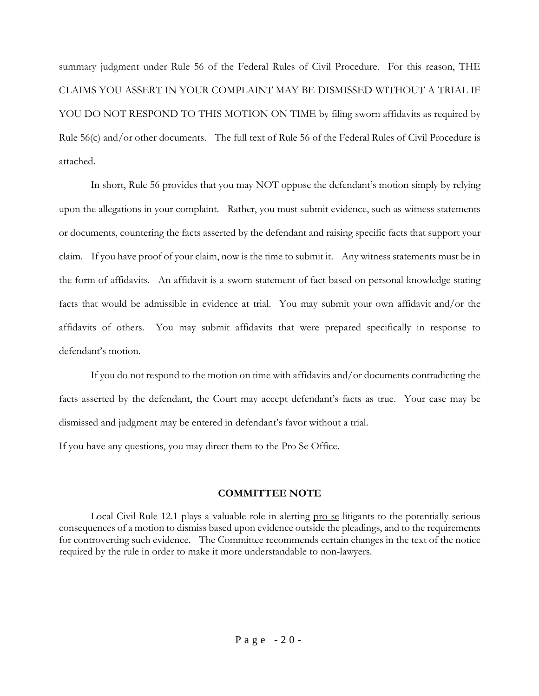summary judgment under Rule 56 of the Federal Rules of Civil Procedure. For this reason, THE CLAIMS YOU ASSERT IN YOUR COMPLAINT MAY BE DISMISSED WITHOUT A TRIAL IF YOU DO NOT RESPOND TO THIS MOTION ON TIME by filing sworn affidavits as required by Rule 56(c) and/or other documents. The full text of Rule 56 of the Federal Rules of Civil Procedure is attached.

In short, Rule 56 provides that you may NOT oppose the defendant's motion simply by relying upon the allegations in your complaint. Rather, you must submit evidence, such as witness statements or documents, countering the facts asserted by the defendant and raising specific facts that support your claim. If you have proof of your claim, now is the time to submit it. Any witness statements must be in the form of affidavits. An affidavit is a sworn statement of fact based on personal knowledge stating facts that would be admissible in evidence at trial. You may submit your own affidavit and/or the affidavits of others. You may submit affidavits that were prepared specifically in response to defendant's motion.

If you do not respond to the motion on time with affidavits and/or documents contradicting the facts asserted by the defendant, the Court may accept defendant's facts as true. Your case may be dismissed and judgment may be entered in defendant's favor without a trial.

If you have any questions, you may direct them to the Pro Se Office.

# **COMMITTEE NOTE**

Local Civil Rule 12.1 plays a valuable role in alerting pro se litigants to the potentially serious consequences of a motion to dismiss based upon evidence outside the pleadings, and to the requirements for controverting such evidence. The Committee recommends certain changes in the text of the notice required by the rule in order to make it more understandable to non-lawyers.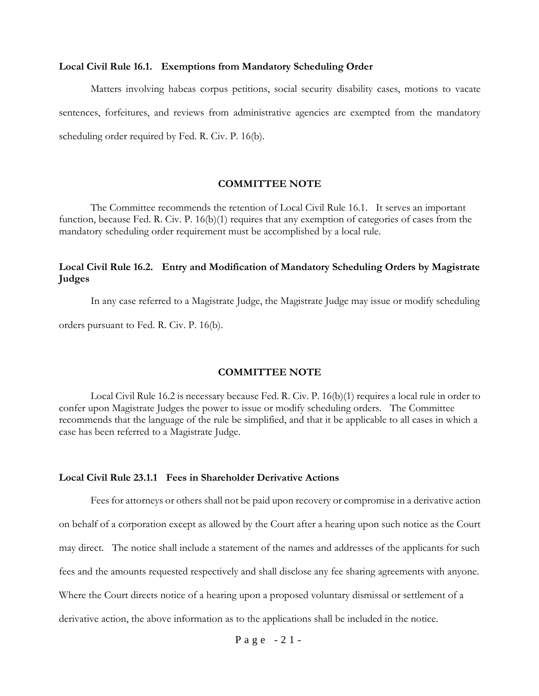#### **Local Civil Rule 16.1. Exemptions from Mandatory Scheduling Order**

Matters involving habeas corpus petitions, social security disability cases, motions to vacate sentences, forfeitures, and reviews from administrative agencies are exempted from the mandatory scheduling order required by Fed. R. Civ. P. 16(b).

#### **COMMITTEE NOTE**

The Committee recommends the retention of Local Civil Rule 16.1. It serves an important function, because Fed. R. Civ. P. 16(b)(1) requires that any exemption of categories of cases from the mandatory scheduling order requirement must be accomplished by a local rule.

## **Local Civil Rule 16.2. Entry and Modification of Mandatory Scheduling Orders by Magistrate Judges**

In any case referred to a Magistrate Judge, the Magistrate Judge may issue or modify scheduling

orders pursuant to Fed. R. Civ. P. 16(b).

#### **COMMITTEE NOTE**

Local Civil Rule 16.2 is necessary because Fed. R. Civ. P. 16(b)(1) requires a local rule in order to confer upon Magistrate Judges the power to issue or modify scheduling orders. The Committee recommends that the language of the rule be simplified, and that it be applicable to all cases in which a case has been referred to a Magistrate Judge.

#### **Local Civil Rule 23.1.1 Fees in Shareholder Derivative Actions**

Fees for attorneys or others shall not be paid upon recovery or compromise in a derivative action on behalf of a corporation except as allowed by the Court after a hearing upon such notice as the Court may direct. The notice shall include a statement of the names and addresses of the applicants for such fees and the amounts requested respectively and shall disclose any fee sharing agreements with anyone. Where the Court directs notice of a hearing upon a proposed voluntary dismissal or settlement of a derivative action, the above information as to the applications shall be included in the notice.

Page - 2 1 -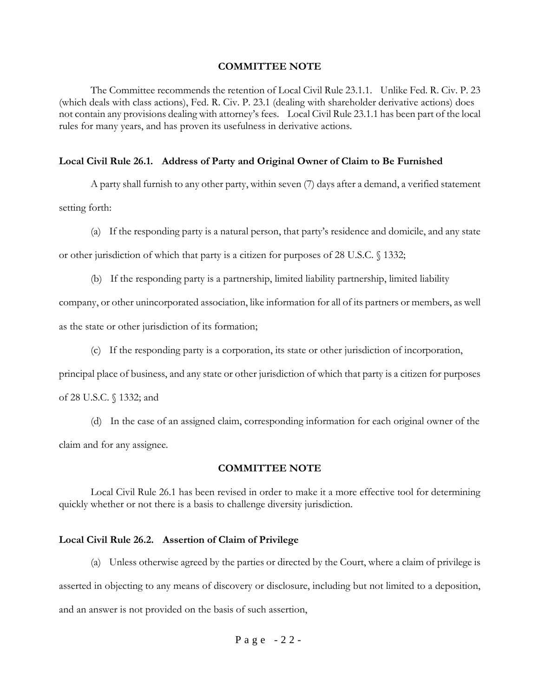#### **COMMITTEE NOTE**

The Committee recommends the retention of Local Civil Rule 23.1.1. Unlike Fed. R. Civ. P. 23 (which deals with class actions), Fed. R. Civ. P. 23.1 (dealing with shareholder derivative actions) does not contain any provisions dealing with attorney's fees. Local Civil Rule 23.1.1 has been part of the local rules for many years, and has proven its usefulness in derivative actions.

## **Local Civil Rule 26.1. Address of Party and Original Owner of Claim to Be Furnished**

A party shall furnish to any other party, within seven (7) days after a demand, a verified statement setting forth:

(a) If the responding party is a natural person, that party's residence and domicile, and any state

or other jurisdiction of which that party is a citizen for purposes of 28 U.S.C. § 1332;

(b) If the responding party is a partnership, limited liability partnership, limited liability

company, or other unincorporated association, like information for all of its partners or members, as well

as the state or other jurisdiction of its formation;

(c) If the responding party is a corporation, its state or other jurisdiction of incorporation,

principal place of business, and any state or other jurisdiction of which that party is a citizen for purposes

of 28 U.S.C. § 1332; and

(d) In the case of an assigned claim, corresponding information for each original owner of the claim and for any assignee.

## **COMMITTEE NOTE**

Local Civil Rule 26.1 has been revised in order to make it a more effective tool for determining quickly whether or not there is a basis to challenge diversity jurisdiction.

#### **Local Civil Rule 26.2. Assertion of Claim of Privilege**

(a) Unless otherwise agreed by the parties or directed by the Court, where a claim of privilege is asserted in objecting to any means of discovery or disclosure, including but not limited to a deposition, and an answer is not provided on the basis of such assertion,

Page - 22 -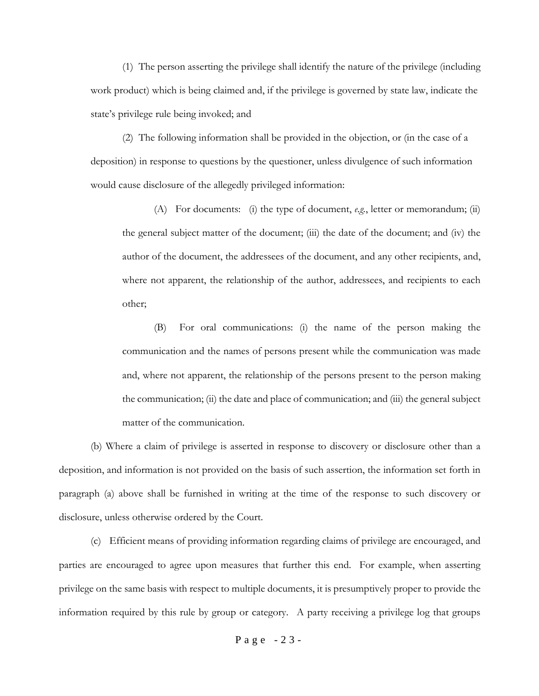(1) The person asserting the privilege shall identify the nature of the privilege (including work product) which is being claimed and, if the privilege is governed by state law, indicate the state's privilege rule being invoked; and

(2) The following information shall be provided in the objection, or (in the case of a deposition) in response to questions by the questioner, unless divulgence of such information would cause disclosure of the allegedly privileged information:

(A) For documents: (i) the type of document, *e.g.*, letter or memorandum; (ii) the general subject matter of the document; (iii) the date of the document; and (iv) the author of the document, the addressees of the document, and any other recipients, and, where not apparent, the relationship of the author, addressees, and recipients to each other;

(B) For oral communications: (i) the name of the person making the communication and the names of persons present while the communication was made and, where not apparent, the relationship of the persons present to the person making the communication; (ii) the date and place of communication; and (iii) the general subject matter of the communication.

(b) Where a claim of privilege is asserted in response to discovery or disclosure other than a deposition, and information is not provided on the basis of such assertion, the information set forth in paragraph (a) above shall be furnished in writing at the time of the response to such discovery or disclosure, unless otherwise ordered by the Court.

(c) Efficient means of providing information regarding claims of privilege are encouraged, and parties are encouraged to agree upon measures that further this end. For example, when asserting privilege on the same basis with respect to multiple documents, it is presumptively proper to provide the information required by this rule by group or category. A party receiving a privilege log that groups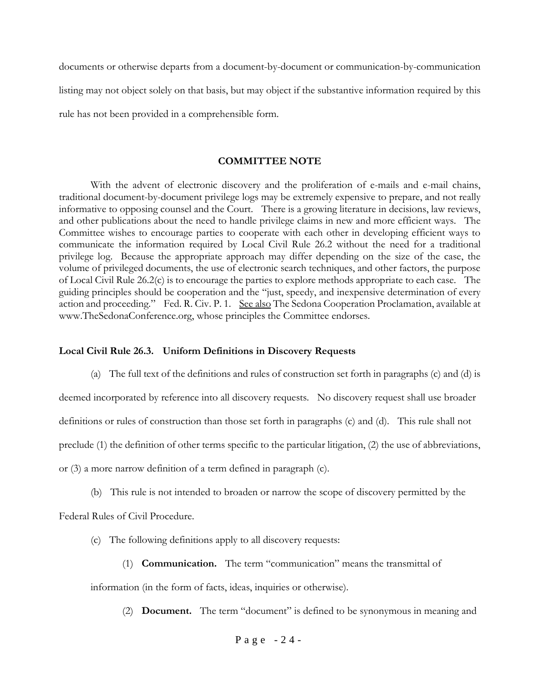documents or otherwise departs from a document-by-document or communication-by-communication listing may not object solely on that basis, but may object if the substantive information required by this rule has not been provided in a comprehensible form.

## **COMMITTEE NOTE**

With the advent of electronic discovery and the proliferation of e-mails and e-mail chains, traditional document-by-document privilege logs may be extremely expensive to prepare, and not really informative to opposing counsel and the Court. There is a growing literature in decisions, law reviews, and other publications about the need to handle privilege claims in new and more efficient ways. The Committee wishes to encourage parties to cooperate with each other in developing efficient ways to communicate the information required by Local Civil Rule 26.2 without the need for a traditional privilege log. Because the appropriate approach may differ depending on the size of the case, the volume of privileged documents, the use of electronic search techniques, and other factors, the purpose of Local Civil Rule 26.2(c) is to encourage the parties to explore methods appropriate to each case. The guiding principles should be cooperation and the "just, speedy, and inexpensive determination of every action and proceeding." Fed. R. Civ. P. 1. See also The Sedona Cooperation Proclamation, available at www.TheSedonaConference.org, whose principles the Committee endorses.

#### **Local Civil Rule 26.3. Uniform Definitions in Discovery Requests**

(a) The full text of the definitions and rules of construction set forth in paragraphs (c) and (d) is deemed incorporated by reference into all discovery requests. No discovery request shall use broader definitions or rules of construction than those set forth in paragraphs (c) and (d). This rule shall not preclude (1) the definition of other terms specific to the particular litigation, (2) the use of abbreviations, or (3) a more narrow definition of a term defined in paragraph (c).

(b) This rule is not intended to broaden or narrow the scope of discovery permitted by the

Federal Rules of Civil Procedure.

(c) The following definitions apply to all discovery requests:

(1) **Communication.** The term "communication" means the transmittal of

information (in the form of facts, ideas, inquiries or otherwise).

(2) **Document.** The term "document" is defined to be synonymous in meaning and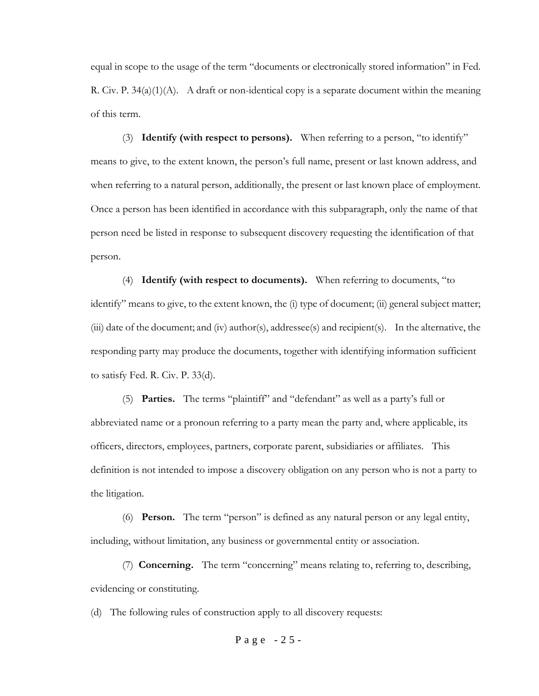equal in scope to the usage of the term "documents or electronically stored information" in Fed. R. Civ. P. 34(a)(1)(A). A draft or non-identical copy is a separate document within the meaning of this term.

(3) **Identify (with respect to persons).** When referring to a person, "to identify" means to give, to the extent known, the person's full name, present or last known address, and when referring to a natural person, additionally, the present or last known place of employment. Once a person has been identified in accordance with this subparagraph, only the name of that person need be listed in response to subsequent discovery requesting the identification of that person.

(4) **Identify (with respect to documents).** When referring to documents, "to identify" means to give, to the extent known, the (i) type of document; (ii) general subject matter;  $(iii)$  date of the document; and  $(iv)$  author(s), addressee(s) and recipient(s). In the alternative, the responding party may produce the documents, together with identifying information sufficient to satisfy Fed. R. Civ. P. 33(d).

(5) **Parties.** The terms "plaintiff" and "defendant" as well as a party's full or abbreviated name or a pronoun referring to a party mean the party and, where applicable, its officers, directors, employees, partners, corporate parent, subsidiaries or affiliates. This definition is not intended to impose a discovery obligation on any person who is not a party to the litigation.

(6) **Person.** The term "person" is defined as any natural person or any legal entity, including, without limitation, any business or governmental entity or association.

(7) **Concerning.** The term "concerning" means relating to, referring to, describing, evidencing or constituting.

(d) The following rules of construction apply to all discovery requests:

Page - 25 -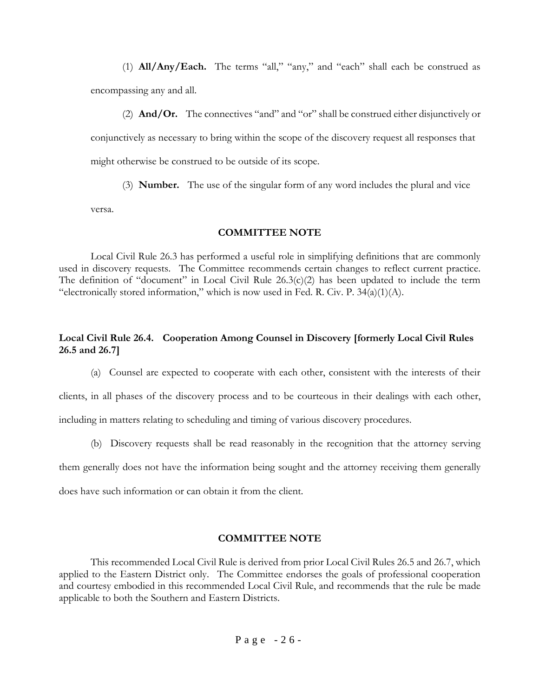(1) **All/Any/Each.** The terms "all," "any," and "each" shall each be construed as encompassing any and all.

(2) **And/Or.** The connectives "and" and "or" shall be construed either disjunctively or conjunctively as necessary to bring within the scope of the discovery request all responses that might otherwise be construed to be outside of its scope.

(3) **Number.** The use of the singular form of any word includes the plural and vice versa.

# **COMMITTEE NOTE**

Local Civil Rule 26.3 has performed a useful role in simplifying definitions that are commonly used in discovery requests. The Committee recommends certain changes to reflect current practice. The definition of "document" in Local Civil Rule 26.3(c)(2) has been updated to include the term "electronically stored information," which is now used in Fed. R. Civ. P.  $34(a)(1)(A)$ .

# **Local Civil Rule 26.4. Cooperation Among Counsel in Discovery [formerly Local Civil Rules 26.5 and 26.7]**

(a) Counsel are expected to cooperate with each other, consistent with the interests of their

clients, in all phases of the discovery process and to be courteous in their dealings with each other,

including in matters relating to scheduling and timing of various discovery procedures.

(b) Discovery requests shall be read reasonably in the recognition that the attorney serving

them generally does not have the information being sought and the attorney receiving them generally

does have such information or can obtain it from the client.

# **COMMITTEE NOTE**

This recommended Local Civil Rule is derived from prior Local Civil Rules 26.5 and 26.7, which applied to the Eastern District only. The Committee endorses the goals of professional cooperation and courtesy embodied in this recommended Local Civil Rule, and recommends that the rule be made applicable to both the Southern and Eastern Districts.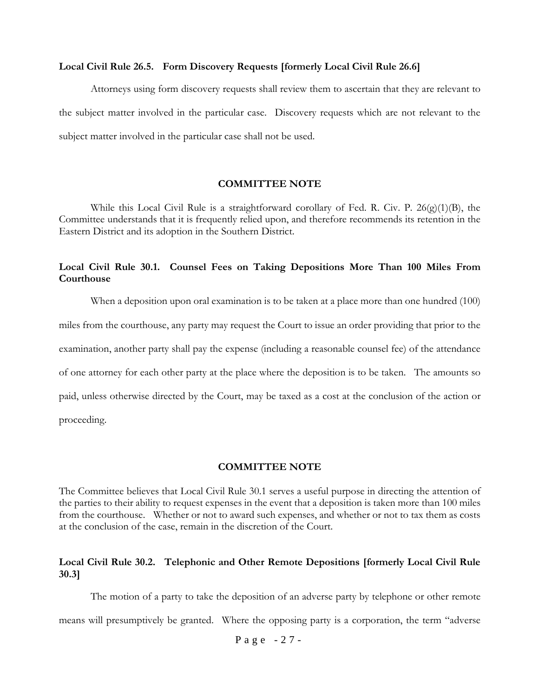#### **Local Civil Rule 26.5. Form Discovery Requests [formerly Local Civil Rule 26.6]**

Attorneys using form discovery requests shall review them to ascertain that they are relevant to the subject matter involved in the particular case. Discovery requests which are not relevant to the subject matter involved in the particular case shall not be used.

## **COMMITTEE NOTE**

While this Local Civil Rule is a straightforward corollary of Fed. R. Civ. P. 26(g)(1)(B), the Committee understands that it is frequently relied upon, and therefore recommends its retention in the Eastern District and its adoption in the Southern District.

# **Local Civil Rule 30.1. Counsel Fees on Taking Depositions More Than 100 Miles From Courthouse**

When a deposition upon oral examination is to be taken at a place more than one hundred (100) miles from the courthouse, any party may request the Court to issue an order providing that prior to the examination, another party shall pay the expense (including a reasonable counsel fee) of the attendance of one attorney for each other party at the place where the deposition is to be taken. The amounts so paid, unless otherwise directed by the Court, may be taxed as a cost at the conclusion of the action or proceeding.

#### **COMMITTEE NOTE**

The Committee believes that Local Civil Rule 30.1 serves a useful purpose in directing the attention of the parties to their ability to request expenses in the event that a deposition is taken more than 100 miles from the courthouse. Whether or not to award such expenses, and whether or not to tax them as costs at the conclusion of the case, remain in the discretion of the Court.

# **Local Civil Rule 30.2. Telephonic and Other Remote Depositions [formerly Local Civil Rule 30.3]**

The motion of a party to take the deposition of an adverse party by telephone or other remote means will presumptively be granted. Where the opposing party is a corporation, the term "adverse

Page - 2 7 -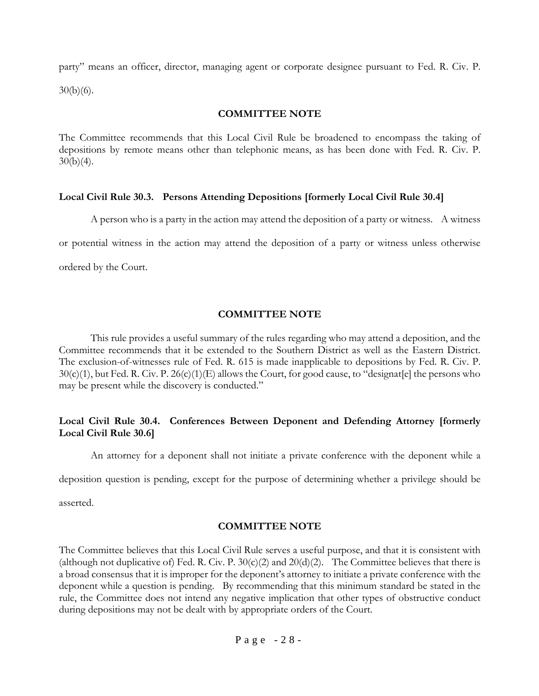party" means an officer, director, managing agent or corporate designee pursuant to Fed. R. Civ. P.

 $30(b)(6)$ .

# **COMMITTEE NOTE**

The Committee recommends that this Local Civil Rule be broadened to encompass the taking of depositions by remote means other than telephonic means, as has been done with Fed. R. Civ. P.  $30(b)(4)$ .

# **Local Civil Rule 30.3. Persons Attending Depositions [formerly Local Civil Rule 30.4]**

A person who is a party in the action may attend the deposition of a party or witness. A witness

or potential witness in the action may attend the deposition of a party or witness unless otherwise

ordered by the Court.

# **COMMITTEE NOTE**

This rule provides a useful summary of the rules regarding who may attend a deposition, and the Committee recommends that it be extended to the Southern District as well as the Eastern District. The exclusion-of-witnesses rule of Fed. R. 615 is made inapplicable to depositions by Fed. R. Civ. P. 30(c)(1), but Fed. R. Civ. P. 26(c)(1)(E) allows the Court, for good cause, to "designat[e] the persons who may be present while the discovery is conducted."

# **Local Civil Rule 30.4. Conferences Between Deponent and Defending Attorney [formerly Local Civil Rule 30.6]**

An attorney for a deponent shall not initiate a private conference with the deponent while a

deposition question is pending, except for the purpose of determining whether a privilege should be

asserted.

# **COMMITTEE NOTE**

The Committee believes that this Local Civil Rule serves a useful purpose, and that it is consistent with (although not duplicative of) Fed. R. Civ. P.  $30(c)(2)$  and  $20(d)(2)$ . The Committee believes that there is a broad consensus that it is improper for the deponent's attorney to initiate a private conference with the deponent while a question is pending. By recommending that this minimum standard be stated in the rule, the Committee does not intend any negative implication that other types of obstructive conduct during depositions may not be dealt with by appropriate orders of the Court.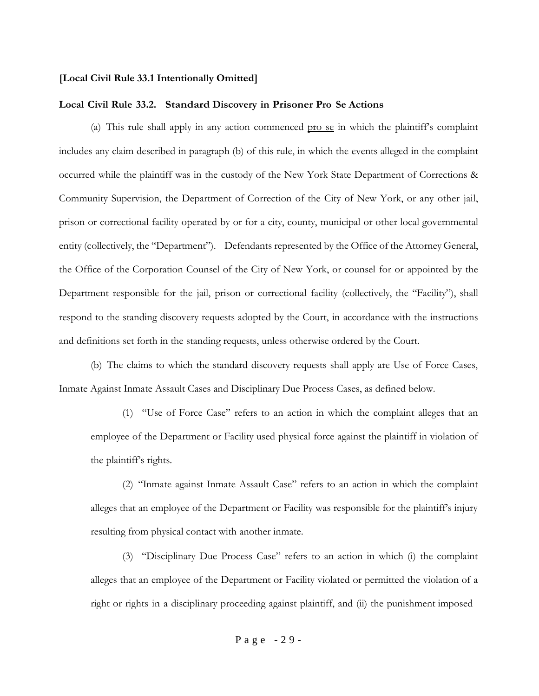#### **[Local Civil Rule 33.1 Intentionally Omitted]**

#### **Local Civil Rule 33.2. Standard Discovery in Prisoner Pro Se Actions**

(a) This rule shall apply in any action commenced pro se in which the plaintiff's complaint includes any claim described in paragraph (b) of this rule, in which the events alleged in the complaint occurred while the plaintiff was in the custody of the New York State Department of Corrections & Community Supervision, the Department of Correction of the City of New York, or any other jail, prison or correctional facility operated by or for a city, county, municipal or other local governmental entity (collectively, the "Department"). Defendants represented by the Office of the Attorney General, the Office of the Corporation Counsel of the City of New York, or counsel for or appointed by the Department responsible for the jail, prison or correctional facility (collectively, the "Facility"), shall respond to the standing discovery requests adopted by the Court, in accordance with the instructions and definitions set forth in the standing requests, unless otherwise ordered by the Court.

(b) The claims to which the standard discovery requests shall apply are Use of Force Cases, Inmate Against Inmate Assault Cases and Disciplinary Due Process Cases, as defined below.

(1) "Use of Force Case" refers to an action in which the complaint alleges that an employee of the Department or Facility used physical force against the plaintiff in violation of the plaintiff's rights.

(2) "Inmate against Inmate Assault Case" refers to an action in which the complaint alleges that an employee of the Department or Facility was responsible for the plaintiff's injury resulting from physical contact with another inmate.

(3) "Disciplinary Due Process Case" refers to an action in which (i) the complaint alleges that an employee of the Department or Facility violated or permitted the violation of a right or rights in a disciplinary proceeding against plaintiff, and (ii) the punishment imposed

Page - 29 -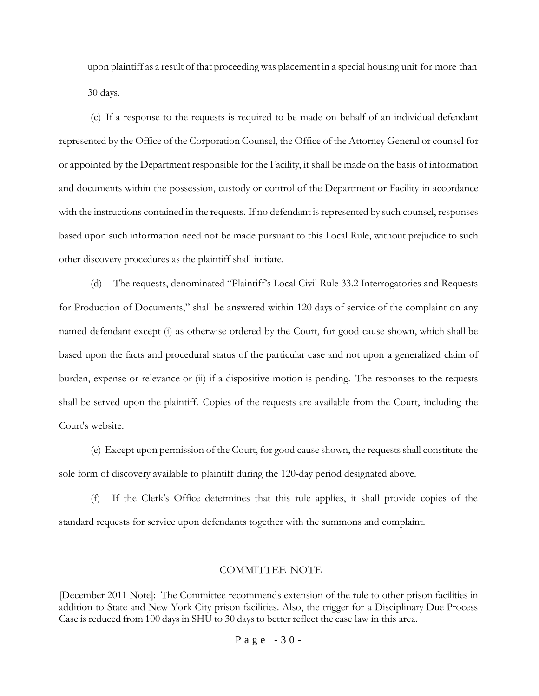upon plaintiff as a result of that proceeding was placement in a special housing unit for more than 30 days.

(c) If a response to the requests is required to be made on behalf of an individual defendant represented by the Office of the Corporation Counsel, the Office of the Attorney General or counsel for or appointed by the Department responsible for the Facility, it shall be made on the basis of information and documents within the possession, custody or control of the Department or Facility in accordance with the instructions contained in the requests. If no defendant is represented by such counsel, responses based upon such information need not be made pursuant to this Local Rule, without prejudice to such other discovery procedures as the plaintiff shall initiate.

(d) The requests, denominated "Plaintiff's Local Civil Rule 33.2 Interrogatories and Requests for Production of Documents," shall be answered within 120 days of service of the complaint on any named defendant except (i) as otherwise ordered by the Court, for good cause shown, which shall be based upon the facts and procedural status of the particular case and not upon a generalized claim of burden, expense or relevance or (ii) if a dispositive motion is pending. The responses to the requests shall be served upon the plaintiff. Copies of the requests are available from the Court, including the Court's website.

(e) Except upon permission of the Court, for good cause shown, the requests shall constitute the sole form of discovery available to plaintiff during the 120-day period designated above.

(f) If the Clerk's Office determines that this rule applies, it shall provide copies of the standard requests for service upon defendants together with the summons and complaint.

## COMMITTEE NOTE

[December 2011 Note]: The Committee recommends extension of the rule to other prison facilities in addition to State and New York City prison facilities. Also, the trigger for a Disciplinary Due Process Case is reduced from 100 days in SHU to 30 days to better reflect the case law in this area.

Page  $-30$  -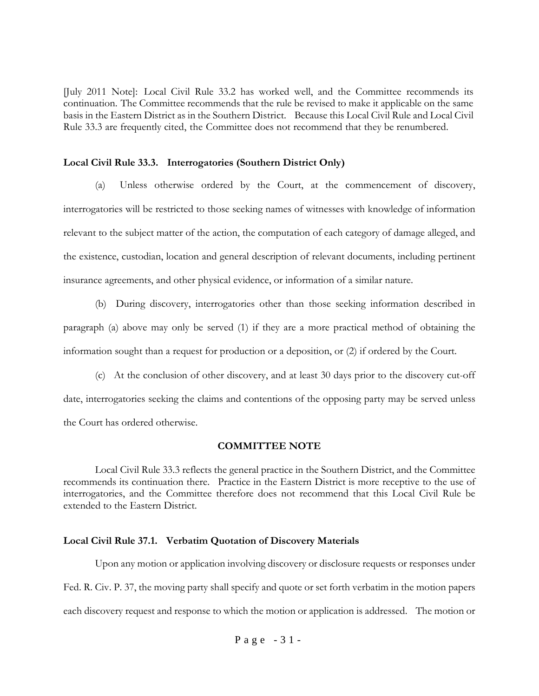[July 2011 Note]: Local Civil Rule 33.2 has worked well, and the Committee recommends its continuation. The Committee recommends that the rule be revised to make it applicable on the same basis in the Eastern District as in the Southern District. Because this Local Civil Rule and Local Civil Rule 33.3 are frequently cited, the Committee does not recommend that they be renumbered.

#### **Local Civil Rule 33.3. Interrogatories (Southern District Only)**

(a) Unless otherwise ordered by the Court, at the commencement of discovery, interrogatories will be restricted to those seeking names of witnesses with knowledge of information relevant to the subject matter of the action, the computation of each category of damage alleged, and the existence, custodian, location and general description of relevant documents, including pertinent insurance agreements, and other physical evidence, or information of a similar nature.

(b) During discovery, interrogatories other than those seeking information described in paragraph (a) above may only be served (1) if they are a more practical method of obtaining the information sought than a request for production or a deposition, or (2) if ordered by the Court.

(c) At the conclusion of other discovery, and at least 30 days prior to the discovery cut-off date, interrogatories seeking the claims and contentions of the opposing party may be served unless the Court has ordered otherwise.

#### **COMMITTEE NOTE**

Local Civil Rule 33.3 reflects the general practice in the Southern District, and the Committee recommends its continuation there. Practice in the Eastern District is more receptive to the use of interrogatories, and the Committee therefore does not recommend that this Local Civil Rule be extended to the Eastern District.

## **Local Civil Rule 37.1. Verbatim Quotation of Discovery Materials**

Upon any motion or application involving discovery or disclosure requests or responses under Fed. R. Civ. P. 37, the moving party shall specify and quote or set forth verbatim in the motion papers each discovery request and response to which the motion or application is addressed. The motion or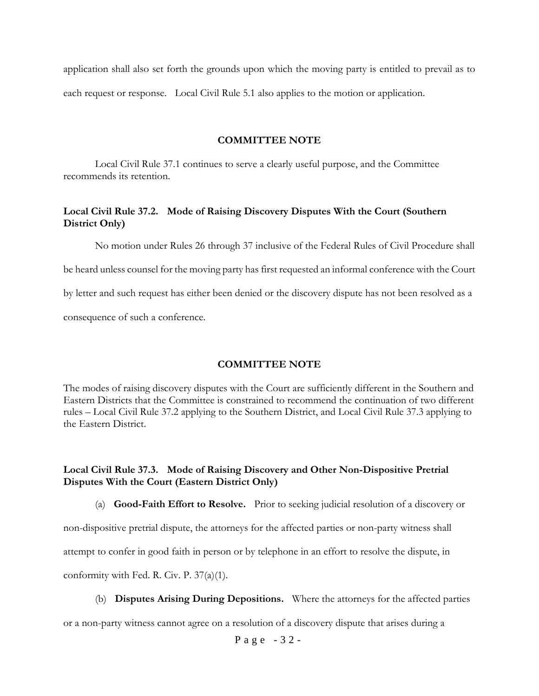application shall also set forth the grounds upon which the moving party is entitled to prevail as to each request or response. Local Civil Rule 5.1 also applies to the motion or application.

### **COMMITTEE NOTE**

Local Civil Rule 37.1 continues to serve a clearly useful purpose, and the Committee recommends its retention.

# **Local Civil Rule 37.2. Mode of Raising Discovery Disputes With the Court (Southern District Only)**

No motion under Rules 26 through 37 inclusive of the Federal Rules of Civil Procedure shall be heard unless counsel for the moving party has first requested an informal conference with the Court by letter and such request has either been denied or the discovery dispute has not been resolved as a consequence of such a conference.

# **COMMITTEE NOTE**

The modes of raising discovery disputes with the Court are sufficiently different in the Southern and Eastern Districts that the Committee is constrained to recommend the continuation of two different rules – Local Civil Rule 37.2 applying to the Southern District, and Local Civil Rule 37.3 applying to the Eastern District.

# **Local Civil Rule 37.3. Mode of Raising Discovery and Other Non-Dispositive Pretrial Disputes With the Court (Eastern District Only)**

(a) **Good-Faith Effort to Resolve.** Prior to seeking judicial resolution of a discovery or

non-dispositive pretrial dispute, the attorneys for the affected parties or non-party witness shall

attempt to confer in good faith in person or by telephone in an effort to resolve the dispute, in

conformity with Fed. R. Civ. P. 37(a)(1).

# (b) **Disputes Arising During Depositions.** Where the attorneys for the affected parties

or a non-party witness cannot agree on a resolution of a discovery dispute that arises during a

Page - 3 2 -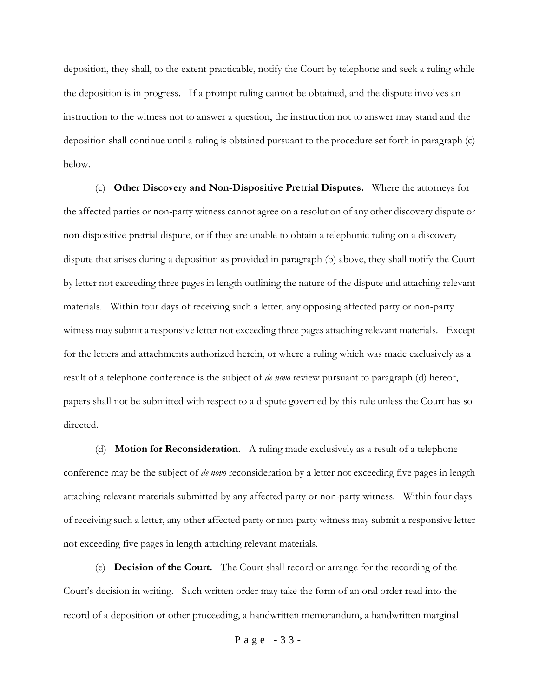deposition, they shall, to the extent practicable, notify the Court by telephone and seek a ruling while the deposition is in progress. If a prompt ruling cannot be obtained, and the dispute involves an instruction to the witness not to answer a question, the instruction not to answer may stand and the deposition shall continue until a ruling is obtained pursuant to the procedure set forth in paragraph (c) below.

(c) **Other Discovery and Non-Dispositive Pretrial Disputes.** Where the attorneys for the affected parties or non-party witness cannot agree on a resolution of any other discovery dispute or non-dispositive pretrial dispute, or if they are unable to obtain a telephonic ruling on a discovery dispute that arises during a deposition as provided in paragraph (b) above, they shall notify the Court by letter not exceeding three pages in length outlining the nature of the dispute and attaching relevant materials. Within four days of receiving such a letter, any opposing affected party or non-party witness may submit a responsive letter not exceeding three pages attaching relevant materials. Except for the letters and attachments authorized herein, or where a ruling which was made exclusively as a result of a telephone conference is the subject of *de novo* review pursuant to paragraph (d) hereof, papers shall not be submitted with respect to a dispute governed by this rule unless the Court has so directed.

(d) **Motion for Reconsideration.** A ruling made exclusively as a result of a telephone conference may be the subject of *de novo* reconsideration by a letter not exceeding five pages in length attaching relevant materials submitted by any affected party or non-party witness. Within four days of receiving such a letter, any other affected party or non-party witness may submit a responsive letter not exceeding five pages in length attaching relevant materials.

(e) **Decision of the Court.** The Court shall record or arrange for the recording of the Court's decision in writing. Such written order may take the form of an oral order read into the record of a deposition or other proceeding, a handwritten memorandum, a handwritten marginal

Page - 33 -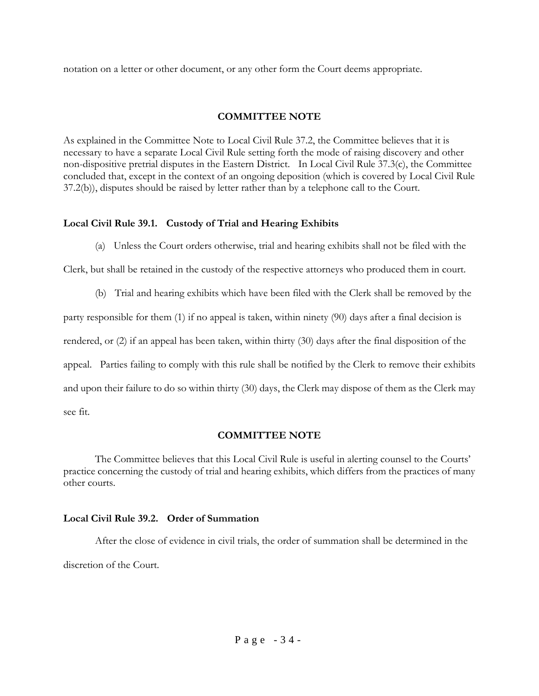notation on a letter or other document, or any other form the Court deems appropriate.

# **COMMITTEE NOTE**

As explained in the Committee Note to Local Civil Rule 37.2, the Committee believes that it is necessary to have a separate Local Civil Rule setting forth the mode of raising discovery and other non-dispositive pretrial disputes in the Eastern District. In Local Civil Rule 37.3(c), the Committee concluded that, except in the context of an ongoing deposition (which is covered by Local Civil Rule 37.2(b)), disputes should be raised by letter rather than by a telephone call to the Court.

# **Local Civil Rule 39.1. Custody of Trial and Hearing Exhibits**

(a) Unless the Court orders otherwise, trial and hearing exhibits shall not be filed with the

Clerk, but shall be retained in the custody of the respective attorneys who produced them in court.

(b) Trial and hearing exhibits which have been filed with the Clerk shall be removed by the

party responsible for them (1) if no appeal is taken, within ninety (90) days after a final decision is

rendered, or (2) if an appeal has been taken, within thirty (30) days after the final disposition of the

appeal. Parties failing to comply with this rule shall be notified by the Clerk to remove their exhibits

and upon their failure to do so within thirty (30) days, the Clerk may dispose of them as the Clerk may

see fit.

# **COMMITTEE NOTE**

The Committee believes that this Local Civil Rule is useful in alerting counsel to the Courts' practice concerning the custody of trial and hearing exhibits, which differs from the practices of many other courts.

# **Local Civil Rule 39.2. Order of Summation**

After the close of evidence in civil trials, the order of summation shall be determined in the discretion of the Court.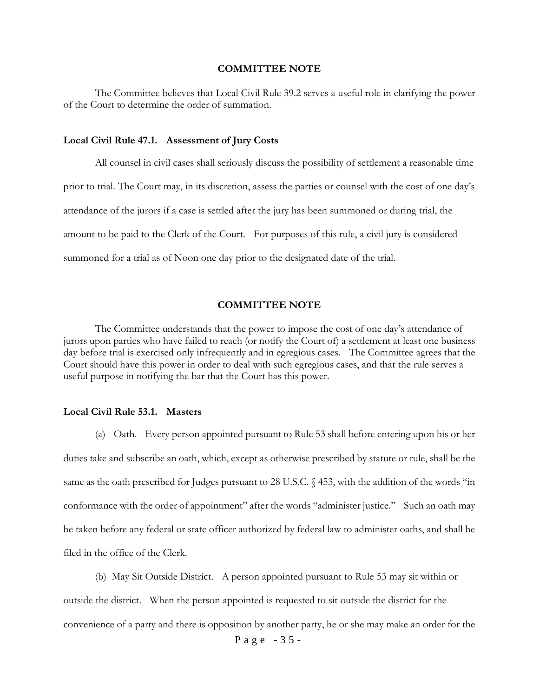#### **COMMITTEE NOTE**

The Committee believes that Local Civil Rule 39.2 serves a useful role in clarifying the power of the Court to determine the order of summation.

# **Local Civil Rule 47.1. Assessment of Jury Costs**

All counsel in civil cases shall seriously discuss the possibility of settlement a reasonable time prior to trial. The Court may, in its discretion, assess the parties or counsel with the cost of one day's attendance of the jurors if a case is settled after the jury has been summoned or during trial, the amount to be paid to the Clerk of the Court. For purposes of this rule, a civil jury is considered summoned for a trial as of Noon one day prior to the designated date of the trial.

# **COMMITTEE NOTE**

The Committee understands that the power to impose the cost of one day's attendance of jurors upon parties who have failed to reach (or notify the Court of) a settlement at least one business day before trial is exercised only infrequently and in egregious cases. The Committee agrees that the Court should have this power in order to deal with such egregious cases, and that the rule serves a useful purpose in notifying the bar that the Court has this power.

### **Local Civil Rule 53.1. Masters**

(a) Oath. Every person appointed pursuant to Rule 53 shall before entering upon his or her duties take and subscribe an oath, which, except as otherwise prescribed by statute or rule, shall be the same as the oath prescribed for Judges pursuant to 28 U.S.C. § 453, with the addition of the words "in conformance with the order of appointment" after the words "administer justice." Such an oath may be taken before any federal or state officer authorized by federal law to administer oaths, and shall be filed in the office of the Clerk.

(b) May Sit Outside District. A person appointed pursuant to Rule 53 may sit within or outside the district. When the person appointed is requested to sit outside the district for the convenience of a party and there is opposition by another party, he or she may make an order for the

Page - 3 5 -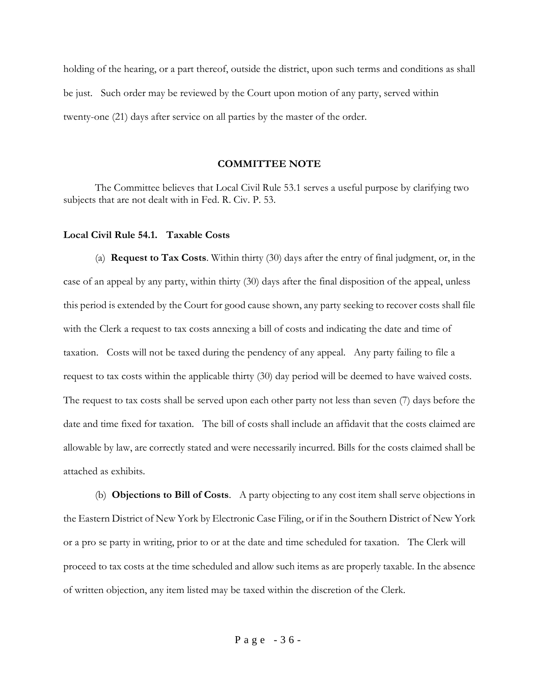holding of the hearing, or a part thereof, outside the district, upon such terms and conditions as shall be just. Such order may be reviewed by the Court upon motion of any party, served within twenty-one (21) days after service on all parties by the master of the order.

### **COMMITTEE NOTE**

The Committee believes that Local Civil Rule 53.1 serves a useful purpose by clarifying two subjects that are not dealt with in Fed. R. Civ. P. 53.

### **Local Civil Rule 54.1. Taxable Costs**

(a) **Request to Tax Costs**. Within thirty (30) days after the entry of final judgment, or, in the case of an appeal by any party, within thirty (30) days after the final disposition of the appeal, unless this period is extended by the Court for good cause shown, any party seeking to recover costs shall file with the Clerk a request to tax costs annexing a bill of costs and indicating the date and time of taxation. Costs will not be taxed during the pendency of any appeal. Any party failing to file a request to tax costs within the applicable thirty (30) day period will be deemed to have waived costs. The request to tax costs shall be served upon each other party not less than seven (7) days before the date and time fixed for taxation. The bill of costs shall include an affidavit that the costs claimed are allowable by law, are correctly stated and were necessarily incurred. Bills for the costs claimed shall be attached as exhibits.

(b) **Objections to Bill of Costs**. A party objecting to any cost item shall serve objections in the Eastern District of New York by Electronic Case Filing, or if in the Southern District of New York or a pro se party in writing, prior to or at the date and time scheduled for taxation. The Clerk will proceed to tax costs at the time scheduled and allow such items as are properly taxable. In the absence of written objection, any item listed may be taxed within the discretion of the Clerk.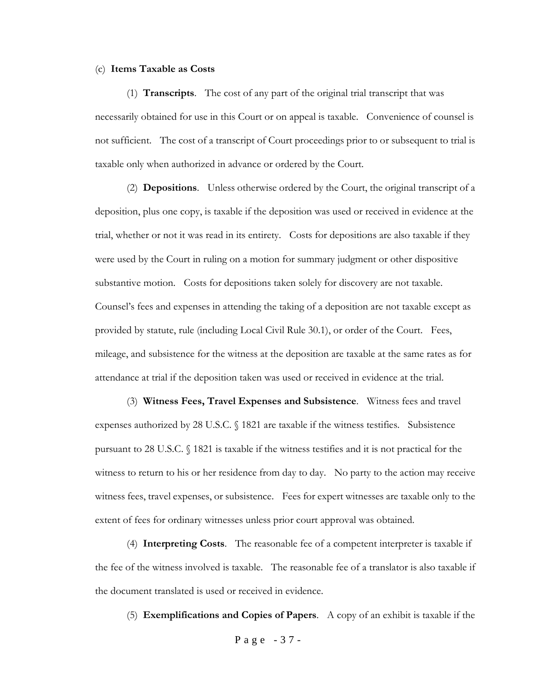#### (c) **Items Taxable as Costs**

(1) **Transcripts**. The cost of any part of the original trial transcript that was necessarily obtained for use in this Court or on appeal is taxable. Convenience of counsel is not sufficient. The cost of a transcript of Court proceedings prior to or subsequent to trial is taxable only when authorized in advance or ordered by the Court.

(2) **Depositions**. Unless otherwise ordered by the Court, the original transcript of a deposition, plus one copy, is taxable if the deposition was used or received in evidence at the trial, whether or not it was read in its entirety. Costs for depositions are also taxable if they were used by the Court in ruling on a motion for summary judgment or other dispositive substantive motion. Costs for depositions taken solely for discovery are not taxable. Counsel's fees and expenses in attending the taking of a deposition are not taxable except as provided by statute, rule (including Local Civil Rule 30.1), or order of the Court. Fees, mileage, and subsistence for the witness at the deposition are taxable at the same rates as for attendance at trial if the deposition taken was used or received in evidence at the trial.

(3) **Witness Fees, Travel Expenses and Subsistence**. Witness fees and travel expenses authorized by 28 U.S.C. § 1821 are taxable if the witness testifies. Subsistence pursuant to 28 U.S.C. § 1821 is taxable if the witness testifies and it is not practical for the witness to return to his or her residence from day to day. No party to the action may receive witness fees, travel expenses, or subsistence. Fees for expert witnesses are taxable only to the extent of fees for ordinary witnesses unless prior court approval was obtained.

(4) **Interpreting Costs**. The reasonable fee of a competent interpreter is taxable if the fee of the witness involved is taxable. The reasonable fee of a translator is also taxable if the document translated is used or received in evidence.

(5) **Exemplifications and Copies of Papers**. A copy of an exhibit is taxable if the

Page - 37 -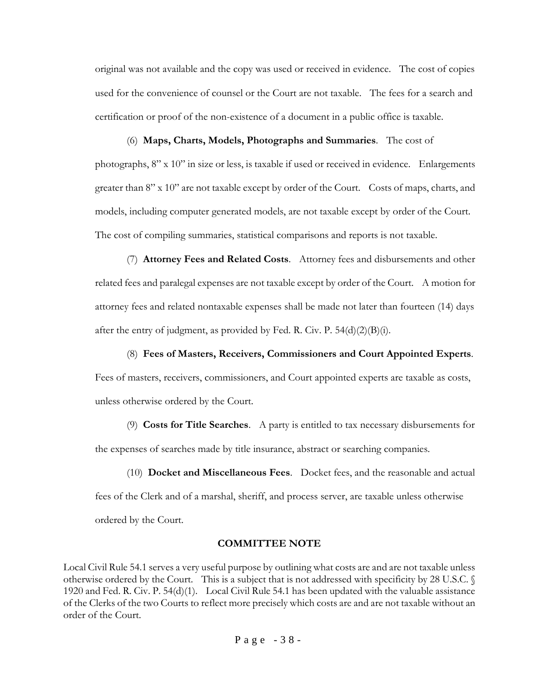original was not available and the copy was used or received in evidence. The cost of copies used for the convenience of counsel or the Court are not taxable. The fees for a search and certification or proof of the non-existence of a document in a public office is taxable.

(6) **Maps, Charts, Models, Photographs and Summaries**. The cost of photographs, 8" x 10" in size or less, is taxable if used or received in evidence. Enlargements greater than 8" x 10" are not taxable except by order of the Court. Costs of maps, charts, and models, including computer generated models, are not taxable except by order of the Court. The cost of compiling summaries, statistical comparisons and reports is not taxable.

(7) **Attorney Fees and Related Costs**. Attorney fees and disbursements and other related fees and paralegal expenses are not taxable except by order of the Court. A motion for attorney fees and related nontaxable expenses shall be made not later than fourteen (14) days after the entry of judgment, as provided by Fed. R. Civ. P.  $54(d)(2)(B)(i)$ .

#### (8) **Fees of Masters, Receivers, Commissioners and Court Appointed Experts**.

Fees of masters, receivers, commissioners, and Court appointed experts are taxable as costs, unless otherwise ordered by the Court.

(9) **Costs for Title Searches**. A party is entitled to tax necessary disbursements for the expenses of searches made by title insurance, abstract or searching companies.

(10) **Docket and Miscellaneous Fees**. Docket fees, and the reasonable and actual fees of the Clerk and of a marshal, sheriff, and process server, are taxable unless otherwise ordered by the Court.

# **COMMITTEE NOTE**

Local Civil Rule 54.1 serves a very useful purpose by outlining what costs are and are not taxable unless otherwise ordered by the Court. This is a subject that is not addressed with specificity by 28 U.S.C. § 1920 and Fed. R. Civ. P. 54(d)(1). Local Civil Rule 54.1 has been updated with the valuable assistance of the Clerks of the two Courts to reflect more precisely which costs are and are not taxable without an order of the Court.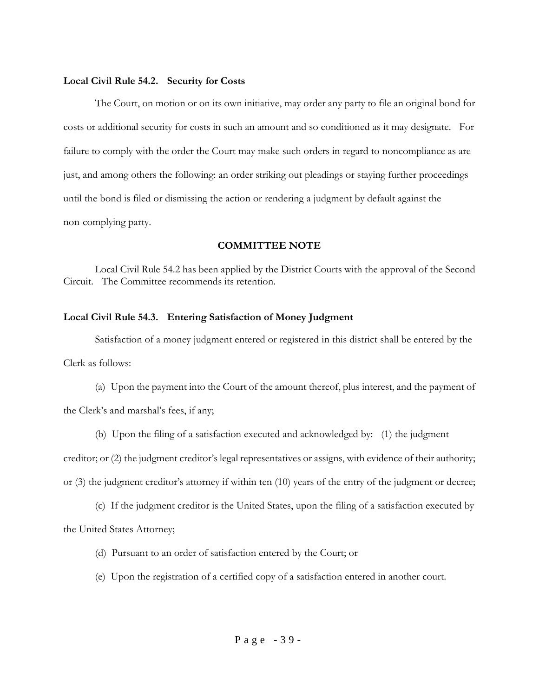#### **Local Civil Rule 54.2. Security for Costs**

The Court, on motion or on its own initiative, may order any party to file an original bond for costs or additional security for costs in such an amount and so conditioned as it may designate. For failure to comply with the order the Court may make such orders in regard to noncompliance as are just, and among others the following: an order striking out pleadings or staying further proceedings until the bond is filed or dismissing the action or rendering a judgment by default against the non-complying party.

# **COMMITTEE NOTE**

Local Civil Rule 54.2 has been applied by the District Courts with the approval of the Second Circuit. The Committee recommends its retention.

### **Local Civil Rule 54.3. Entering Satisfaction of Money Judgment**

Satisfaction of a money judgment entered or registered in this district shall be entered by the Clerk as follows:

(a) Upon the payment into the Court of the amount thereof, plus interest, and the payment of the Clerk's and marshal's fees, if any;

(b) Upon the filing of a satisfaction executed and acknowledged by: (1) the judgment creditor; or (2) the judgment creditor's legal representatives or assigns, with evidence of their authority; or (3) the judgment creditor's attorney if within ten (10) years of the entry of the judgment or decree;

(c) If the judgment creditor is the United States, upon the filing of a satisfaction executed by the United States Attorney;

- (d) Pursuant to an order of satisfaction entered by the Court; or
- (e) Upon the registration of a certified copy of a satisfaction entered in another court.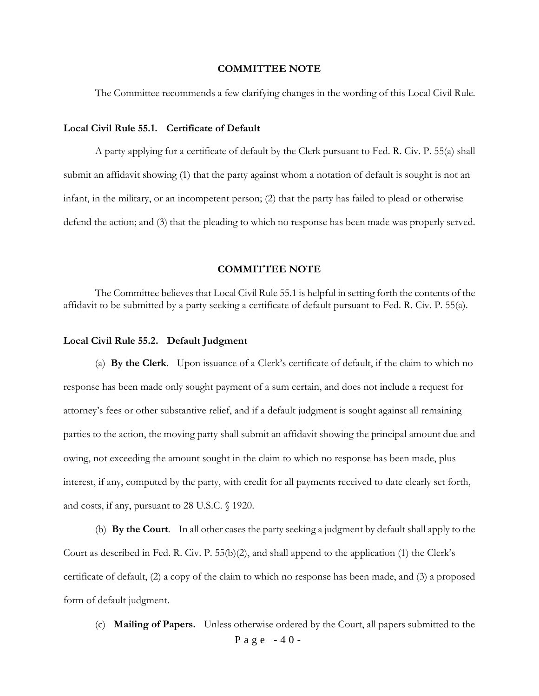## **COMMITTEE NOTE**

The Committee recommends a few clarifying changes in the wording of this Local Civil Rule.

### **Local Civil Rule 55.1. Certificate of Default**

A party applying for a certificate of default by the Clerk pursuant to Fed. R. Civ. P. 55(a) shall submit an affidavit showing (1) that the party against whom a notation of default is sought is not an infant, in the military, or an incompetent person; (2) that the party has failed to plead or otherwise defend the action; and (3) that the pleading to which no response has been made was properly served.

#### **COMMITTEE NOTE**

The Committee believes that Local Civil Rule 55.1 is helpful in setting forth the contents of the affidavit to be submitted by a party seeking a certificate of default pursuant to Fed. R. Civ. P. 55(a).

### **Local Civil Rule 55.2. Default Judgment**

(a) **By the Clerk**. Upon issuance of a Clerk's certificate of default, if the claim to which no response has been made only sought payment of a sum certain, and does not include a request for attorney's fees or other substantive relief, and if a default judgment is sought against all remaining parties to the action, the moving party shall submit an affidavit showing the principal amount due and owing, not exceeding the amount sought in the claim to which no response has been made, plus interest, if any, computed by the party, with credit for all payments received to date clearly set forth, and costs, if any, pursuant to 28 U.S.C. § 1920.

(b) **By the Court**. In all other cases the party seeking a judgment by default shall apply to the Court as described in Fed. R. Civ. P. 55(b)(2), and shall append to the application (1) the Clerk's certificate of default, (2) a copy of the claim to which no response has been made, and (3) a proposed form of default judgment.

 $P$  a g e  $-40$  -(c) **Mailing of Papers.** Unless otherwise ordered by the Court, all papers submitted to the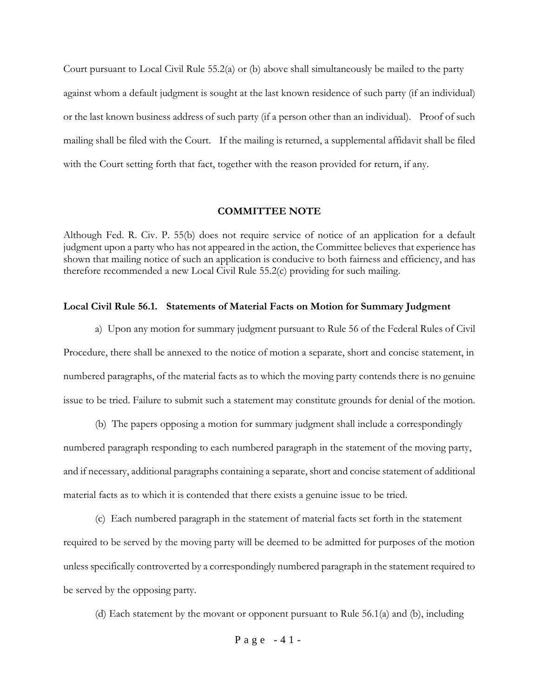Court pursuant to Local Civil Rule 55.2(a) or (b) above shall simultaneously be mailed to the party against whom a default judgment is sought at the last known residence of such party (if an individual) or the last known business address of such party (if a person other than an individual). Proof of such mailing shall be filed with the Court. If the mailing is returned, a supplemental affidavit shall be filed with the Court setting forth that fact, together with the reason provided for return, if any.

#### **COMMITTEE NOTE**

Although Fed. R. Civ. P. 55(b) does not require service of notice of an application for a default judgment upon a party who has not appeared in the action, the Committee believes that experience has shown that mailing notice of such an application is conducive to both fairness and efficiency, and has therefore recommended a new Local Civil Rule 55.2(c) providing for such mailing.

### **Local Civil Rule 56.1. Statements of Material Facts on Motion for Summary Judgment**

a) Upon any motion for summary judgment pursuant to Rule 56 of the Federal Rules of Civil Procedure, there shall be annexed to the notice of motion a separate, short and concise statement, in numbered paragraphs, of the material facts as to which the moving party contends there is no genuine issue to be tried. Failure to submit such a statement may constitute grounds for denial of the motion.

(b) The papers opposing a motion for summary judgment shall include a correspondingly numbered paragraph responding to each numbered paragraph in the statement of the moving party, and if necessary, additional paragraphs containing a separate, short and concise statement of additional material facts as to which it is contended that there exists a genuine issue to be tried.

(c) Each numbered paragraph in the statement of material facts set forth in the statement required to be served by the moving party will be deemed to be admitted for purposes of the motion unless specifically controverted by a correspondingly numbered paragraph in the statement required to be served by the opposing party.

(d) Each statement by the movant or opponent pursuant to Rule 56.1(a) and (b), including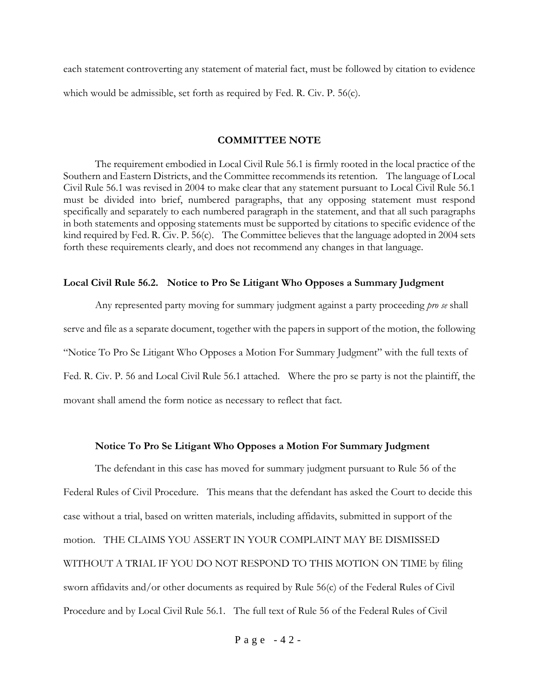each statement controverting any statement of material fact, must be followed by citation to evidence which would be admissible, set forth as required by Fed. R. Civ. P. 56(c).

### **COMMITTEE NOTE**

The requirement embodied in Local Civil Rule 56.1 is firmly rooted in the local practice of the Southern and Eastern Districts, and the Committee recommends its retention. The language of Local Civil Rule 56.1 was revised in 2004 to make clear that any statement pursuant to Local Civil Rule 56.1 must be divided into brief, numbered paragraphs, that any opposing statement must respond specifically and separately to each numbered paragraph in the statement, and that all such paragraphs in both statements and opposing statements must be supported by citations to specific evidence of the kind required by Fed. R. Civ. P. 56(c). The Committee believes that the language adopted in 2004 sets forth these requirements clearly, and does not recommend any changes in that language.

# **Local Civil Rule 56.2. Notice to Pro Se Litigant Who Opposes a Summary Judgment**

Any represented party moving for summary judgment against a party proceeding *pro se* shall serve and file as a separate document, together with the papers in support of the motion, the following "Notice To Pro Se Litigant Who Opposes a Motion For Summary Judgment" with the full texts of Fed. R. Civ. P. 56 and Local Civil Rule 56.1 attached. Where the pro se party is not the plaintiff, the movant shall amend the form notice as necessary to reflect that fact.

### **Notice To Pro Se Litigant Who Opposes a Motion For Summary Judgment**

The defendant in this case has moved for summary judgment pursuant to Rule 56 of the Federal Rules of Civil Procedure. This means that the defendant has asked the Court to decide this case without a trial, based on written materials, including affidavits, submitted in support of the motion. THE CLAIMS YOU ASSERT IN YOUR COMPLAINT MAY BE DISMISSED WITHOUT A TRIAL IF YOU DO NOT RESPOND TO THIS MOTION ON TIME by filing sworn affidavits and/or other documents as required by Rule 56(c) of the Federal Rules of Civil Procedure and by Local Civil Rule 56.1. The full text of Rule 56 of the Federal Rules of Civil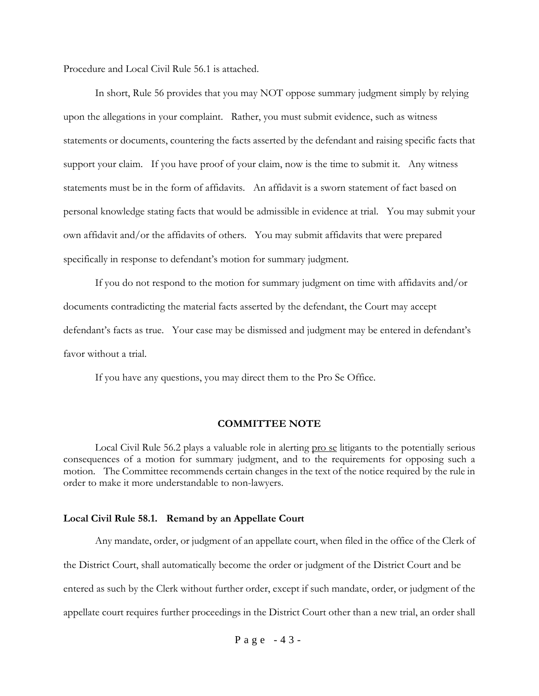Procedure and Local Civil Rule 56.1 is attached.

In short, Rule 56 provides that you may NOT oppose summary judgment simply by relying upon the allegations in your complaint. Rather, you must submit evidence, such as witness statements or documents, countering the facts asserted by the defendant and raising specific facts that support your claim. If you have proof of your claim, now is the time to submit it. Any witness statements must be in the form of affidavits. An affidavit is a sworn statement of fact based on personal knowledge stating facts that would be admissible in evidence at trial. You may submit your own affidavit and/or the affidavits of others. You may submit affidavits that were prepared specifically in response to defendant's motion for summary judgment.

If you do not respond to the motion for summary judgment on time with affidavits and/or documents contradicting the material facts asserted by the defendant, the Court may accept defendant's facts as true. Your case may be dismissed and judgment may be entered in defendant's favor without a trial.

If you have any questions, you may direct them to the Pro Se Office.

#### **COMMITTEE NOTE**

Local Civil Rule 56.2 plays a valuable role in alerting pro se litigants to the potentially serious consequences of a motion for summary judgment, and to the requirements for opposing such a motion. The Committee recommends certain changes in the text of the notice required by the rule in order to make it more understandable to non-lawyers.

# **Local Civil Rule 58.1. Remand by an Appellate Court**

Any mandate, order, or judgment of an appellate court, when filed in the office of the Clerk of the District Court, shall automatically become the order or judgment of the District Court and be entered as such by the Clerk without further order, except if such mandate, order, or judgment of the appellate court requires further proceedings in the District Court other than a new trial, an order shall

 $P$  a g e  $-43$  -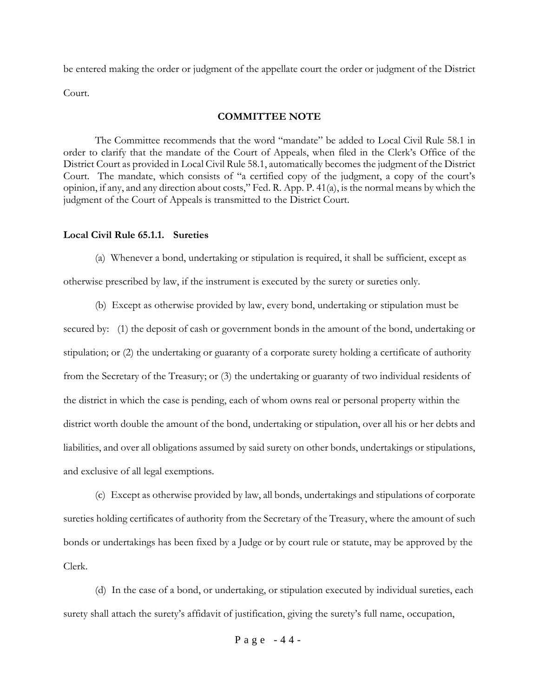be entered making the order or judgment of the appellate court the order or judgment of the District Court.

# **COMMITTEE NOTE**

The Committee recommends that the word "mandate" be added to Local Civil Rule 58.1 in order to clarify that the mandate of the Court of Appeals, when filed in the Clerk's Office of the District Court as provided in Local Civil Rule 58.1, automatically becomes the judgment of the District Court. The mandate, which consists of "a certified copy of the judgment, a copy of the court's opinion, if any, and any direction about costs," Fed. R. App. P. 41(a), is the normal means by which the judgment of the Court of Appeals is transmitted to the District Court.

#### **Local Civil Rule 65.1.1. Sureties**

(a) Whenever a bond, undertaking or stipulation is required, it shall be sufficient, except as otherwise prescribed by law, if the instrument is executed by the surety or sureties only.

(b) Except as otherwise provided by law, every bond, undertaking or stipulation must be secured by: (1) the deposit of cash or government bonds in the amount of the bond, undertaking or stipulation; or (2) the undertaking or guaranty of a corporate surety holding a certificate of authority from the Secretary of the Treasury; or (3) the undertaking or guaranty of two individual residents of the district in which the case is pending, each of whom owns real or personal property within the district worth double the amount of the bond, undertaking or stipulation, over all his or her debts and liabilities, and over all obligations assumed by said surety on other bonds, undertakings or stipulations, and exclusive of all legal exemptions.

(c) Except as otherwise provided by law, all bonds, undertakings and stipulations of corporate sureties holding certificates of authority from the Secretary of the Treasury, where the amount of such bonds or undertakings has been fixed by a Judge or by court rule or statute, may be approved by the Clerk.

(d) In the case of a bond, or undertaking, or stipulation executed by individual sureties, each surety shall attach the surety's affidavit of justification, giving the surety's full name, occupation,

Page - 4 4 -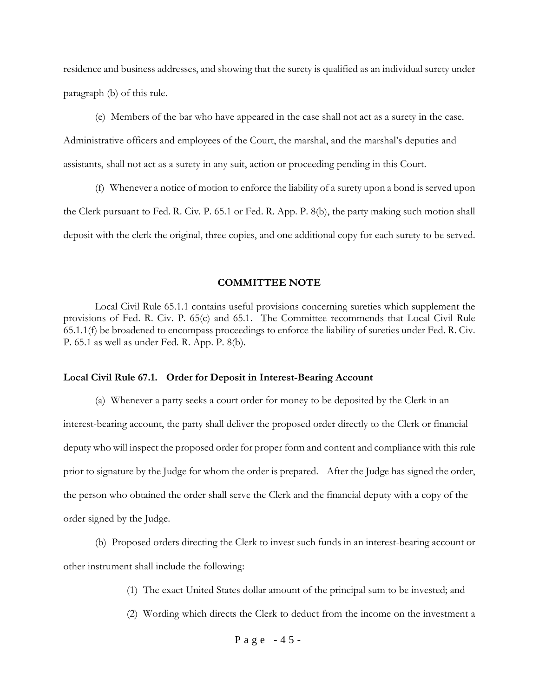residence and business addresses, and showing that the surety is qualified as an individual surety under paragraph (b) of this rule.

(e) Members of the bar who have appeared in the case shall not act as a surety in the case.

Administrative officers and employees of the Court, the marshal, and the marshal's deputies and assistants, shall not act as a surety in any suit, action or proceeding pending in this Court.

(f) Whenever a notice of motion to enforce the liability of a surety upon a bond is served upon the Clerk pursuant to Fed. R. Civ. P. 65.1 or Fed. R. App. P. 8(b), the party making such motion shall deposit with the clerk the original, three copies, and one additional copy for each surety to be served.

# **COMMITTEE NOTE**

Local Civil Rule 65.1.1 contains useful provisions concerning sureties which supplement the provisions of Fed. R. Civ. P. 65(c) and 65.1. The Committee recommends that Local Civil Rule 65.1.1(f) be broadened to encompass proceedings to enforce the liability of sureties under Fed. R. Civ. P. 65.1 as well as under Fed. R. App. P. 8(b).

### **Local Civil Rule 67.1. Order for Deposit in Interest-Bearing Account**

(a) Whenever a party seeks a court order for money to be deposited by the Clerk in an interest-bearing account, the party shall deliver the proposed order directly to the Clerk or financial deputy who will inspect the proposed order for proper form and content and compliance with this rule prior to signature by the Judge for whom the order is prepared. After the Judge has signed the order, the person who obtained the order shall serve the Clerk and the financial deputy with a copy of the order signed by the Judge.

(b) Proposed orders directing the Clerk to invest such funds in an interest-bearing account or other instrument shall include the following:

- (1) The exact United States dollar amount of the principal sum to be invested; and
- (2) Wording which directs the Clerk to deduct from the income on the investment a

Page  $-45$ -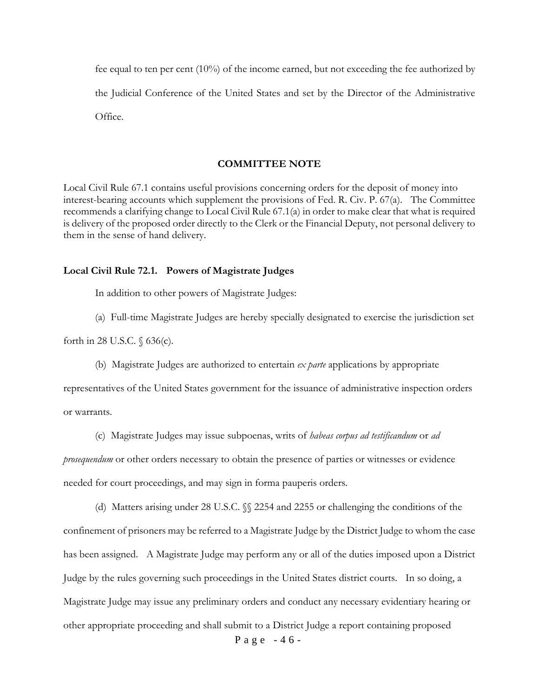fee equal to ten per cent (10%) of the income earned, but not exceeding the fee authorized by the Judicial Conference of the United States and set by the Director of the Administrative Office.

# **COMMITTEE NOTE**

Local Civil Rule 67.1 contains useful provisions concerning orders for the deposit of money into interest-bearing accounts which supplement the provisions of Fed. R. Civ. P. 67(a). The Committee recommends a clarifying change to Local Civil Rule 67.1(a) in order to make clear that what is required is delivery of the proposed order directly to the Clerk or the Financial Deputy, not personal delivery to them in the sense of hand delivery.

### **Local Civil Rule 72.1. Powers of Magistrate Judges**

In addition to other powers of Magistrate Judges:

(a) Full-time Magistrate Judges are hereby specially designated to exercise the jurisdiction set

forth in 28 U.S.C. § 636(c).

(b) Magistrate Judges are authorized to entertain *ex parte* applications by appropriate

representatives of the United States government for the issuance of administrative inspection orders or warrants.

(c) Magistrate Judges may issue subpoenas, writs of *habeas corpus ad testificandum* or *ad* 

*prosequendum* or other orders necessary to obtain the presence of parties or witnesses or evidence needed for court proceedings, and may sign in forma pauperis orders.

 $P$  a g e  $-46$  -(d) Matters arising under 28 U.S.C. §§ 2254 and 2255 or challenging the conditions of the confinement of prisoners may be referred to a Magistrate Judge by the District Judge to whom the case has been assigned. A Magistrate Judge may perform any or all of the duties imposed upon a District Judge by the rules governing such proceedings in the United States district courts. In so doing, a Magistrate Judge may issue any preliminary orders and conduct any necessary evidentiary hearing or other appropriate proceeding and shall submit to a District Judge a report containing proposed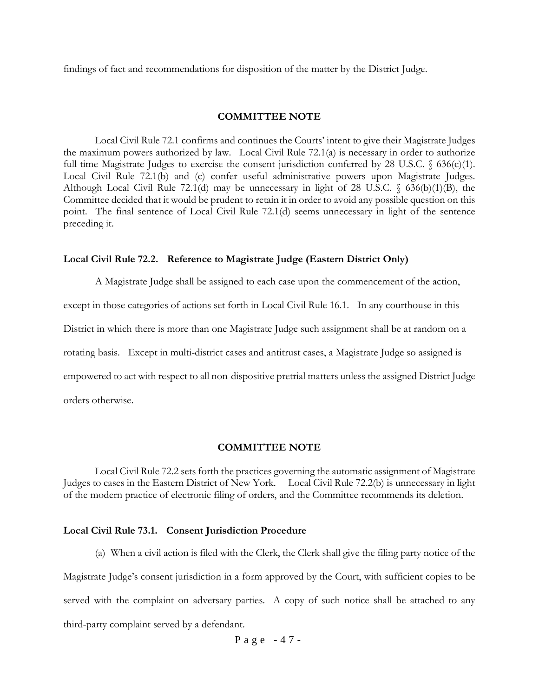findings of fact and recommendations for disposition of the matter by the District Judge.

## **COMMITTEE NOTE**

Local Civil Rule 72.1 confirms and continues the Courts' intent to give their Magistrate Judges the maximum powers authorized by law. Local Civil Rule 72.1(a) is necessary in order to authorize full-time Magistrate Judges to exercise the consent jurisdiction conferred by 28 U.S.C. § 636(c)(1). Local Civil Rule 72.1(b) and (c) confer useful administrative powers upon Magistrate Judges. Although Local Civil Rule 72.1(d) may be unnecessary in light of 28 U.S.C. § 636(b)(1)(B), the Committee decided that it would be prudent to retain it in order to avoid any possible question on this point. The final sentence of Local Civil Rule 72.1(d) seems unnecessary in light of the sentence preceding it.

#### **Local Civil Rule 72.2. Reference to Magistrate Judge (Eastern District Only)**

A Magistrate Judge shall be assigned to each case upon the commencement of the action, except in those categories of actions set forth in Local Civil Rule 16.1. In any courthouse in this District in which there is more than one Magistrate Judge such assignment shall be at random on a rotating basis. Except in multi-district cases and antitrust cases, a Magistrate Judge so assigned is empowered to act with respect to all non-dispositive pretrial matters unless the assigned District Judge orders otherwise.

#### **COMMITTEE NOTE**

Local Civil Rule 72.2 sets forth the practices governing the automatic assignment of Magistrate Judges to cases in the Eastern District of New York. Local Civil Rule 72.2(b) is unnecessary in light of the modern practice of electronic filing of orders, and the Committee recommends its deletion.

#### **Local Civil Rule 73.1. Consent Jurisdiction Procedure**

(a) When a civil action is filed with the Clerk, the Clerk shall give the filing party notice of the Magistrate Judge's consent jurisdiction in a form approved by the Court, with sufficient copies to be served with the complaint on adversary parties. A copy of such notice shall be attached to any

third-party complaint served by a defendant.

Page  $-47$ -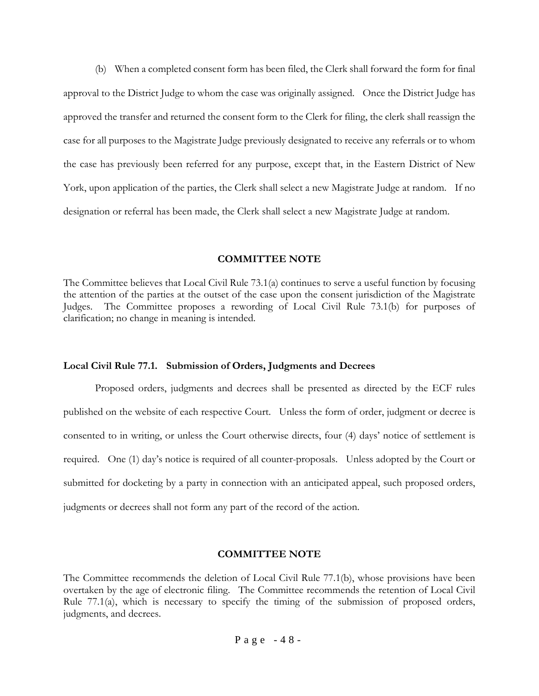(b) When a completed consent form has been filed, the Clerk shall forward the form for final approval to the District Judge to whom the case was originally assigned. Once the District Judge has approved the transfer and returned the consent form to the Clerk for filing, the clerk shall reassign the case for all purposes to the Magistrate Judge previously designated to receive any referrals or to whom the case has previously been referred for any purpose, except that, in the Eastern District of New York, upon application of the parties, the Clerk shall select a new Magistrate Judge at random. If no designation or referral has been made, the Clerk shall select a new Magistrate Judge at random.

#### **COMMITTEE NOTE**

The Committee believes that Local Civil Rule 73.1(a) continues to serve a useful function by focusing the attention of the parties at the outset of the case upon the consent jurisdiction of the Magistrate Judges. The Committee proposes a rewording of Local Civil Rule 73.1(b) for purposes of clarification; no change in meaning is intended.

### **Local Civil Rule 77.1. Submission of Orders, Judgments and Decrees**

Proposed orders, judgments and decrees shall be presented as directed by the ECF rules published on the website of each respective Court. Unless the form of order, judgment or decree is consented to in writing, or unless the Court otherwise directs, four (4) days' notice of settlement is required. One (1) day's notice is required of all counter-proposals. Unless adopted by the Court or submitted for docketing by a party in connection with an anticipated appeal, such proposed orders, judgments or decrees shall not form any part of the record of the action.

### **COMMITTEE NOTE**

The Committee recommends the deletion of Local Civil Rule 77.1(b), whose provisions have been overtaken by the age of electronic filing. The Committee recommends the retention of Local Civil Rule 77.1(a), which is necessary to specify the timing of the submission of proposed orders, judgments, and decrees.

Page - 48 -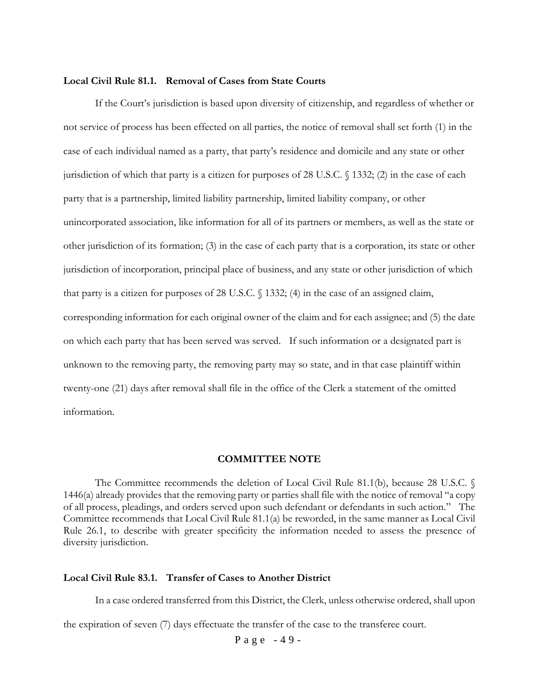#### **Local Civil Rule 81.1. Removal of Cases from State Courts**

If the Court's jurisdiction is based upon diversity of citizenship, and regardless of whether or not service of process has been effected on all parties, the notice of removal shall set forth (1) in the case of each individual named as a party, that party's residence and domicile and any state or other jurisdiction of which that party is a citizen for purposes of 28 U.S.C. § 1332; (2) in the case of each party that is a partnership, limited liability partnership, limited liability company, or other unincorporated association, like information for all of its partners or members, as well as the state or other jurisdiction of its formation; (3) in the case of each party that is a corporation, its state or other jurisdiction of incorporation, principal place of business, and any state or other jurisdiction of which that party is a citizen for purposes of 28 U.S.C. § 1332; (4) in the case of an assigned claim, corresponding information for each original owner of the claim and for each assignee; and (5) the date on which each party that has been served was served. If such information or a designated part is unknown to the removing party, the removing party may so state, and in that case plaintiff within twenty-one (21) days after removal shall file in the office of the Clerk a statement of the omitted information.

#### **COMMITTEE NOTE**

The Committee recommends the deletion of Local Civil Rule 81.1(b), because 28 U.S.C. § 1446(a) already provides that the removing party or parties shall file with the notice of removal "a copy of all process, pleadings, and orders served upon such defendant or defendants in such action." The Committee recommends that Local Civil Rule 81.1(a) be reworded, in the same manner as Local Civil Rule 26.1, to describe with greater specificity the information needed to assess the presence of diversity jurisdiction.

### **Local Civil Rule 83.1. Transfer of Cases to Another District**

In a case ordered transferred from this District, the Clerk, unless otherwise ordered, shall upon

the expiration of seven (7) days effectuate the transfer of the case to the transferee court.

Page  $-49$ -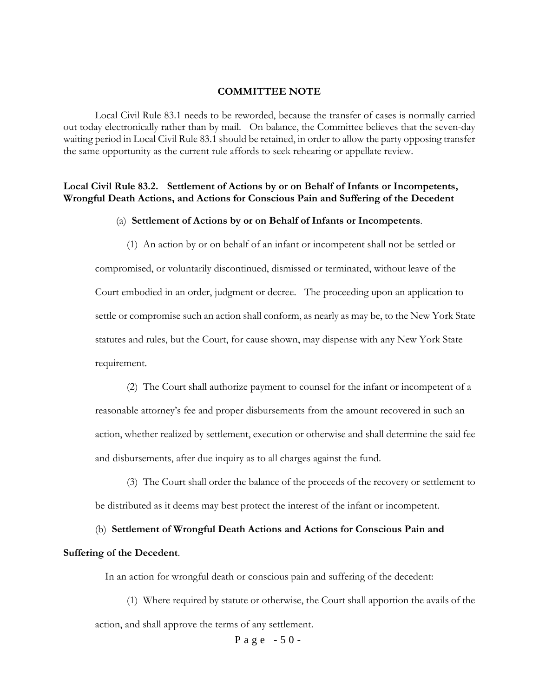# **COMMITTEE NOTE**

Local Civil Rule 83.1 needs to be reworded, because the transfer of cases is normally carried out today electronically rather than by mail. On balance, the Committee believes that the seven-day waiting period in Local Civil Rule 83.1 should be retained, in order to allow the party opposing transfer the same opportunity as the current rule affords to seek rehearing or appellate review.

# **Local Civil Rule 83.2. Settlement of Actions by or on Behalf of Infants or Incompetents, Wrongful Death Actions, and Actions for Conscious Pain and Suffering of the Decedent**

### (a) **Settlement of Actions by or on Behalf of Infants or Incompetents**.

(1) An action by or on behalf of an infant or incompetent shall not be settled or compromised, or voluntarily discontinued, dismissed or terminated, without leave of the Court embodied in an order, judgment or decree. The proceeding upon an application to settle or compromise such an action shall conform, as nearly as may be, to the New York State statutes and rules, but the Court, for cause shown, may dispense with any New York State requirement.

(2) The Court shall authorize payment to counsel for the infant or incompetent of a reasonable attorney's fee and proper disbursements from the amount recovered in such an action, whether realized by settlement, execution or otherwise and shall determine the said fee and disbursements, after due inquiry as to all charges against the fund.

(3) The Court shall order the balance of the proceeds of the recovery or settlement to be distributed as it deems may best protect the interest of the infant or incompetent.

(b) **Settlement of Wrongful Death Actions and Actions for Conscious Pain and Suffering of the Decedent**.

In an action for wrongful death or conscious pain and suffering of the decedent:

(1) Where required by statute or otherwise, the Court shall apportion the avails of the action, and shall approve the terms of any settlement.

Page - 5 0 -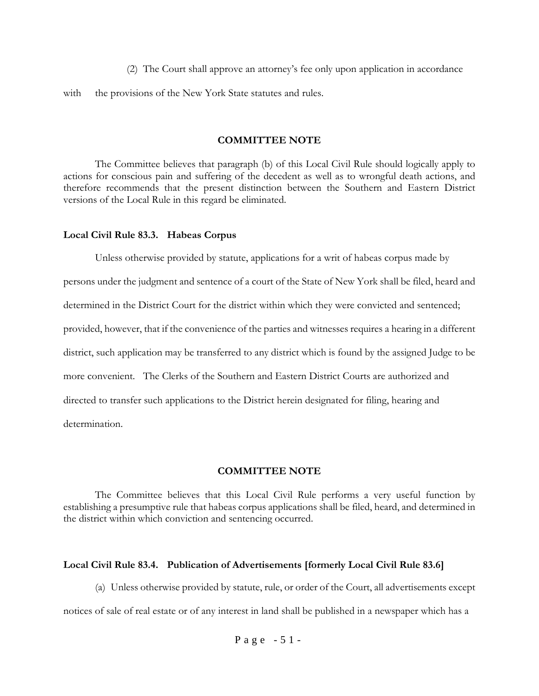(2) The Court shall approve an attorney's fee only upon application in accordance

with the provisions of the New York State statutes and rules.

### **COMMITTEE NOTE**

The Committee believes that paragraph (b) of this Local Civil Rule should logically apply to actions for conscious pain and suffering of the decedent as well as to wrongful death actions, and therefore recommends that the present distinction between the Southern and Eastern District versions of the Local Rule in this regard be eliminated.

#### **Local Civil Rule 83.3. Habeas Corpus**

Unless otherwise provided by statute, applications for a writ of habeas corpus made by persons under the judgment and sentence of a court of the State of New York shall be filed, heard and determined in the District Court for the district within which they were convicted and sentenced; provided, however, that if the convenience of the parties and witnesses requires a hearing in a different district, such application may be transferred to any district which is found by the assigned Judge to be more convenient. The Clerks of the Southern and Eastern District Courts are authorized and directed to transfer such applications to the District herein designated for filing, hearing and determination.

# **COMMITTEE NOTE**

The Committee believes that this Local Civil Rule performs a very useful function by establishing a presumptive rule that habeas corpus applications shall be filed, heard, and determined in the district within which conviction and sentencing occurred.

# **Local Civil Rule 83.4. Publication of Advertisements [formerly Local Civil Rule 83.6]**

(a) Unless otherwise provided by statute, rule, or order of the Court, all advertisements except notices of sale of real estate or of any interest in land shall be published in a newspaper which has a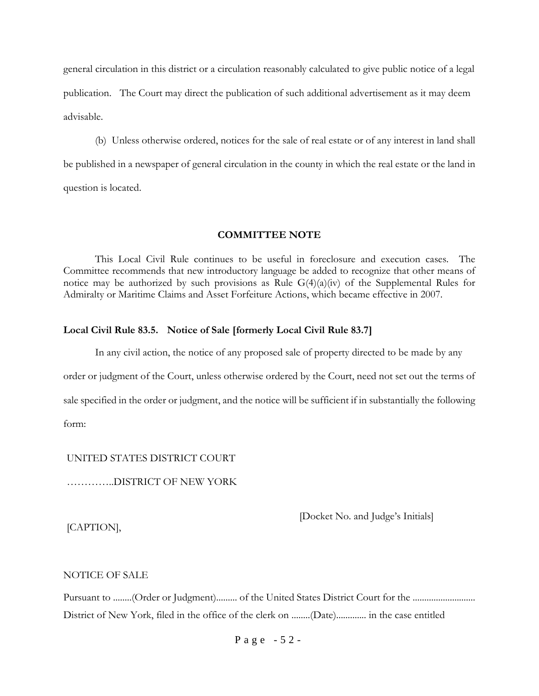general circulation in this district or a circulation reasonably calculated to give public notice of a legal publication. The Court may direct the publication of such additional advertisement as it may deem advisable.

(b) Unless otherwise ordered, notices for the sale of real estate or of any interest in land shall be published in a newspaper of general circulation in the county in which the real estate or the land in question is located.

# **COMMITTEE NOTE**

This Local Civil Rule continues to be useful in foreclosure and execution cases. The Committee recommends that new introductory language be added to recognize that other means of notice may be authorized by such provisions as Rule  $G(4)(a)(iv)$  of the Supplemental Rules for Admiralty or Maritime Claims and Asset Forfeiture Actions, which became effective in 2007.

# **Local Civil Rule 83.5. Notice of Sale [formerly Local Civil Rule 83.7]**

In any civil action, the notice of any proposed sale of property directed to be made by any

order or judgment of the Court, unless otherwise ordered by the Court, need not set out the terms of

sale specified in the order or judgment, and the notice will be sufficient if in substantially the following

form:

# UNITED STATES DISTRICT COURT

…………..DISTRICT OF NEW YORK

[Docket No. and Judge's Initials]

[CAPTION],

# NOTICE OF SALE

Pursuant to ........(Order or Judgment)......... of the United States District Court for the ........................... District of New York, filed in the office of the clerk on ........(Date)............. in the case entitled

Page - 52 -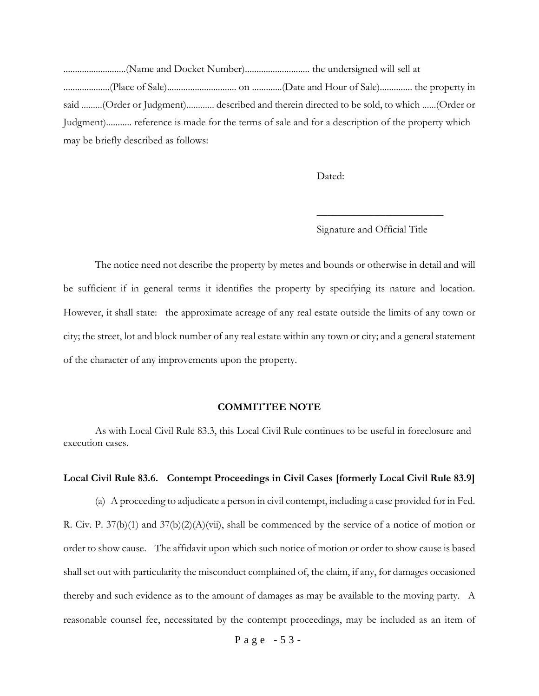...........................(Name and Docket Number)............................ the undersigned will sell at ....................(Place of Sale).............................. on .............(Date and Hour of Sale).............. the property in said .........(Order or Judgment)............ described and therein directed to be sold, to which ......(Order or Judgment)........... reference is made for the terms of sale and for a description of the property which may be briefly described as follows:

Dated:

Signature and Official Title

 $\overline{\phantom{a}}$  , where  $\overline{\phantom{a}}$  , where  $\overline{\phantom{a}}$  , where  $\overline{\phantom{a}}$ 

The notice need not describe the property by metes and bounds or otherwise in detail and will be sufficient if in general terms it identifies the property by specifying its nature and location. However, it shall state: the approximate acreage of any real estate outside the limits of any town or city; the street, lot and block number of any real estate within any town or city; and a general statement of the character of any improvements upon the property.

### **COMMITTEE NOTE**

As with Local Civil Rule 83.3, this Local Civil Rule continues to be useful in foreclosure and execution cases.

### **Local Civil Rule 83.6. Contempt Proceedings in Civil Cases [formerly Local Civil Rule 83.9]**

(a) A proceeding to adjudicate a person in civil contempt, including a case provided for in Fed. R. Civ. P. 37(b)(1) and 37(b)(2)(A)(vii), shall be commenced by the service of a notice of motion or order to show cause. The affidavit upon which such notice of motion or order to show cause is based shall set out with particularity the misconduct complained of, the claim, if any, for damages occasioned thereby and such evidence as to the amount of damages as may be available to the moving party. A reasonable counsel fee, necessitated by the contempt proceedings, may be included as an item of

Page - 53 -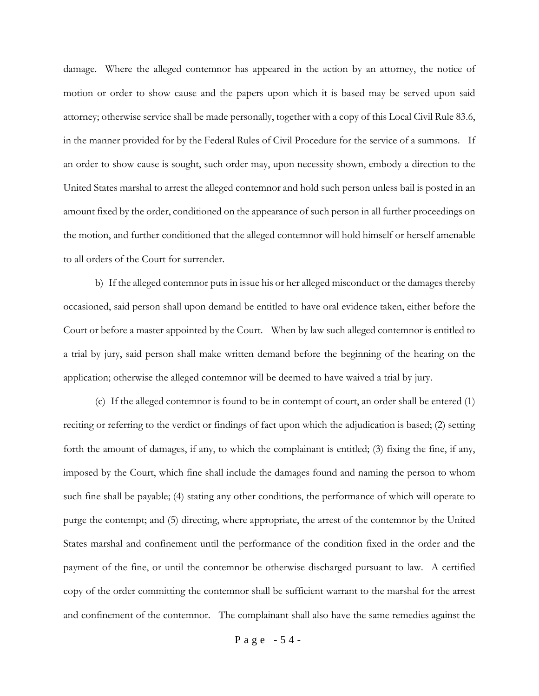damage. Where the alleged contemnor has appeared in the action by an attorney, the notice of motion or order to show cause and the papers upon which it is based may be served upon said attorney; otherwise service shall be made personally, together with a copy of this Local Civil Rule 83.6, in the manner provided for by the Federal Rules of Civil Procedure for the service of a summons. If an order to show cause is sought, such order may, upon necessity shown, embody a direction to the United States marshal to arrest the alleged contemnor and hold such person unless bail is posted in an amount fixed by the order, conditioned on the appearance of such person in all further proceedings on the motion, and further conditioned that the alleged contemnor will hold himself or herself amenable to all orders of the Court for surrender.

b) If the alleged contemnor puts in issue his or her alleged misconduct or the damages thereby occasioned, said person shall upon demand be entitled to have oral evidence taken, either before the Court or before a master appointed by the Court. When by law such alleged contemnor is entitled to a trial by jury, said person shall make written demand before the beginning of the hearing on the application; otherwise the alleged contemnor will be deemed to have waived a trial by jury.

(c) If the alleged contemnor is found to be in contempt of court, an order shall be entered (1) reciting or referring to the verdict or findings of fact upon which the adjudication is based; (2) setting forth the amount of damages, if any, to which the complainant is entitled; (3) fixing the fine, if any, imposed by the Court, which fine shall include the damages found and naming the person to whom such fine shall be payable; (4) stating any other conditions, the performance of which will operate to purge the contempt; and (5) directing, where appropriate, the arrest of the contemnor by the United States marshal and confinement until the performance of the condition fixed in the order and the payment of the fine, or until the contemnor be otherwise discharged pursuant to law. A certified copy of the order committing the contemnor shall be sufficient warrant to the marshal for the arrest and confinement of the contemnor. The complainant shall also have the same remedies against the

Page - 5 4 -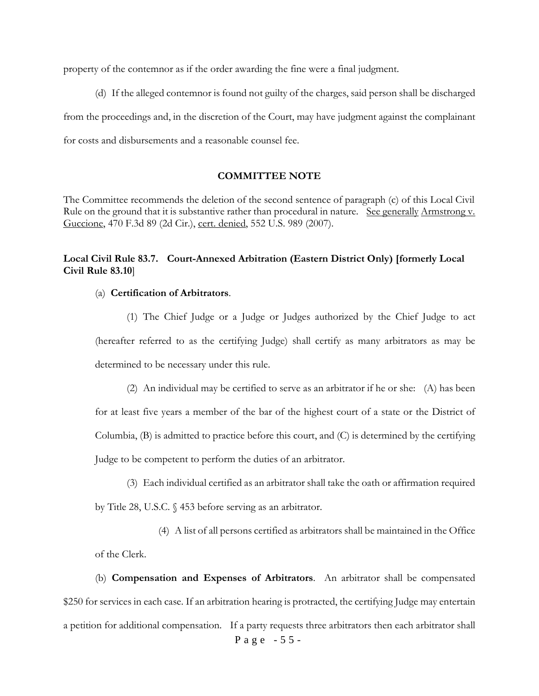property of the contemnor as if the order awarding the fine were a final judgment.

(d) If the alleged contemnor is found not guilty of the charges, said person shall be discharged from the proceedings and, in the discretion of the Court, may have judgment against the complainant for costs and disbursements and a reasonable counsel fee.

# **COMMITTEE NOTE**

The Committee recommends the deletion of the second sentence of paragraph (c) of this Local Civil Rule on the ground that it is substantive rather than procedural in nature. See generally Armstrong v. Guccione, 470 F.3d 89 (2d Cir.), cert. denied, 552 U.S. 989 (2007).

# **Local Civil Rule 83.7. Court-Annexed Arbitration (Eastern District Only) [formerly Local Civil Rule 83.10**]

### (a) **Certification of Arbitrators**.

(1) The Chief Judge or a Judge or Judges authorized by the Chief Judge to act (hereafter referred to as the certifying Judge) shall certify as many arbitrators as may be determined to be necessary under this rule.

(2) An individual may be certified to serve as an arbitrator if he or she: (A) has been for at least five years a member of the bar of the highest court of a state or the District of Columbia, (B) is admitted to practice before this court, and (C) is determined by the certifying Judge to be competent to perform the duties of an arbitrator.

(3) Each individual certified as an arbitrator shall take the oath or affirmation required

by Title 28, U.S.C. § 453 before serving as an arbitrator.

(4) A list of all persons certified as arbitrators shall be maintained in the Office of the Clerk.

Page - 5 5 - (b) **Compensation and Expenses of Arbitrators**. An arbitrator shall be compensated \$250 for services in each case. If an arbitration hearing is protracted, the certifying Judge may entertain a petition for additional compensation. If a party requests three arbitrators then each arbitrator shall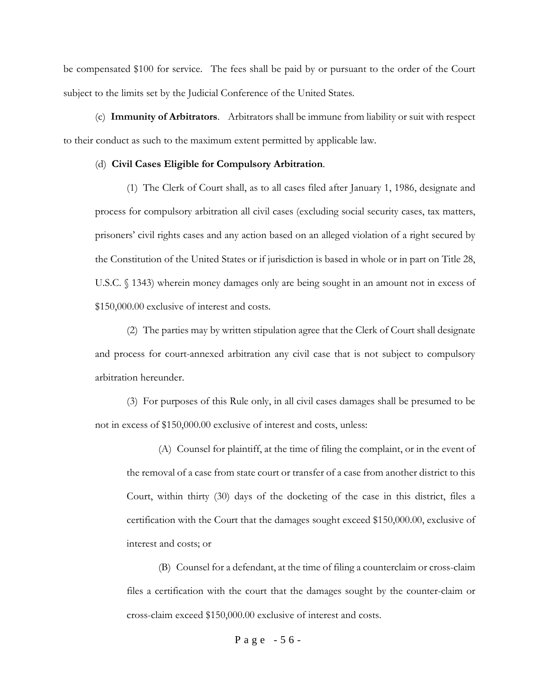be compensated \$100 for service. The fees shall be paid by or pursuant to the order of the Court subject to the limits set by the Judicial Conference of the United States.

(c) **Immunity of Arbitrators**. Arbitrators shall be immune from liability or suit with respect to their conduct as such to the maximum extent permitted by applicable law.

#### (d) **Civil Cases Eligible for Compulsory Arbitration**.

(1) The Clerk of Court shall, as to all cases filed after January 1, 1986, designate and process for compulsory arbitration all civil cases (excluding social security cases, tax matters, prisoners' civil rights cases and any action based on an alleged violation of a right secured by the Constitution of the United States or if jurisdiction is based in whole or in part on Title 28, U.S.C. § 1343) wherein money damages only are being sought in an amount not in excess of \$150,000.00 exclusive of interest and costs.

(2) The parties may by written stipulation agree that the Clerk of Court shall designate and process for court-annexed arbitration any civil case that is not subject to compulsory arbitration hereunder.

(3) For purposes of this Rule only, in all civil cases damages shall be presumed to be not in excess of \$150,000.00 exclusive of interest and costs, unless:

(A) Counsel for plaintiff, at the time of filing the complaint, or in the event of the removal of a case from state court or transfer of a case from another district to this Court, within thirty (30) days of the docketing of the case in this district, files a certification with the Court that the damages sought exceed \$150,000.00, exclusive of interest and costs; or

(B) Counsel for a defendant, at the time of filing a counterclaim or cross-claim files a certification with the court that the damages sought by the counter-claim or cross-claim exceed \$150,000.00 exclusive of interest and costs.

Page - 56 -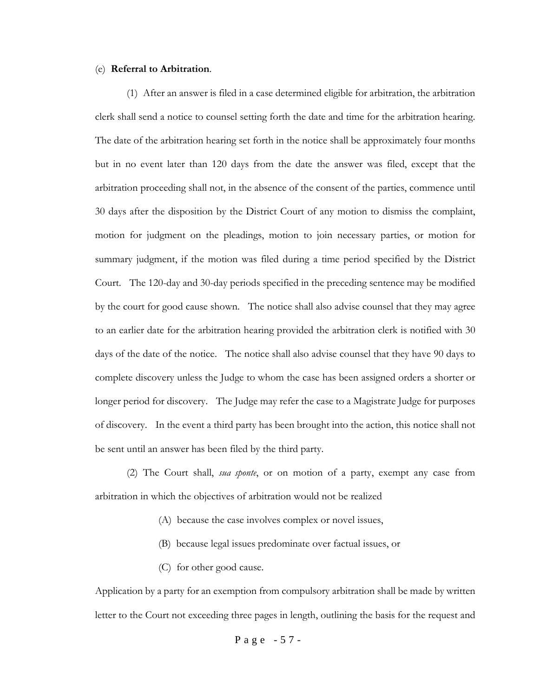#### (e) **Referral to Arbitration**.

(1) After an answer is filed in a case determined eligible for arbitration, the arbitration clerk shall send a notice to counsel setting forth the date and time for the arbitration hearing. The date of the arbitration hearing set forth in the notice shall be approximately four months but in no event later than 120 days from the date the answer was filed, except that the arbitration proceeding shall not, in the absence of the consent of the parties, commence until 30 days after the disposition by the District Court of any motion to dismiss the complaint, motion for judgment on the pleadings, motion to join necessary parties, or motion for summary judgment, if the motion was filed during a time period specified by the District Court. The 120-day and 30-day periods specified in the preceding sentence may be modified by the court for good cause shown. The notice shall also advise counsel that they may agree to an earlier date for the arbitration hearing provided the arbitration clerk is notified with 30 days of the date of the notice. The notice shall also advise counsel that they have 90 days to complete discovery unless the Judge to whom the case has been assigned orders a shorter or longer period for discovery. The Judge may refer the case to a Magistrate Judge for purposes of discovery. In the event a third party has been brought into the action, this notice shall not be sent until an answer has been filed by the third party.

(2) The Court shall, *sua sponte*, or on motion of a party, exempt any case from arbitration in which the objectives of arbitration would not be realized

- (A) because the case involves complex or novel issues,
- (B) because legal issues predominate over factual issues, or
- (C) for other good cause.

Application by a party for an exemption from compulsory arbitration shall be made by written letter to the Court not exceeding three pages in length, outlining the basis for the request and

$$
Page - 57 -
$$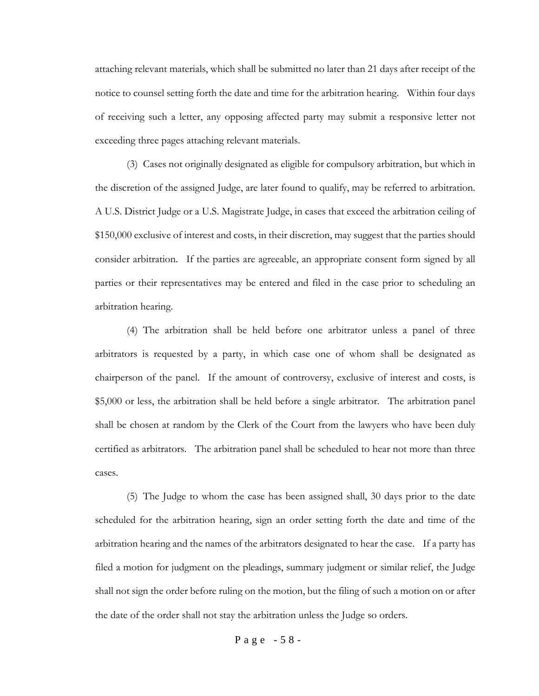attaching relevant materials, which shall be submitted no later than 21 days after receipt of the notice to counsel setting forth the date and time for the arbitration hearing. Within four days of receiving such a letter, any opposing affected party may submit a responsive letter not exceeding three pages attaching relevant materials.

(3) Cases not originally designated as eligible for compulsory arbitration, but which in the discretion of the assigned Judge, are later found to qualify, may be referred to arbitration. A U.S. District Judge or a U.S. Magistrate Judge, in cases that exceed the arbitration ceiling of \$150,000 exclusive of interest and costs, in their discretion, may suggest that the parties should consider arbitration. If the parties are agreeable, an appropriate consent form signed by all parties or their representatives may be entered and filed in the case prior to scheduling an arbitration hearing.

(4) The arbitration shall be held before one arbitrator unless a panel of three arbitrators is requested by a party, in which case one of whom shall be designated as chairperson of the panel. If the amount of controversy, exclusive of interest and costs, is \$5,000 or less, the arbitration shall be held before a single arbitrator. The arbitration panel shall be chosen at random by the Clerk of the Court from the lawyers who have been duly certified as arbitrators. The arbitration panel shall be scheduled to hear not more than three cases.

(5) The Judge to whom the case has been assigned shall, 30 days prior to the date scheduled for the arbitration hearing, sign an order setting forth the date and time of the arbitration hearing and the names of the arbitrators designated to hear the case. If a party has filed a motion for judgment on the pleadings, summary judgment or similar relief, the Judge shall not sign the order before ruling on the motion, but the filing of such a motion on or after the date of the order shall not stay the arbitration unless the Judge so orders.

Page - 5 8 -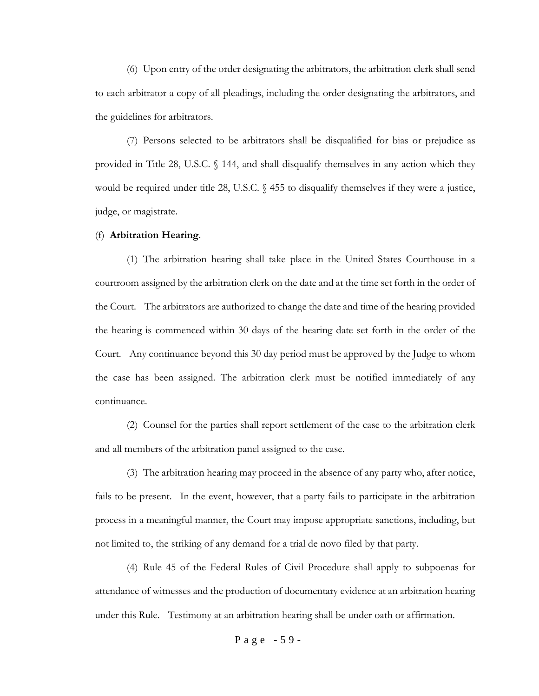(6) Upon entry of the order designating the arbitrators, the arbitration clerk shall send to each arbitrator a copy of all pleadings, including the order designating the arbitrators, and the guidelines for arbitrators.

(7) Persons selected to be arbitrators shall be disqualified for bias or prejudice as provided in Title 28, U.S.C. § 144, and shall disqualify themselves in any action which they would be required under title 28, U.S.C. § 455 to disqualify themselves if they were a justice, judge, or magistrate.

#### (f) **Arbitration Hearing**.

(1) The arbitration hearing shall take place in the United States Courthouse in a courtroom assigned by the arbitration clerk on the date and at the time set forth in the order of the Court. The arbitrators are authorized to change the date and time of the hearing provided the hearing is commenced within 30 days of the hearing date set forth in the order of the Court. Any continuance beyond this 30 day period must be approved by the Judge to whom the case has been assigned. The arbitration clerk must be notified immediately of any continuance.

(2) Counsel for the parties shall report settlement of the case to the arbitration clerk and all members of the arbitration panel assigned to the case.

(3) The arbitration hearing may proceed in the absence of any party who, after notice, fails to be present. In the event, however, that a party fails to participate in the arbitration process in a meaningful manner, the Court may impose appropriate sanctions, including, but not limited to, the striking of any demand for a trial de novo filed by that party.

(4) Rule 45 of the Federal Rules of Civil Procedure shall apply to subpoenas for attendance of witnesses and the production of documentary evidence at an arbitration hearing under this Rule. Testimony at an arbitration hearing shall be under oath or affirmation.

Page - 59 -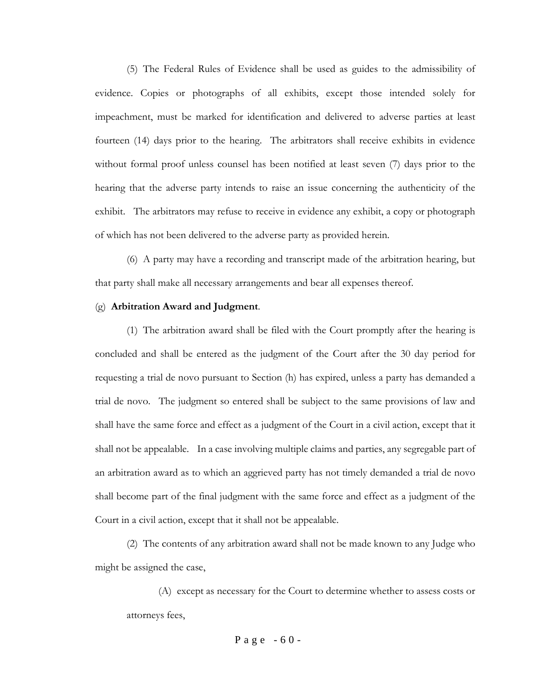(5) The Federal Rules of Evidence shall be used as guides to the admissibility of evidence. Copies or photographs of all exhibits, except those intended solely for impeachment, must be marked for identification and delivered to adverse parties at least fourteen (14) days prior to the hearing. The arbitrators shall receive exhibits in evidence without formal proof unless counsel has been notified at least seven (7) days prior to the hearing that the adverse party intends to raise an issue concerning the authenticity of the exhibit. The arbitrators may refuse to receive in evidence any exhibit, a copy or photograph of which has not been delivered to the adverse party as provided herein.

(6) A party may have a recording and transcript made of the arbitration hearing, but that party shall make all necessary arrangements and bear all expenses thereof.

### (g) **Arbitration Award and Judgment**.

(1) The arbitration award shall be filed with the Court promptly after the hearing is concluded and shall be entered as the judgment of the Court after the 30 day period for requesting a trial de novo pursuant to Section (h) has expired, unless a party has demanded a trial de novo. The judgment so entered shall be subject to the same provisions of law and shall have the same force and effect as a judgment of the Court in a civil action, except that it shall not be appealable. In a case involving multiple claims and parties, any segregable part of an arbitration award as to which an aggrieved party has not timely demanded a trial de novo shall become part of the final judgment with the same force and effect as a judgment of the Court in a civil action, except that it shall not be appealable.

(2) The contents of any arbitration award shall not be made known to any Judge who might be assigned the case,

(A) except as necessary for the Court to determine whether to assess costs or attorneys fees,

Page  $-60$  -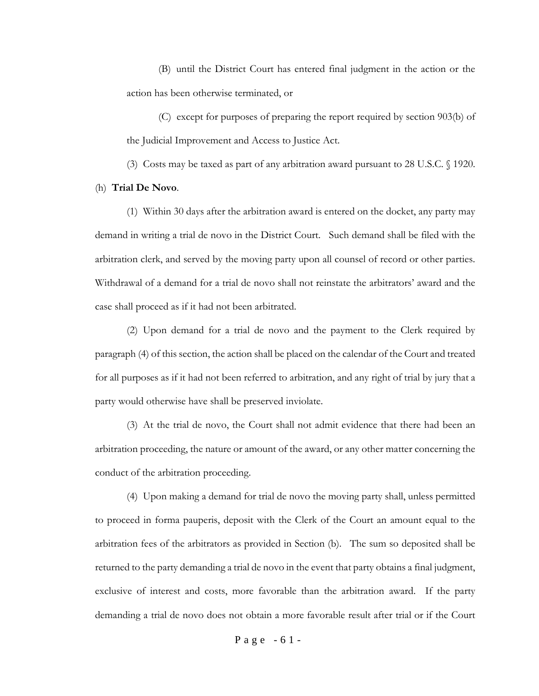(B) until the District Court has entered final judgment in the action or the action has been otherwise terminated, or

(C) except for purposes of preparing the report required by section 903(b) of the Judicial Improvement and Access to Justice Act.

(3) Costs may be taxed as part of any arbitration award pursuant to 28 U.S.C. § 1920.

### (h) **Trial De Novo**.

(1) Within 30 days after the arbitration award is entered on the docket, any party may demand in writing a trial de novo in the District Court. Such demand shall be filed with the arbitration clerk, and served by the moving party upon all counsel of record or other parties. Withdrawal of a demand for a trial de novo shall not reinstate the arbitrators' award and the case shall proceed as if it had not been arbitrated.

(2) Upon demand for a trial de novo and the payment to the Clerk required by paragraph (4) of this section, the action shall be placed on the calendar of the Court and treated for all purposes as if it had not been referred to arbitration, and any right of trial by jury that a party would otherwise have shall be preserved inviolate.

(3) At the trial de novo, the Court shall not admit evidence that there had been an arbitration proceeding, the nature or amount of the award, or any other matter concerning the conduct of the arbitration proceeding.

(4) Upon making a demand for trial de novo the moving party shall, unless permitted to proceed in forma pauperis, deposit with the Clerk of the Court an amount equal to the arbitration fees of the arbitrators as provided in Section (b). The sum so deposited shall be returned to the party demanding a trial de novo in the event that party obtains a final judgment, exclusive of interest and costs, more favorable than the arbitration award. If the party demanding a trial de novo does not obtain a more favorable result after trial or if the Court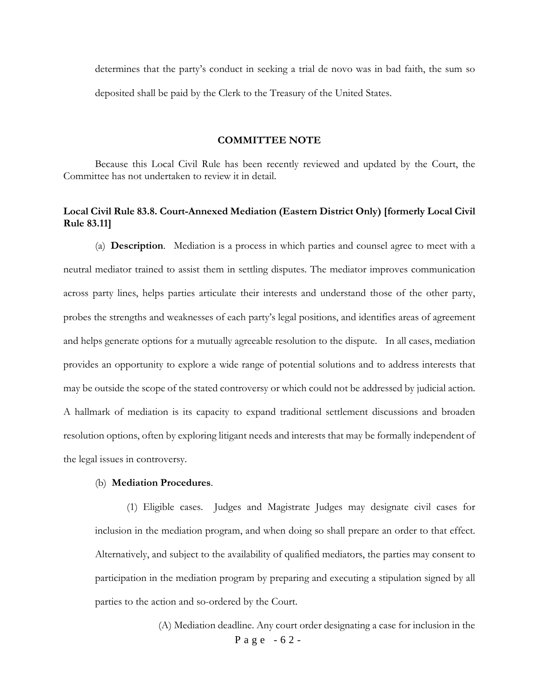determines that the party's conduct in seeking a trial de novo was in bad faith, the sum so deposited shall be paid by the Clerk to the Treasury of the United States.

### **COMMITTEE NOTE**

Because this Local Civil Rule has been recently reviewed and updated by the Court, the Committee has not undertaken to review it in detail.

# **Local Civil Rule 83.8. Court-Annexed Mediation (Eastern District Only) [formerly Local Civil Rule 83.11]**

(a) **Description**. Mediation is a process in which parties and counsel agree to meet with a neutral mediator trained to assist them in settling disputes. The mediator improves communication across party lines, helps parties articulate their interests and understand those of the other party, probes the strengths and weaknesses of each party's legal positions, and identifies areas of agreement and helps generate options for a mutually agreeable resolution to the dispute. In all cases, mediation provides an opportunity to explore a wide range of potential solutions and to address interests that may be outside the scope of the stated controversy or which could not be addressed by judicial action. A hallmark of mediation is its capacity to expand traditional settlement discussions and broaden resolution options, often by exploring litigant needs and interests that may be formally independent of the legal issues in controversy.

# (b) **Mediation Procedures**.

(1) Eligible cases. Judges and Magistrate Judges may designate civil cases for inclusion in the mediation program, and when doing so shall prepare an order to that effect. Alternatively, and subject to the availability of qualified mediators, the parties may consent to participation in the mediation program by preparing and executing a stipulation signed by all parties to the action and so-ordered by the Court.

> Page - 6 2 - (A) Mediation deadline. Any court order designating a case for inclusion in the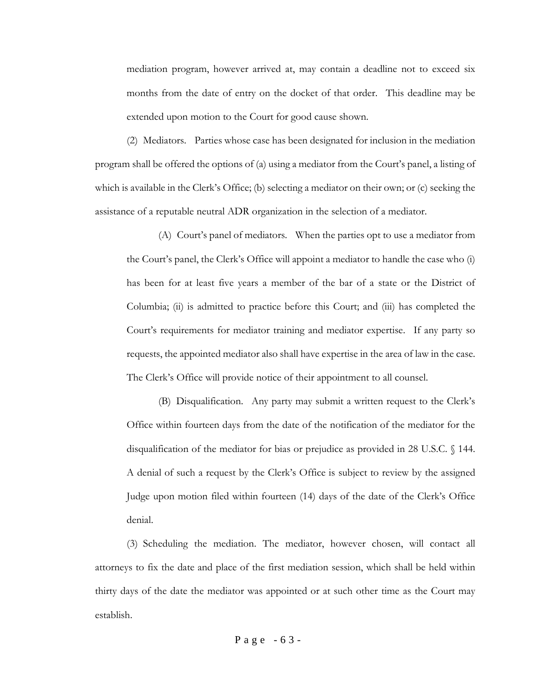mediation program, however arrived at, may contain a deadline not to exceed six months from the date of entry on the docket of that order. This deadline may be extended upon motion to the Court for good cause shown.

(2) Mediators. Parties whose case has been designated for inclusion in the mediation program shall be offered the options of (a) using a mediator from the Court's panel, a listing of which is available in the Clerk's Office; (b) selecting a mediator on their own; or (c) seeking the assistance of a reputable neutral ADR organization in the selection of a mediator.

(A) Court's panel of mediators. When the parties opt to use a mediator from the Court's panel, the Clerk's Office will appoint a mediator to handle the case who (i) has been for at least five years a member of the bar of a state or the District of Columbia; (ii) is admitted to practice before this Court; and (iii) has completed the Court's requirements for mediator training and mediator expertise. If any party so requests, the appointed mediator also shall have expertise in the area of law in the case. The Clerk's Office will provide notice of their appointment to all counsel.

(B) Disqualification. Any party may submit a written request to the Clerk's Office within fourteen days from the date of the notification of the mediator for the disqualification of the mediator for bias or prejudice as provided in 28 U.S.C. § 144. A denial of such a request by the Clerk's Office is subject to review by the assigned Judge upon motion filed within fourteen (14) days of the date of the Clerk's Office denial.

(3) Scheduling the mediation. The mediator, however chosen, will contact all attorneys to fix the date and place of the first mediation session, which shall be held within thirty days of the date the mediator was appointed or at such other time as the Court may establish.

Page - 63 -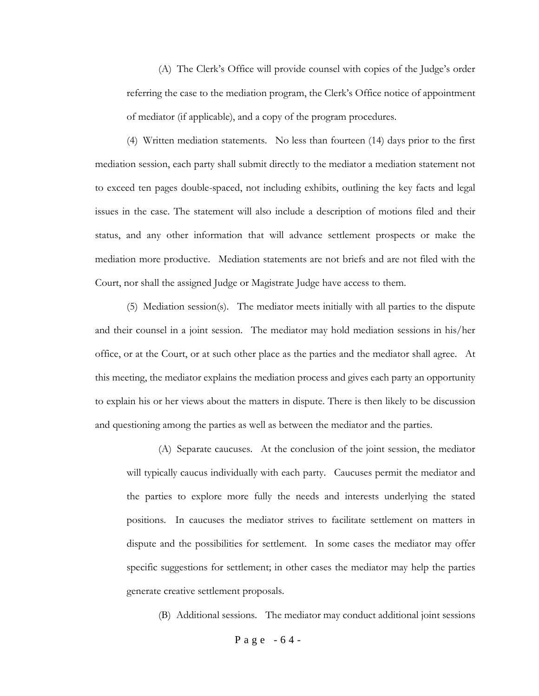(A) The Clerk's Office will provide counsel with copies of the Judge's order referring the case to the mediation program, the Clerk's Office notice of appointment of mediator (if applicable), and a copy of the program procedures.

(4) Written mediation statements. No less than fourteen (14) days prior to the first mediation session, each party shall submit directly to the mediator a mediation statement not to exceed ten pages double-spaced, not including exhibits, outlining the key facts and legal issues in the case. The statement will also include a description of motions filed and their status, and any other information that will advance settlement prospects or make the mediation more productive. Mediation statements are not briefs and are not filed with the Court, nor shall the assigned Judge or Magistrate Judge have access to them.

(5) Mediation session(s). The mediator meets initially with all parties to the dispute and their counsel in a joint session. The mediator may hold mediation sessions in his/her office, or at the Court, or at such other place as the parties and the mediator shall agree. At this meeting, the mediator explains the mediation process and gives each party an opportunity to explain his or her views about the matters in dispute. There is then likely to be discussion and questioning among the parties as well as between the mediator and the parties.

(A) Separate caucuses. At the conclusion of the joint session, the mediator will typically caucus individually with each party. Caucuses permit the mediator and the parties to explore more fully the needs and interests underlying the stated positions. In caucuses the mediator strives to facilitate settlement on matters in dispute and the possibilities for settlement. In some cases the mediator may offer specific suggestions for settlement; in other cases the mediator may help the parties generate creative settlement proposals.

(B) Additional sessions. The mediator may conduct additional joint sessions

Page - 6 4 -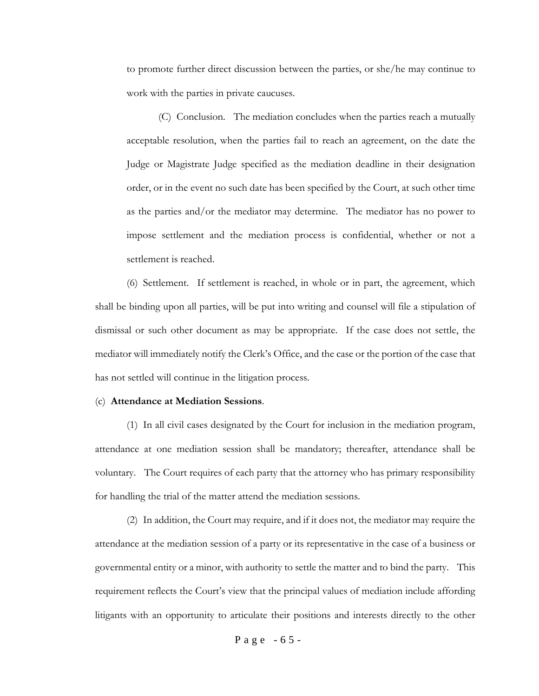to promote further direct discussion between the parties, or she/he may continue to work with the parties in private caucuses.

(C) Conclusion. The mediation concludes when the parties reach a mutually acceptable resolution, when the parties fail to reach an agreement, on the date the Judge or Magistrate Judge specified as the mediation deadline in their designation order, or in the event no such date has been specified by the Court, at such other time as the parties and/or the mediator may determine. The mediator has no power to impose settlement and the mediation process is confidential, whether or not a settlement is reached.

(6) Settlement. If settlement is reached, in whole or in part, the agreement, which shall be binding upon all parties, will be put into writing and counsel will file a stipulation of dismissal or such other document as may be appropriate. If the case does not settle, the mediator will immediately notify the Clerk's Office, and the case or the portion of the case that has not settled will continue in the litigation process.

### (c) **Attendance at Mediation Sessions**.

(1) In all civil cases designated by the Court for inclusion in the mediation program, attendance at one mediation session shall be mandatory; thereafter, attendance shall be voluntary. The Court requires of each party that the attorney who has primary responsibility for handling the trial of the matter attend the mediation sessions.

(2) In addition, the Court may require, and if it does not, the mediator may require the attendance at the mediation session of a party or its representative in the case of a business or governmental entity or a minor, with authority to settle the matter and to bind the party. This requirement reflects the Court's view that the principal values of mediation include affording litigants with an opportunity to articulate their positions and interests directly to the other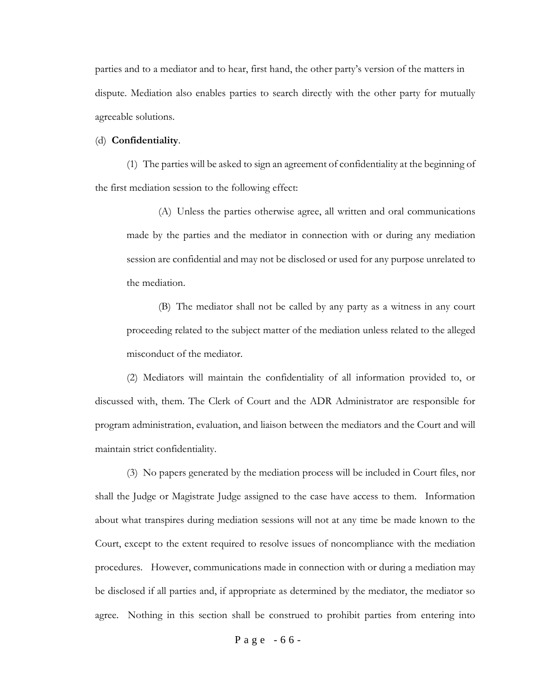parties and to a mediator and to hear, first hand, the other party's version of the matters in dispute. Mediation also enables parties to search directly with the other party for mutually agreeable solutions.

### (d) **Confidentiality**.

(1) The parties will be asked to sign an agreement of confidentiality at the beginning of the first mediation session to the following effect:

(A) Unless the parties otherwise agree, all written and oral communications made by the parties and the mediator in connection with or during any mediation session are confidential and may not be disclosed or used for any purpose unrelated to the mediation.

(B) The mediator shall not be called by any party as a witness in any court proceeding related to the subject matter of the mediation unless related to the alleged misconduct of the mediator.

(2) Mediators will maintain the confidentiality of all information provided to, or discussed with, them. The Clerk of Court and the ADR Administrator are responsible for program administration, evaluation, and liaison between the mediators and the Court and will maintain strict confidentiality.

(3) No papers generated by the mediation process will be included in Court files, nor shall the Judge or Magistrate Judge assigned to the case have access to them. Information about what transpires during mediation sessions will not at any time be made known to the Court, except to the extent required to resolve issues of noncompliance with the mediation procedures. However, communications made in connection with or during a mediation may be disclosed if all parties and, if appropriate as determined by the mediator, the mediator so agree. Nothing in this section shall be construed to prohibit parties from entering into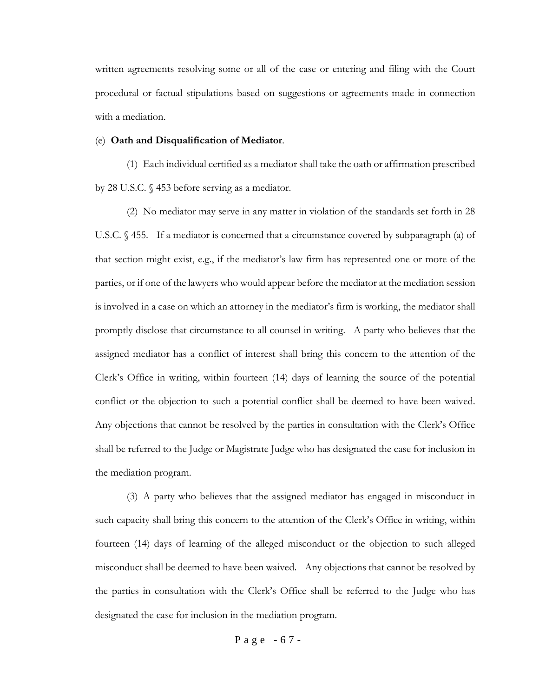written agreements resolving some or all of the case or entering and filing with the Court procedural or factual stipulations based on suggestions or agreements made in connection with a mediation.

### (e) **Oath and Disqualification of Mediator**.

(1) Each individual certified as a mediator shall take the oath or affirmation prescribed by 28 U.S.C. § 453 before serving as a mediator.

(2) No mediator may serve in any matter in violation of the standards set forth in 28 U.S.C. § 455. If a mediator is concerned that a circumstance covered by subparagraph (a) of that section might exist, e.g., if the mediator's law firm has represented one or more of the parties, or if one of the lawyers who would appear before the mediator at the mediation session is involved in a case on which an attorney in the mediator's firm is working, the mediator shall promptly disclose that circumstance to all counsel in writing. A party who believes that the assigned mediator has a conflict of interest shall bring this concern to the attention of the Clerk's Office in writing, within fourteen (14) days of learning the source of the potential conflict or the objection to such a potential conflict shall be deemed to have been waived. Any objections that cannot be resolved by the parties in consultation with the Clerk's Office shall be referred to the Judge or Magistrate Judge who has designated the case for inclusion in the mediation program.

(3) A party who believes that the assigned mediator has engaged in misconduct in such capacity shall bring this concern to the attention of the Clerk's Office in writing, within fourteen (14) days of learning of the alleged misconduct or the objection to such alleged misconduct shall be deemed to have been waived. Any objections that cannot be resolved by the parties in consultation with the Clerk's Office shall be referred to the Judge who has designated the case for inclusion in the mediation program.

Page  $-67$  -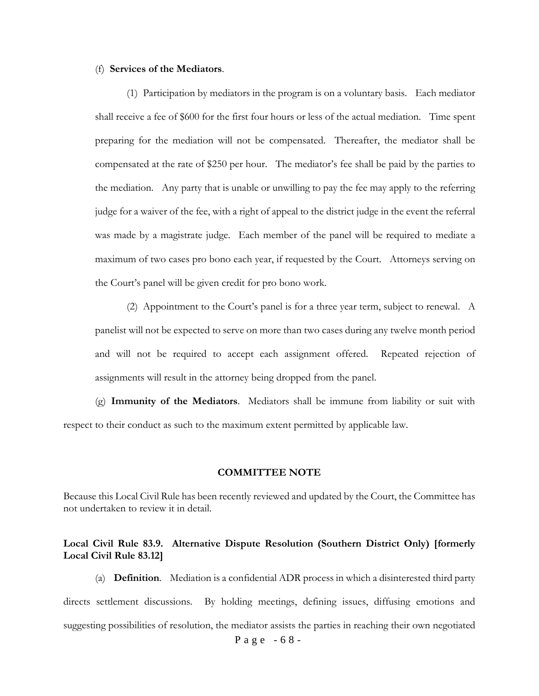### (f) **Services of the Mediators**.

(1) Participation by mediators in the program is on a voluntary basis. Each mediator shall receive a fee of \$600 for the first four hours or less of the actual mediation. Time spent preparing for the mediation will not be compensated. Thereafter, the mediator shall be compensated at the rate of \$250 per hour. The mediator's fee shall be paid by the parties to the mediation. Any party that is unable or unwilling to pay the fee may apply to the referring judge for a waiver of the fee, with a right of appeal to the district judge in the event the referral was made by a magistrate judge. Each member of the panel will be required to mediate a maximum of two cases pro bono each year, if requested by the Court. Attorneys serving on the Court's panel will be given credit for pro bono work.

(2) Appointment to the Court's panel is for a three year term, subject to renewal. A panelist will not be expected to serve on more than two cases during any twelve month period and will not be required to accept each assignment offered. Repeated rejection of assignments will result in the attorney being dropped from the panel.

(g) **Immunity of the Mediators**. Mediators shall be immune from liability or suit with respect to their conduct as such to the maximum extent permitted by applicable law.

## **COMMITTEE NOTE**

Because this Local Civil Rule has been recently reviewed and updated by the Court, the Committee has not undertaken to review it in detail.

# **Local Civil Rule 83.9. Alternative Dispute Resolution (Southern District Only) [formerly Local Civil Rule 83.12]**

Page  $-68$  -(a) **Definition**. Mediation is a confidential ADR process in which a disinterested third party directs settlement discussions. By holding meetings, defining issues, diffusing emotions and suggesting possibilities of resolution, the mediator assists the parties in reaching their own negotiated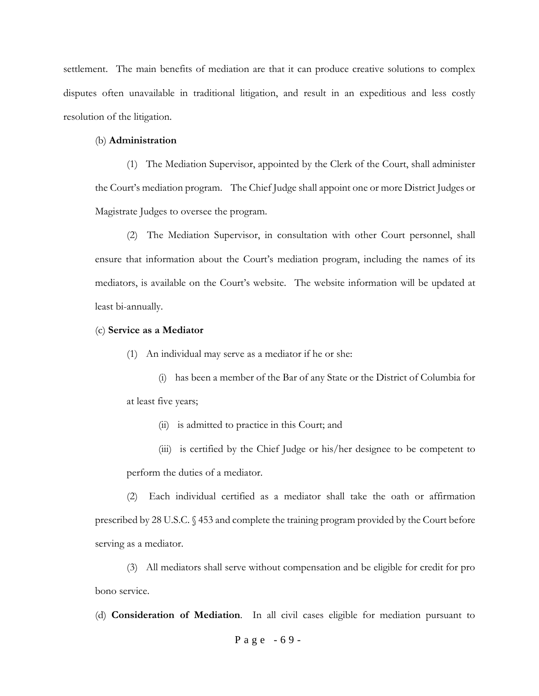settlement. The main benefits of mediation are that it can produce creative solutions to complex disputes often unavailable in traditional litigation, and result in an expeditious and less costly resolution of the litigation.

#### (b) **Administration**

(1) The Mediation Supervisor, appointed by the Clerk of the Court, shall administer the Court's mediation program. The Chief Judge shall appoint one or more District Judges or Magistrate Judges to oversee the program.

(2) The Mediation Supervisor, in consultation with other Court personnel, shall ensure that information about the Court's mediation program, including the names of its mediators, is available on the Court's website. The website information will be updated at least bi-annually.

#### (c) **Service as a Mediator**

(1) An individual may serve as a mediator if he or she:

- (i) has been a member of the Bar of any State or the District of Columbia for at least five years;
	- (ii) is admitted to practice in this Court; and
- (iii) is certified by the Chief Judge or his/her designee to be competent to perform the duties of a mediator.

(2) Each individual certified as a mediator shall take the oath or affirmation prescribed by 28 U.S.C. § 453 and complete the training program provided by the Court before serving as a mediator.

(3) All mediators shall serve without compensation and be eligible for credit for pro bono service.

(d) **Consideration of Mediation**. In all civil cases eligible for mediation pursuant to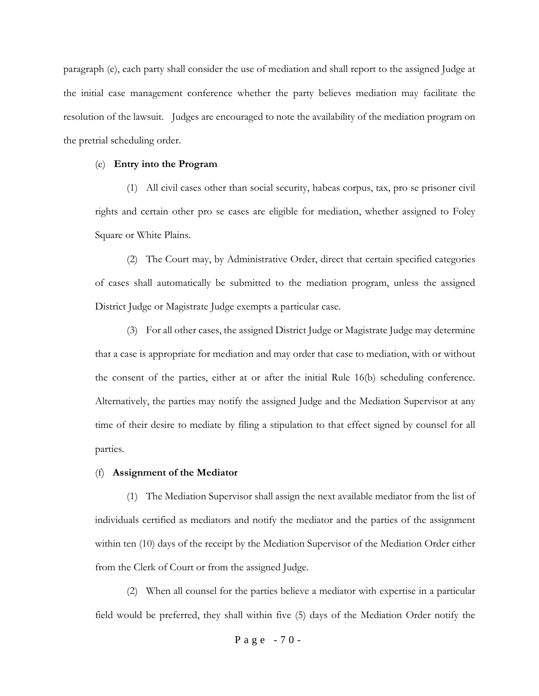paragraph (e), each party shall consider the use of mediation and shall report to the assigned Judge at the initial case management conference whether the party believes mediation may facilitate the resolution of the lawsuit. Judges are encouraged to note the availability of the mediation program on the pretrial scheduling order.

## (e) **Entry into the Program**

(1) All civil cases other than social security, habeas corpus, tax, pro se prisoner civil rights and certain other pro se cases are eligible for mediation, whether assigned to Foley Square or White Plains.

(2) The Court may, by Administrative Order, direct that certain specified categories of cases shall automatically be submitted to the mediation program, unless the assigned District Judge or Magistrate Judge exempts a particular case.

(3) For all other cases, the assigned District Judge or Magistrate Judge may determine that a case is appropriate for mediation and may order that case to mediation, with or without the consent of the parties, either at or after the initial Rule 16(b) scheduling conference. Alternatively, the parties may notify the assigned Judge and the Mediation Supervisor at any time of their desire to mediate by filing a stipulation to that effect signed by counsel for all parties.

#### (f) **Assignment of the Mediator**

(1) The Mediation Supervisor shall assign the next available mediator from the list of individuals certified as mediators and notify the mediator and the parties of the assignment within ten (10) days of the receipt by the Mediation Supervisor of the Mediation Order either from the Clerk of Court or from the assigned Judge.

(2) When all counsel for the parties believe a mediator with expertise in a particular field would be preferred, they shall within five (5) days of the Mediation Order notify the

$$
P age - 70 -
$$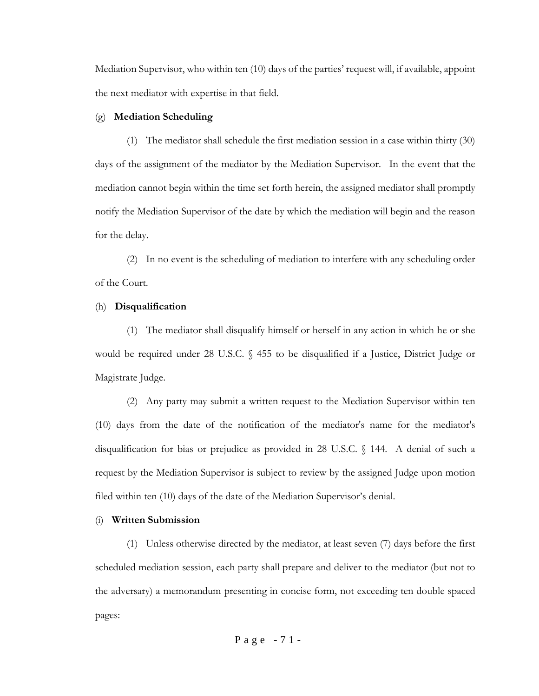Mediation Supervisor, who within ten (10) days of the parties' request will, if available, appoint the next mediator with expertise in that field.

### (g) **Mediation Scheduling**

(1) The mediator shall schedule the first mediation session in a case within thirty (30) days of the assignment of the mediator by the Mediation Supervisor. In the event that the mediation cannot begin within the time set forth herein, the assigned mediator shall promptly notify the Mediation Supervisor of the date by which the mediation will begin and the reason for the delay.

(2) In no event is the scheduling of mediation to interfere with any scheduling order of the Court.

## (h) **Disqualification**

(1) The mediator shall disqualify himself or herself in any action in which he or she would be required under 28 U.S.C. § 455 to be disqualified if a Justice, District Judge or Magistrate Judge.

(2) Any party may submit a written request to the Mediation Supervisor within ten (10) days from the date of the notification of the mediator's name for the mediator's disqualification for bias or prejudice as provided in 28 U.S.C. § 144. A denial of such a request by the Mediation Supervisor is subject to review by the assigned Judge upon motion filed within ten (10) days of the date of the Mediation Supervisor's denial.

## (i) **Written Submission**

(1) Unless otherwise directed by the mediator, at least seven (7) days before the first scheduled mediation session, each party shall prepare and deliver to the mediator (but not to the adversary) a memorandum presenting in concise form, not exceeding ten double spaced pages:

Page - 71 -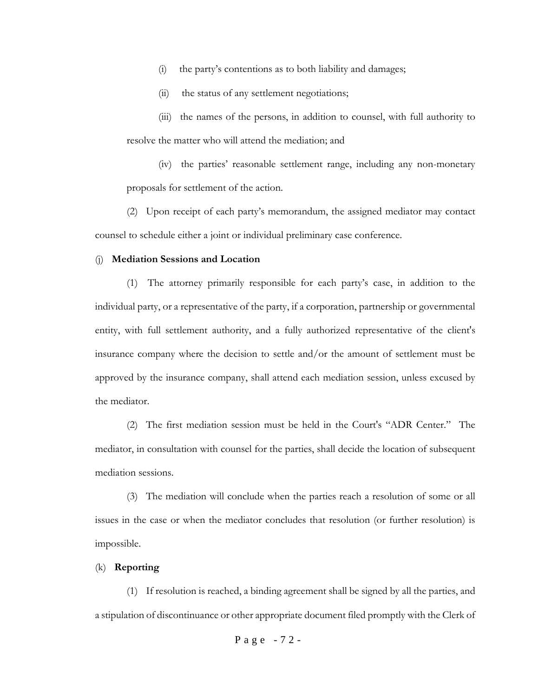- (i) the party's contentions as to both liability and damages;
- (ii) the status of any settlement negotiations;

(iii) the names of the persons, in addition to counsel, with full authority to resolve the matter who will attend the mediation; and

(iv) the parties' reasonable settlement range, including any non-monetary proposals for settlement of the action.

(2) Upon receipt of each party's memorandum, the assigned mediator may contact counsel to schedule either a joint or individual preliminary case conference.

#### (j) **Mediation Sessions and Location**

(1) The attorney primarily responsible for each party's case, in addition to the individual party, or a representative of the party, if a corporation, partnership or governmental entity, with full settlement authority, and a fully authorized representative of the client's insurance company where the decision to settle and/or the amount of settlement must be approved by the insurance company, shall attend each mediation session, unless excused by the mediator.

(2) The first mediation session must be held in the Court's "ADR Center." The mediator, in consultation with counsel for the parties, shall decide the location of subsequent mediation sessions.

(3) The mediation will conclude when the parties reach a resolution of some or all issues in the case or when the mediator concludes that resolution (or further resolution) is impossible.

#### (k) **Reporting**

(1) If resolution is reached, a binding agreement shall be signed by all the parties, and a stipulation of discontinuance or other appropriate document filed promptly with the Clerk of

Page - 72 -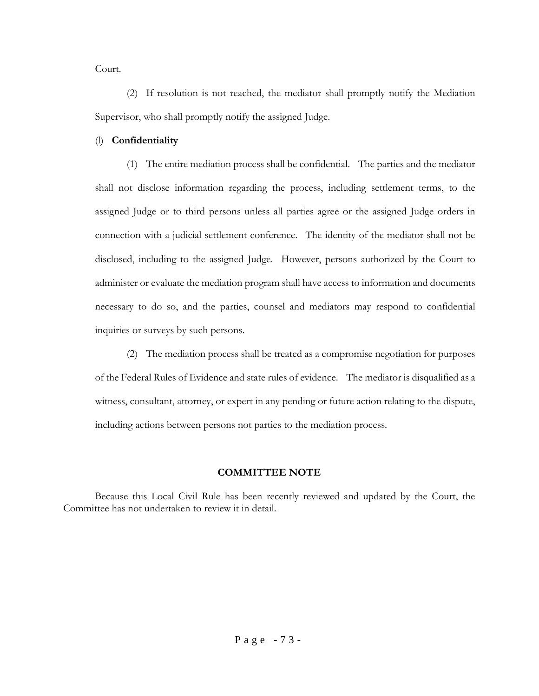Court.

(2) If resolution is not reached, the mediator shall promptly notify the Mediation Supervisor, who shall promptly notify the assigned Judge.

# (l) **Confidentiality**

(1) The entire mediation process shall be confidential. The parties and the mediator shall not disclose information regarding the process, including settlement terms, to the assigned Judge or to third persons unless all parties agree or the assigned Judge orders in connection with a judicial settlement conference. The identity of the mediator shall not be disclosed, including to the assigned Judge. However, persons authorized by the Court to administer or evaluate the mediation program shall have access to information and documents necessary to do so, and the parties, counsel and mediators may respond to confidential inquiries or surveys by such persons.

(2) The mediation process shall be treated as a compromise negotiation for purposes of the Federal Rules of Evidence and state rules of evidence. The mediator is disqualified as a witness, consultant, attorney, or expert in any pending or future action relating to the dispute, including actions between persons not parties to the mediation process.

# **COMMITTEE NOTE**

Because this Local Civil Rule has been recently reviewed and updated by the Court, the Committee has not undertaken to review it in detail.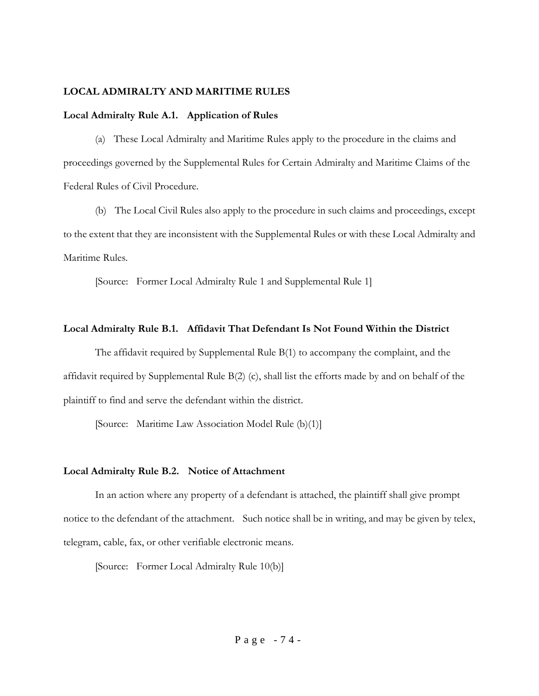## **LOCAL ADMIRALTY AND MARITIME RULES**

## **Local Admiralty Rule A.1. Application of Rules**

(a) These Local Admiralty and Maritime Rules apply to the procedure in the claims and proceedings governed by the Supplemental Rules for Certain Admiralty and Maritime Claims of the Federal Rules of Civil Procedure.

(b) The Local Civil Rules also apply to the procedure in such claims and proceedings, except to the extent that they are inconsistent with the Supplemental Rules or with these Local Admiralty and Maritime Rules.

[Source: Former Local Admiralty Rule 1 and Supplemental Rule 1]

## **Local Admiralty Rule B.1. Affidavit That Defendant Is Not Found Within the District**

The affidavit required by Supplemental Rule B(1) to accompany the complaint, and the affidavit required by Supplemental Rule B(2) (c), shall list the efforts made by and on behalf of the plaintiff to find and serve the defendant within the district.

[Source: Maritime Law Association Model Rule (b)(1)]

### **Local Admiralty Rule B.2. Notice of Attachment**

In an action where any property of a defendant is attached, the plaintiff shall give prompt notice to the defendant of the attachment. Such notice shall be in writing, and may be given by telex, telegram, cable, fax, or other verifiable electronic means.

[Source: Former Local Admiralty Rule 10(b)]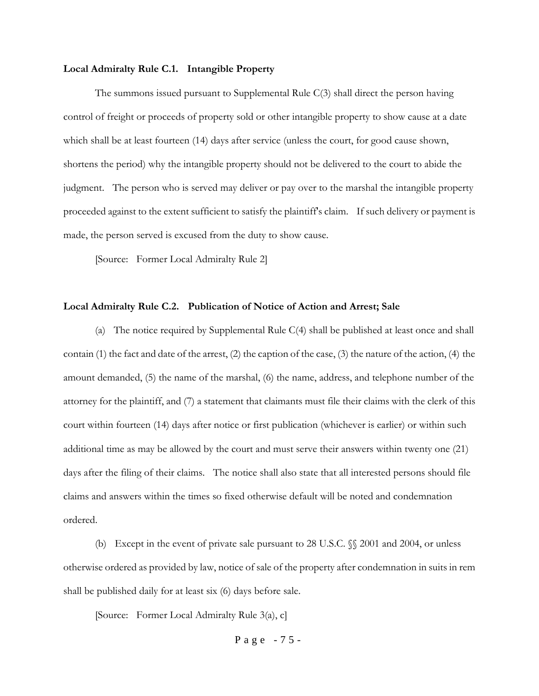## **Local Admiralty Rule C.1. Intangible Property**

The summons issued pursuant to Supplemental Rule  $C(3)$  shall direct the person having control of freight or proceeds of property sold or other intangible property to show cause at a date which shall be at least fourteen (14) days after service (unless the court, for good cause shown, shortens the period) why the intangible property should not be delivered to the court to abide the judgment. The person who is served may deliver or pay over to the marshal the intangible property proceeded against to the extent sufficient to satisfy the plaintiff's claim. If such delivery or payment is made, the person served is excused from the duty to show cause.

[Source: Former Local Admiralty Rule 2]

#### **Local Admiralty Rule C.2. Publication of Notice of Action and Arrest; Sale**

(a) The notice required by Supplemental Rule C(4) shall be published at least once and shall contain  $(1)$  the fact and date of the arrest,  $(2)$  the caption of the case,  $(3)$  the nature of the action,  $(4)$  the amount demanded, (5) the name of the marshal, (6) the name, address, and telephone number of the attorney for the plaintiff, and (7) a statement that claimants must file their claims with the clerk of this court within fourteen (14) days after notice or first publication (whichever is earlier) or within such additional time as may be allowed by the court and must serve their answers within twenty one (21) days after the filing of their claims. The notice shall also state that all interested persons should file claims and answers within the times so fixed otherwise default will be noted and condemnation ordered.

(b) Except in the event of private sale pursuant to 28 U.S.C. §§ 2001 and 2004, or unless otherwise ordered as provided by law, notice of sale of the property after condemnation in suits in rem shall be published daily for at least six (6) days before sale.

[Source: Former Local Admiralty Rule 3(a), c]

Page - 7 5 -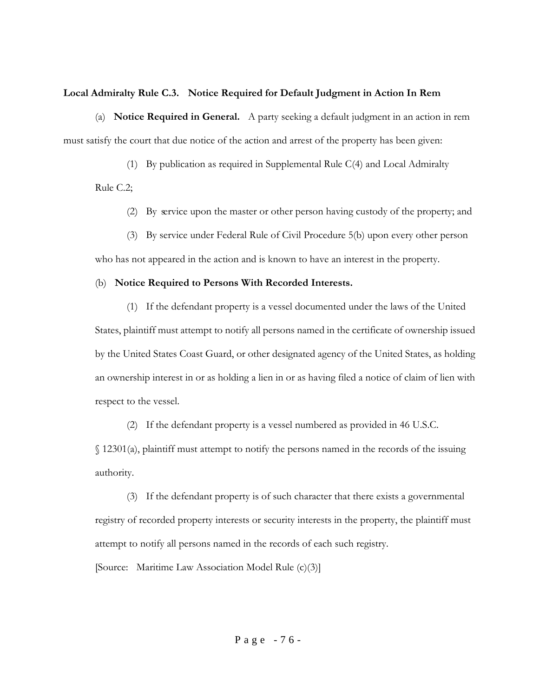## **Local Admiralty Rule C.3. Notice Required for Default Judgment in Action In Rem**

(a) **Notice Required in General.** A party seeking a default judgment in an action in rem must satisfy the court that due notice of the action and arrest of the property has been given:

(1) By publication as required in Supplemental Rule C(4) and Local Admiralty

Rule C.2;

(2) By service upon the master or other person having custody of the property; and

(3) By service under Federal Rule of Civil Procedure 5(b) upon every other person

who has not appeared in the action and is known to have an interest in the property.

## (b) **Notice Required to Persons With Recorded Interests.**

(1) If the defendant property is a vessel documented under the laws of the United States, plaintiff must attempt to notify all persons named in the certificate of ownership issued by the United States Coast Guard, or other designated agency of the United States, as holding an ownership interest in or as holding a lien in or as having filed a notice of claim of lien with respect to the vessel.

(2) If the defendant property is a vessel numbered as provided in 46 U.S.C.

§ 12301(a), plaintiff must attempt to notify the persons named in the records of the issuing authority.

(3) If the defendant property is of such character that there exists a governmental registry of recorded property interests or security interests in the property, the plaintiff must attempt to notify all persons named in the records of each such registry.

[Source: Maritime Law Association Model Rule (c)(3)]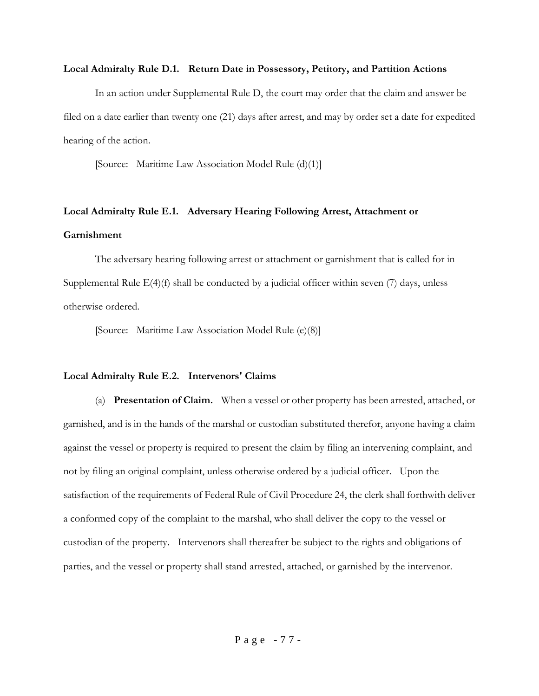## **Local Admiralty Rule D.1. Return Date in Possessory, Petitory, and Partition Actions**

In an action under Supplemental Rule D, the court may order that the claim and answer be filed on a date earlier than twenty one (21) days after arrest, and may by order set a date for expedited hearing of the action.

[Source: Maritime Law Association Model Rule (d)(1)]

# **Local Admiralty Rule E.1. Adversary Hearing Following Arrest, Attachment or Garnishment**

The adversary hearing following arrest or attachment or garnishment that is called for in Supplemental Rule  $E(4)(f)$  shall be conducted by a judicial officer within seven (7) days, unless otherwise ordered.

[Source: Maritime Law Association Model Rule (e)(8)]

## **Local Admiralty Rule E.2. Intervenors' Claims**

(a) **Presentation of Claim.** When a vessel or other property has been arrested, attached, or garnished, and is in the hands of the marshal or custodian substituted therefor, anyone having a claim against the vessel or property is required to present the claim by filing an intervening complaint, and not by filing an original complaint, unless otherwise ordered by a judicial officer. Upon the satisfaction of the requirements of Federal Rule of Civil Procedure 24, the clerk shall forthwith deliver a conformed copy of the complaint to the marshal, who shall deliver the copy to the vessel or custodian of the property. Intervenors shall thereafter be subject to the rights and obligations of parties, and the vessel or property shall stand arrested, attached, or garnished by the intervenor.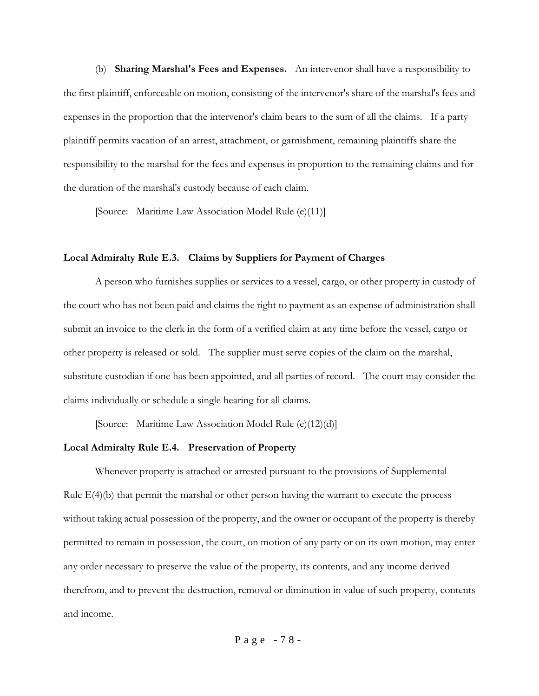(b) **Sharing Marshal's Fees and Expenses.** An intervenor shall have a responsibility to the first plaintiff, enforceable on motion, consisting of the intervenor's share of the marshal's fees and expenses in the proportion that the intervenor's claim bears to the sum of all the claims. If a party plaintiff permits vacation of an arrest, attachment, or garnishment, remaining plaintiffs share the responsibility to the marshal for the fees and expenses in proportion to the remaining claims and for the duration of the marshal's custody because of each claim.

[Source: Maritime Law Association Model Rule (e)(11)]

#### **Local Admiralty Rule E.3. Claims by Suppliers for Payment of Charges**

A person who furnishes supplies or services to a vessel, cargo, or other property in custody of the court who has not been paid and claims the right to payment as an expense of administration shall submit an invoice to the clerk in the form of a verified claim at any time before the vessel, cargo or other property is released or sold. The supplier must serve copies of the claim on the marshal, substitute custodian if one has been appointed, and all parties of record. The court may consider the claims individually or schedule a single hearing for all claims.

[Source: Maritime Law Association Model Rule (e)(12)(d)]

### **Local Admiralty Rule E.4. Preservation of Property**

Whenever property is attached or arrested pursuant to the provisions of Supplemental Rule  $E(4)(b)$  that permit the marshal or other person having the warrant to execute the process without taking actual possession of the property, and the owner or occupant of the property is thereby permitted to remain in possession, the court, on motion of any party or on its own motion, may enter any order necessary to preserve the value of the property, its contents, and any income derived therefrom, and to prevent the destruction, removal or diminution in value of such property, contents and income.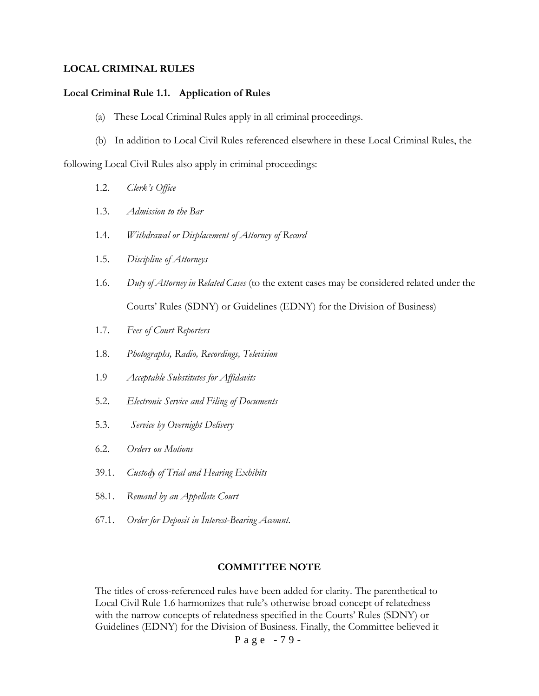## **LOCAL CRIMINAL RULES**

## **Local Criminal Rule 1.1. Application of Rules**

- (a) These Local Criminal Rules apply in all criminal proceedings.
- (b) In addition to Local Civil Rules referenced elsewhere in these Local Criminal Rules, the

following Local Civil Rules also apply in criminal proceedings:

- 1.2. *Clerk's Office*
- 1.3. *Admission to the Bar*
- 1.4. *Withdrawal or Displacement of Attorney of Record*
- 1.5. *Discipline of Attorneys*
- 1.6. *Duty of Attorney in Related Cases* (to the extent cases may be considered related under the Courts' Rules (SDNY) or Guidelines (EDNY) for the Division of Business)
- 1.7. *Fees of Court Reporters*
- 1.8. *Photographs, Radio, Recordings, Television*
- 1.9 *Acceptable Substitutes for Affidavits*
- 5.2. *Electronic Service and Filing of Documents*
- 5.3. *Service by Overnight Delivery*
- 6.2. *Orders on Motions*
- 39.1. *Custody of Trial and Hearing Exhibits*
- 58.1. *Remand by an Appellate Court*
- 67.1. *Order for Deposit in Interest-Bearing Account*.

### **COMMITTEE NOTE**

The titles of cross-referenced rules have been added for clarity. The parenthetical to Local Civil Rule 1.6 harmonizes that rule's otherwise broad concept of relatedness with the narrow concepts of relatedness specified in the Courts' Rules (SDNY) or Guidelines (EDNY) for the Division of Business. Finally, the Committee believed it

Page - 79 -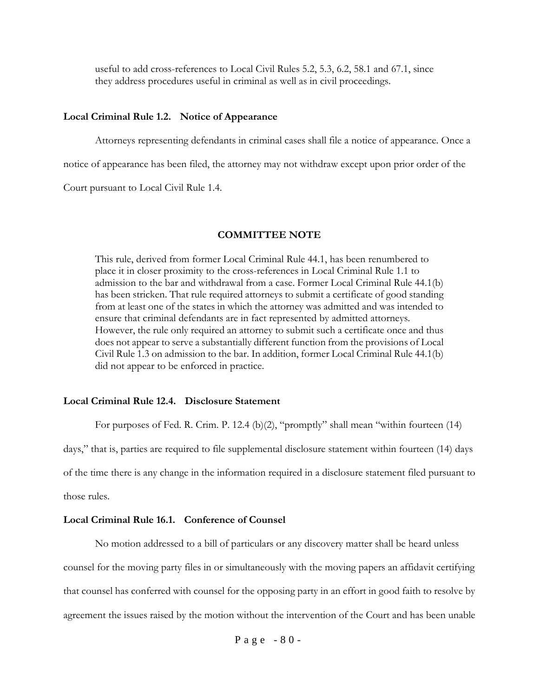useful to add cross-references to Local Civil Rules 5.2, 5.3, 6.2, 58.1 and 67.1, since they address procedures useful in criminal as well as in civil proceedings.

## **Local Criminal Rule 1.2. Notice of Appearance**

Attorneys representing defendants in criminal cases shall file a notice of appearance. Once a

notice of appearance has been filed, the attorney may not withdraw except upon prior order of the

Court pursuant to Local Civil Rule 1.4.

#### **COMMITTEE NOTE**

This rule, derived from former Local Criminal Rule 44.1, has been renumbered to place it in closer proximity to the cross-references in Local Criminal Rule 1.1 to admission to the bar and withdrawal from a case. Former Local Criminal Rule 44.1(b) has been stricken. That rule required attorneys to submit a certificate of good standing from at least one of the states in which the attorney was admitted and was intended to ensure that criminal defendants are in fact represented by admitted attorneys. However, the rule only required an attorney to submit such a certificate once and thus does not appear to serve a substantially different function from the provisions of Local Civil Rule 1.3 on admission to the bar. In addition, former Local Criminal Rule 44.1(b) did not appear to be enforced in practice.

#### **Local Criminal Rule 12.4. Disclosure Statement**

For purposes of Fed. R. Crim. P. 12.4 (b)(2), "promptly" shall mean "within fourteen (14) days," that is, parties are required to file supplemental disclosure statement within fourteen (14) days of the time there is any change in the information required in a disclosure statement filed pursuant to those rules.

# **Local Criminal Rule 16.1. Conference of Counsel**

No motion addressed to a bill of particulars or any discovery matter shall be heard unless counsel for the moving party files in or simultaneously with the moving papers an affidavit certifying that counsel has conferred with counsel for the opposing party in an effort in good faith to resolve by agreement the issues raised by the motion without the intervention of the Court and has been unable

 $P$  a g e - 8 0 -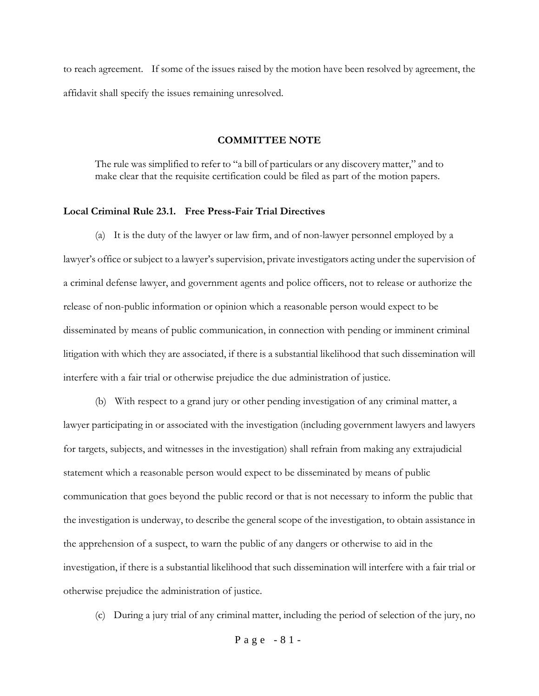to reach agreement. If some of the issues raised by the motion have been resolved by agreement, the affidavit shall specify the issues remaining unresolved.

## **COMMITTEE NOTE**

The rule was simplified to refer to "a bill of particulars or any discovery matter," and to make clear that the requisite certification could be filed as part of the motion papers.

#### **Local Criminal Rule 23.1. Free Press-Fair Trial Directives**

(a) It is the duty of the lawyer or law firm, and of non-lawyer personnel employed by a lawyer's office or subject to a lawyer's supervision, private investigators acting under the supervision of a criminal defense lawyer, and government agents and police officers, not to release or authorize the release of non-public information or opinion which a reasonable person would expect to be disseminated by means of public communication, in connection with pending or imminent criminal litigation with which they are associated, if there is a substantial likelihood that such dissemination will interfere with a fair trial or otherwise prejudice the due administration of justice.

(b) With respect to a grand jury or other pending investigation of any criminal matter, a lawyer participating in or associated with the investigation (including government lawyers and lawyers for targets, subjects, and witnesses in the investigation) shall refrain from making any extrajudicial statement which a reasonable person would expect to be disseminated by means of public communication that goes beyond the public record or that is not necessary to inform the public that the investigation is underway, to describe the general scope of the investigation, to obtain assistance in the apprehension of a suspect, to warn the public of any dangers or otherwise to aid in the investigation, if there is a substantial likelihood that such dissemination will interfere with a fair trial or otherwise prejudice the administration of justice.

(c) During a jury trial of any criminal matter, including the period of selection of the jury, no

Page - 8 1 -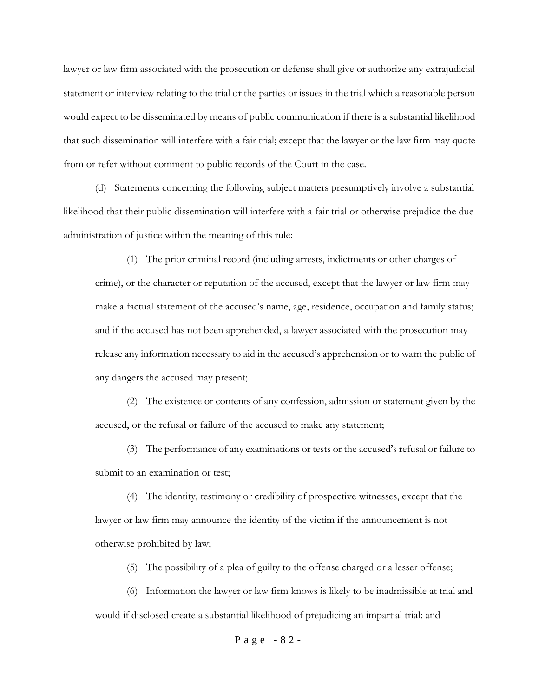lawyer or law firm associated with the prosecution or defense shall give or authorize any extrajudicial statement or interview relating to the trial or the parties or issues in the trial which a reasonable person would expect to be disseminated by means of public communication if there is a substantial likelihood that such dissemination will interfere with a fair trial; except that the lawyer or the law firm may quote from or refer without comment to public records of the Court in the case.

(d) Statements concerning the following subject matters presumptively involve a substantial likelihood that their public dissemination will interfere with a fair trial or otherwise prejudice the due administration of justice within the meaning of this rule:

(1) The prior criminal record (including arrests, indictments or other charges of crime), or the character or reputation of the accused, except that the lawyer or law firm may make a factual statement of the accused's name, age, residence, occupation and family status; and if the accused has not been apprehended, a lawyer associated with the prosecution may release any information necessary to aid in the accused's apprehension or to warn the public of any dangers the accused may present;

(2) The existence or contents of any confession, admission or statement given by the accused, or the refusal or failure of the accused to make any statement;

(3) The performance of any examinations or tests or the accused's refusal or failure to submit to an examination or test;

(4) The identity, testimony or credibility of prospective witnesses, except that the lawyer or law firm may announce the identity of the victim if the announcement is not otherwise prohibited by law;

(5) The possibility of a plea of guilty to the offense charged or a lesser offense;

(6) Information the lawyer or law firm knows is likely to be inadmissible at trial and would if disclosed create a substantial likelihood of prejudicing an impartial trial; and

Page - 82 -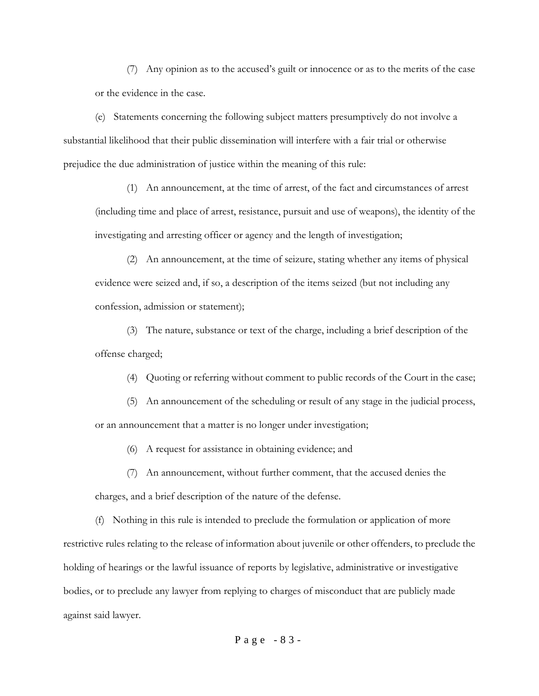(7) Any opinion as to the accused's guilt or innocence or as to the merits of the case or the evidence in the case.

(e) Statements concerning the following subject matters presumptively do not involve a substantial likelihood that their public dissemination will interfere with a fair trial or otherwise prejudice the due administration of justice within the meaning of this rule:

(1) An announcement, at the time of arrest, of the fact and circumstances of arrest

(including time and place of arrest, resistance, pursuit and use of weapons), the identity of the investigating and arresting officer or agency and the length of investigation;

(2) An announcement, at the time of seizure, stating whether any items of physical evidence were seized and, if so, a description of the items seized (but not including any confession, admission or statement);

(3) The nature, substance or text of the charge, including a brief description of the offense charged;

(4) Quoting or referring without comment to public records of the Court in the case;

(5) An announcement of the scheduling or result of any stage in the judicial process, or an announcement that a matter is no longer under investigation;

(6) A request for assistance in obtaining evidence; and

(7) An announcement, without further comment, that the accused denies the charges, and a brief description of the nature of the defense.

(f) Nothing in this rule is intended to preclude the formulation or application of more restrictive rules relating to the release of information about juvenile or other offenders, to preclude the holding of hearings or the lawful issuance of reports by legislative, administrative or investigative bodies, or to preclude any lawyer from replying to charges of misconduct that are publicly made against said lawyer.

Page - 8 3 -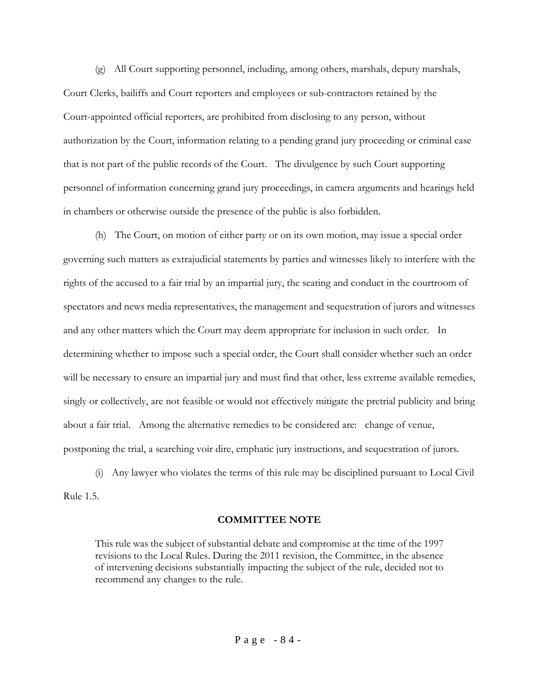(g) All Court supporting personnel, including, among others, marshals, deputy marshals, Court Clerks, bailiffs and Court reporters and employees or sub-contractors retained by the Court-appointed official reporters, are prohibited from disclosing to any person, without authorization by the Court, information relating to a pending grand jury proceeding or criminal case that is not part of the public records of the Court. The divulgence by such Court supporting personnel of information concerning grand jury proceedings, in camera arguments and hearings held in chambers or otherwise outside the presence of the public is also forbidden.

(h) The Court, on motion of either party or on its own motion, may issue a special order governing such matters as extrajudicial statements by parties and witnesses likely to interfere with the rights of the accused to a fair trial by an impartial jury, the seating and conduct in the courtroom of spectators and news media representatives, the management and sequestration of jurors and witnesses and any other matters which the Court may deem appropriate for inclusion in such order. In determining whether to impose such a special order, the Court shall consider whether such an order will be necessary to ensure an impartial jury and must find that other, less extreme available remedies, singly or collectively, are not feasible or would not effectively mitigate the pretrial publicity and bring about a fair trial. Among the alternative remedies to be considered are: change of venue, postponing the trial, a searching voir dire, emphatic jury instructions, and sequestration of jurors.

(i) Any lawyer who violates the terms of this rule may be disciplined pursuant to Local Civil Rule 1.5.

#### **COMMITTEE NOTE**

This rule was the subject of substantial debate and compromise at the time of the 1997 revisions to the Local Rules. During the 2011 revision, the Committee, in the absence of intervening decisions substantially impacting the subject of the rule, decided not to recommend any changes to the rule.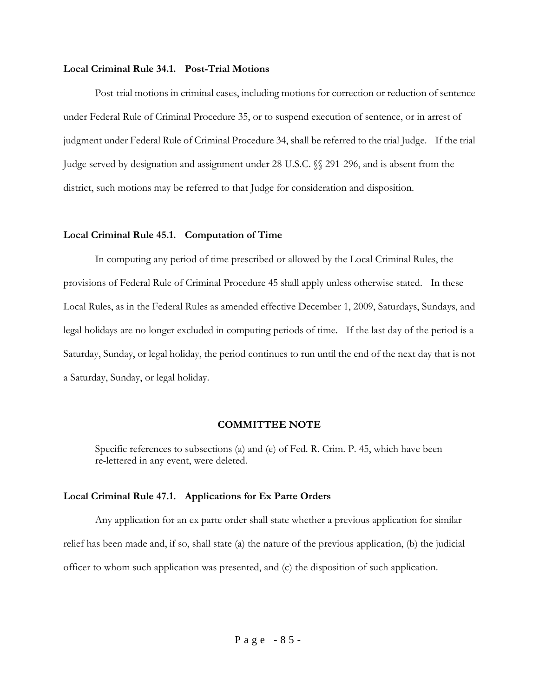## **Local Criminal Rule 34.1. Post-Trial Motions**

Post-trial motions in criminal cases, including motions for correction or reduction of sentence under Federal Rule of Criminal Procedure 35, or to suspend execution of sentence, or in arrest of judgment under Federal Rule of Criminal Procedure 34, shall be referred to the trial Judge. If the trial Judge served by designation and assignment under 28 U.S.C. §§ 291-296, and is absent from the district, such motions may be referred to that Judge for consideration and disposition.

#### **Local Criminal Rule 45.1. Computation of Time**

In computing any period of time prescribed or allowed by the Local Criminal Rules, the provisions of Federal Rule of Criminal Procedure 45 shall apply unless otherwise stated. In these Local Rules, as in the Federal Rules as amended effective December 1, 2009, Saturdays, Sundays, and legal holidays are no longer excluded in computing periods of time. If the last day of the period is a Saturday, Sunday, or legal holiday, the period continues to run until the end of the next day that is not a Saturday, Sunday, or legal holiday.

## **COMMITTEE NOTE**

Specific references to subsections (a) and (e) of Fed. R. Crim. P. 45, which have been re-lettered in any event, were deleted.

#### **Local Criminal Rule 47.1. Applications for Ex Parte Orders**

Any application for an ex parte order shall state whether a previous application for similar relief has been made and, if so, shall state (a) the nature of the previous application, (b) the judicial officer to whom such application was presented, and (c) the disposition of such application.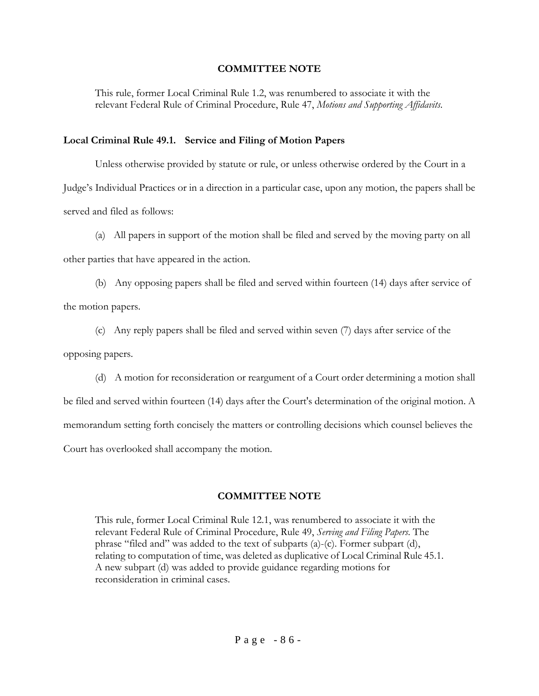## **COMMITTEE NOTE**

This rule, former Local Criminal Rule 1.2, was renumbered to associate it with the relevant Federal Rule of Criminal Procedure, Rule 47, *Motions and Supporting Affidavits*.

## **Local Criminal Rule 49.1. Service and Filing of Motion Papers**

Unless otherwise provided by statute or rule, or unless otherwise ordered by the Court in a Judge's Individual Practices or in a direction in a particular case, upon any motion, the papers shall be served and filed as follows:

(a) All papers in support of the motion shall be filed and served by the moving party on all other parties that have appeared in the action.

(b) Any opposing papers shall be filed and served within fourteen (14) days after service of the motion papers.

(c) Any reply papers shall be filed and served within seven (7) days after service of the opposing papers.

(d) A motion for reconsideration or reargument of a Court order determining a motion shall be filed and served within fourteen (14) days after the Court's determination of the original motion. A memorandum setting forth concisely the matters or controlling decisions which counsel believes the Court has overlooked shall accompany the motion.

# **COMMITTEE NOTE**

This rule, former Local Criminal Rule 12.1, was renumbered to associate it with the relevant Federal Rule of Criminal Procedure, Rule 49, *Serving and Filing Papers*. The phrase "filed and" was added to the text of subparts (a)-(c). Former subpart (d), relating to computation of time, was deleted as duplicative of Local Criminal Rule 45.1. A new subpart (d) was added to provide guidance regarding motions for reconsideration in criminal cases.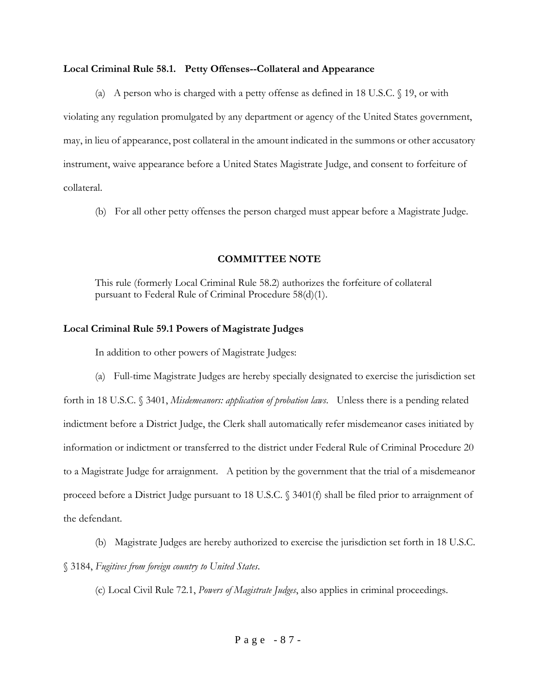## **Local Criminal Rule 58.1. Petty Offenses--Collateral and Appearance**

(a) A person who is charged with a petty offense as defined in 18 U.S.C. § 19, or with violating any regulation promulgated by any department or agency of the United States government, may, in lieu of appearance, post collateral in the amount indicated in the summons or other accusatory instrument, waive appearance before a United States Magistrate Judge, and consent to forfeiture of collateral.

(b) For all other petty offenses the person charged must appear before a Magistrate Judge.

## **COMMITTEE NOTE**

This rule (formerly Local Criminal Rule 58.2) authorizes the forfeiture of collateral pursuant to Federal Rule of Criminal Procedure 58(d)(1).

## **Local Criminal Rule 59.1 Powers of Magistrate Judges**

In addition to other powers of Magistrate Judges:

- (a) Full-time Magistrate Judges are hereby specially designated to exercise the jurisdiction set forth in 18 U.S.C. § 3401, *Misdemeanors: application of probation laws*. Unless there is a pending related indictment before a District Judge, the Clerk shall automatically refer misdemeanor cases initiated by information or indictment or transferred to the district under Federal Rule of Criminal Procedure 20 to a Magistrate Judge for arraignment. A petition by the government that the trial of a misdemeanor proceed before a District Judge pursuant to 18 U.S.C. § 3401(f) shall be filed prior to arraignment of the defendant.
- (b) Magistrate Judges are hereby authorized to exercise the jurisdiction set forth in 18 U.S.C. § 3184, *Fugitives from foreign country to United States*.
	- (c) Local Civil Rule 72.1, *Powers of Magistrate Judges*, also applies in criminal proceedings.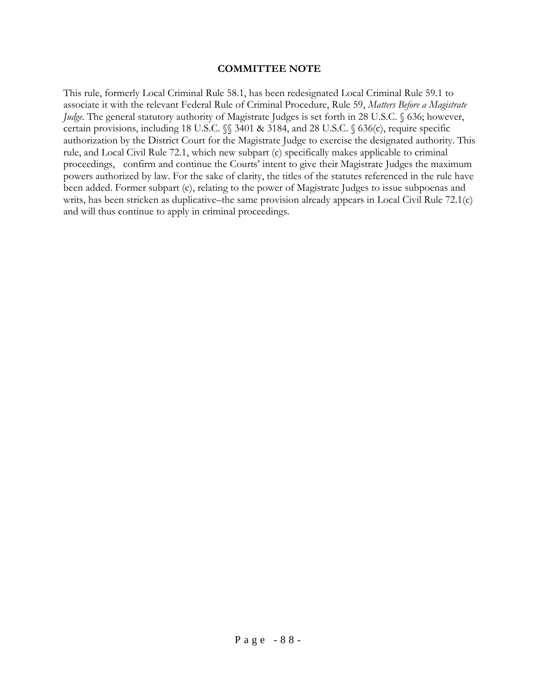## **COMMITTEE NOTE**

This rule, formerly Local Criminal Rule 58.1, has been redesignated Local Criminal Rule 59.1 to associate it with the relevant Federal Rule of Criminal Procedure, Rule 59, *Matters Before a Magistrate Judge*. The general statutory authority of Magistrate Judges is set forth in 28 U.S.C. § 636; however, certain provisions, including 18 U.S.C. §§ 3401 & 3184, and 28 U.S.C. § 636(c), require specific authorization by the District Court for the Magistrate Judge to exercise the designated authority. This rule, and Local Civil Rule 72.1, which new subpart (c) specifically makes applicable to criminal proceedings, confirm and continue the Courts' intent to give their Magistrate Judges the maximum powers authorized by law. For the sake of clarity, the titles of the statutes referenced in the rule have been added. Former subpart (c), relating to the power of Magistrate Judges to issue subpoenas and writs, has been stricken as duplicative–the same provision already appears in Local Civil Rule 72.1(c) and will thus continue to apply in criminal proceedings.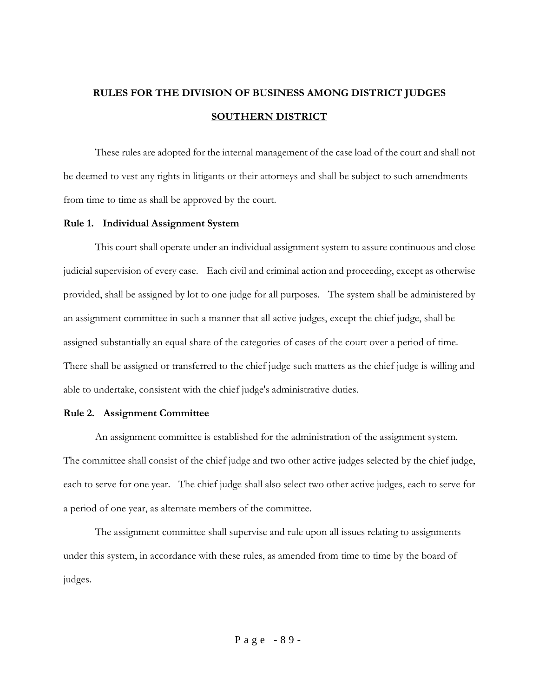# **RULES FOR THE DIVISION OF BUSINESS AMONG DISTRICT JUDGES SOUTHERN DISTRICT**

These rules are adopted for the internal management of the case load of the court and shall not be deemed to vest any rights in litigants or their attorneys and shall be subject to such amendments from time to time as shall be approved by the court.

#### **Rule 1. Individual Assignment System**

This court shall operate under an individual assignment system to assure continuous and close judicial supervision of every case. Each civil and criminal action and proceeding, except as otherwise provided, shall be assigned by lot to one judge for all purposes. The system shall be administered by an assignment committee in such a manner that all active judges, except the chief judge, shall be assigned substantially an equal share of the categories of cases of the court over a period of time. There shall be assigned or transferred to the chief judge such matters as the chief judge is willing and able to undertake, consistent with the chief judge's administrative duties.

#### **Rule 2. Assignment Committee**

An assignment committee is established for the administration of the assignment system. The committee shall consist of the chief judge and two other active judges selected by the chief judge, each to serve for one year. The chief judge shall also select two other active judges, each to serve for a period of one year, as alternate members of the committee.

The assignment committee shall supervise and rule upon all issues relating to assignments under this system, in accordance with these rules, as amended from time to time by the board of judges.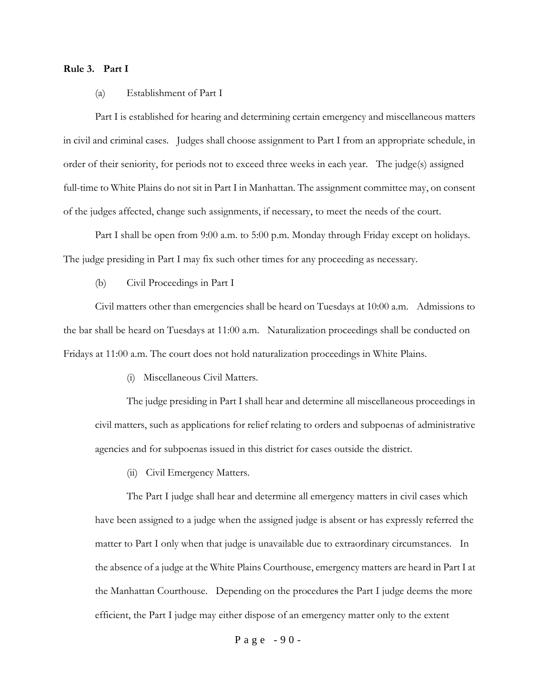## **Rule 3. Part I**

(a) Establishment of Part I

Part I is established for hearing and determining certain emergency and miscellaneous matters in civil and criminal cases. Judges shall choose assignment to Part I from an appropriate schedule, in order of their seniority, for periods not to exceed three weeks in each year. The judge(s) assigned full-time to White Plains do not sit in Part I in Manhattan. The assignment committee may, on consent of the judges affected, change such assignments, if necessary, to meet the needs of the court.

Part I shall be open from 9:00 a.m. to 5:00 p.m. Monday through Friday except on holidays. The judge presiding in Part I may fix such other times for any proceeding as necessary.

(b) Civil Proceedings in Part I

Civil matters other than emergencies shall be heard on Tuesdays at 10:00 a.m. Admissions to the bar shall be heard on Tuesdays at 11:00 a.m. Naturalization proceedings shall be conducted on Fridays at 11:00 a.m. The court does not hold naturalization proceedings in White Plains.

(i) Miscellaneous Civil Matters.

The judge presiding in Part I shall hear and determine all miscellaneous proceedings in civil matters, such as applications for relief relating to orders and subpoenas of administrative agencies and for subpoenas issued in this district for cases outside the district.

(ii) Civil Emergency Matters.

The Part I judge shall hear and determine all emergency matters in civil cases which have been assigned to a judge when the assigned judge is absent or has expressly referred the matter to Part I only when that judge is unavailable due to extraordinary circumstances. In the absence of a judge at the White Plains Courthouse, emergency matters are heard in Part I at the Manhattan Courthouse. Depending on the procedures the Part I judge deems the more efficient, the Part I judge may either dispose of an emergency matter only to the extent

 $P$  a g e - 90 -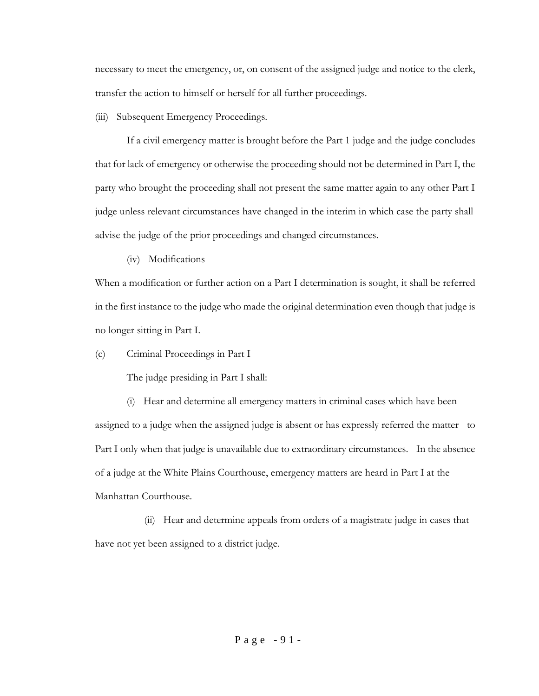necessary to meet the emergency, or, on consent of the assigned judge and notice to the clerk, transfer the action to himself or herself for all further proceedings.

(iii) Subsequent Emergency Proceedings.

If a civil emergency matter is brought before the Part 1 judge and the judge concludes that for lack of emergency or otherwise the proceeding should not be determined in Part I, the party who brought the proceeding shall not present the same matter again to any other Part I judge unless relevant circumstances have changed in the interim in which case the party shall advise the judge of the prior proceedings and changed circumstances.

(iv) Modifications

When a modification or further action on a Part I determination is sought, it shall be referred in the first instance to the judge who made the original determination even though that judge is no longer sitting in Part I.

(c) Criminal Proceedings in Part I

The judge presiding in Part I shall:

(i) Hear and determine all emergency matters in criminal cases which have been assigned to a judge when the assigned judge is absent or has expressly referred the matter to Part I only when that judge is unavailable due to extraordinary circumstances. In the absence of a judge at the White Plains Courthouse, emergency matters are heard in Part I at the Manhattan Courthouse.

 (ii) Hear and determine appeals from orders of a magistrate judge in cases that have not yet been assigned to a district judge.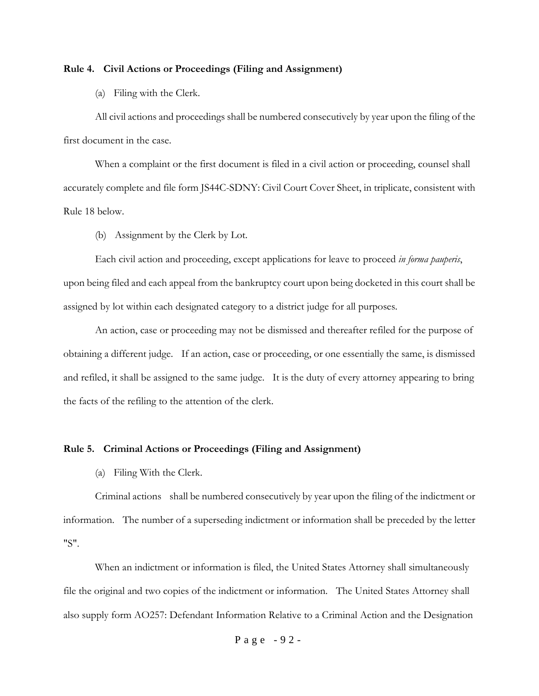#### **Rule 4. Civil Actions or Proceedings (Filing and Assignment)**

(a) Filing with the Clerk.

All civil actions and proceedings shall be numbered consecutively by year upon the filing of the first document in the case.

When a complaint or the first document is filed in a civil action or proceeding, counsel shall accurately complete and file form JS44C-SDNY: Civil Court Cover Sheet, in triplicate, consistent with Rule 18 below.

(b) Assignment by the Clerk by Lot.

 Each civil action and proceeding, except applications for leave to proceed *in forma pauperis*, upon being filed and each appeal from the bankruptcy court upon being docketed in this court shall be assigned by lot within each designated category to a district judge for all purposes.

An action, case or proceeding may not be dismissed and thereafter refiled for the purpose of obtaining a different judge. If an action, case or proceeding, or one essentially the same, is dismissed and refiled, it shall be assigned to the same judge. It is the duty of every attorney appearing to bring the facts of the refiling to the attention of the clerk.

## **Rule 5. Criminal Actions or Proceedings (Filing and Assignment)**

(a) Filing With the Clerk.

Criminal actions shall be numbered consecutively by year upon the filing of the indictment or information. The number of a superseding indictment or information shall be preceded by the letter "S".

When an indictment or information is filed, the United States Attorney shall simultaneously file the original and two copies of the indictment or information. The United States Attorney shall also supply form AO257: Defendant Information Relative to a Criminal Action and the Designation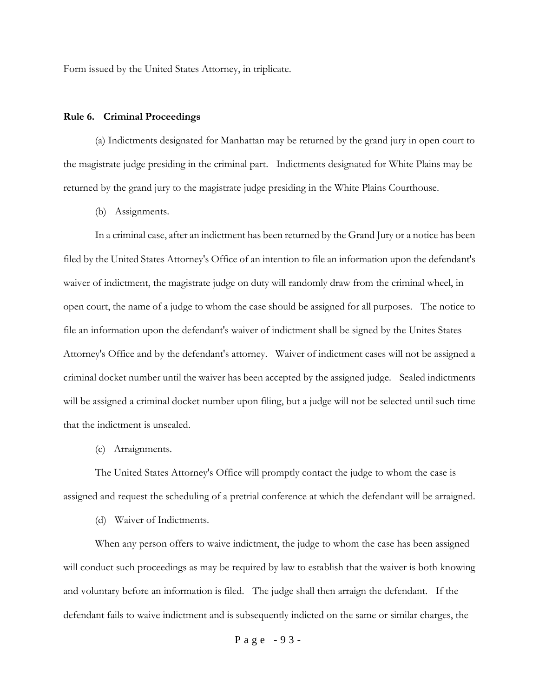Form issued by the United States Attorney, in triplicate.

## **Rule 6. Criminal Proceedings**

(a) Indictments designated for Manhattan may be returned by the grand jury in open court to the magistrate judge presiding in the criminal part. Indictments designated for White Plains may be returned by the grand jury to the magistrate judge presiding in the White Plains Courthouse.

(b) Assignments.

In a criminal case, after an indictment has been returned by the Grand Jury or a notice has been filed by the United States Attorney's Office of an intention to file an information upon the defendant's waiver of indictment, the magistrate judge on duty will randomly draw from the criminal wheel, in open court, the name of a judge to whom the case should be assigned for all purposes. The notice to file an information upon the defendant's waiver of indictment shall be signed by the Unites States Attorney's Office and by the defendant's attorney. Waiver of indictment cases will not be assigned a criminal docket number until the waiver has been accepted by the assigned judge. Sealed indictments will be assigned a criminal docket number upon filing, but a judge will not be selected until such time that the indictment is unsealed.

(c) Arraignments.

The United States Attorney's Office will promptly contact the judge to whom the case is assigned and request the scheduling of a pretrial conference at which the defendant will be arraigned.

(d) Waiver of Indictments.

When any person offers to waive indictment, the judge to whom the case has been assigned will conduct such proceedings as may be required by law to establish that the waiver is both knowing and voluntary before an information is filed. The judge shall then arraign the defendant. If the defendant fails to waive indictment and is subsequently indicted on the same or similar charges, the

Page - 93 -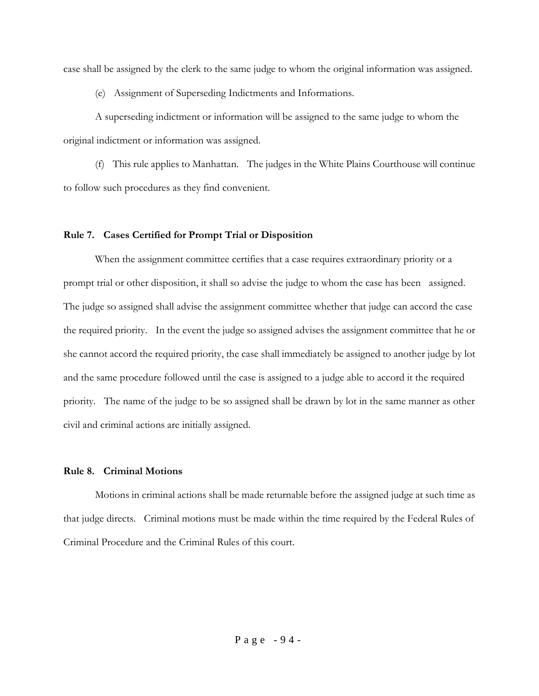case shall be assigned by the clerk to the same judge to whom the original information was assigned.

(e) Assignment of Superseding Indictments and Informations.

A superseding indictment or information will be assigned to the same judge to whom the original indictment or information was assigned.

(f) This rule applies to Manhattan. The judges in the White Plains Courthouse will continue to follow such procedures as they find convenient.

#### **Rule 7. Cases Certified for Prompt Trial or Disposition**

When the assignment committee certifies that a case requires extraordinary priority or a prompt trial or other disposition, it shall so advise the judge to whom the case has been assigned. The judge so assigned shall advise the assignment committee whether that judge can accord the case the required priority. In the event the judge so assigned advises the assignment committee that he or she cannot accord the required priority, the case shall immediately be assigned to another judge by lot and the same procedure followed until the case is assigned to a judge able to accord it the required priority. The name of the judge to be so assigned shall be drawn by lot in the same manner as other civil and criminal actions are initially assigned.

#### **Rule 8. Criminal Motions**

Motions in criminal actions shall be made returnable before the assigned judge at such time as that judge directs. Criminal motions must be made within the time required by the Federal Rules of Criminal Procedure and the Criminal Rules of this court.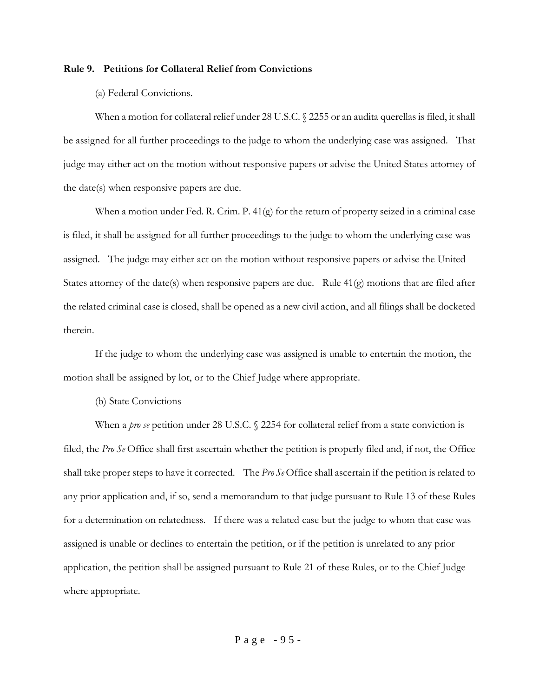## **Rule 9. Petitions for Collateral Relief from Convictions**

#### (a) Federal Convictions.

When a motion for collateral relief under 28 U.S.C. § 2255 or an audita querellas is filed, it shall be assigned for all further proceedings to the judge to whom the underlying case was assigned. That judge may either act on the motion without responsive papers or advise the United States attorney of the date(s) when responsive papers are due.

When a motion under Fed. R. Crim. P.  $41(g)$  for the return of property seized in a criminal case is filed, it shall be assigned for all further proceedings to the judge to whom the underlying case was assigned. The judge may either act on the motion without responsive papers or advise the United States attorney of the date(s) when responsive papers are due. Rule 41(g) motions that are filed after the related criminal case is closed, shall be opened as a new civil action, and all filings shall be docketed therein.

If the judge to whom the underlying case was assigned is unable to entertain the motion, the motion shall be assigned by lot, or to the Chief Judge where appropriate.

#### (b) State Convictions

When a *pro se* petition under 28 U.S.C. § 2254 for collateral relief from a state conviction is filed, the *Pro Se* Office shall first ascertain whether the petition is properly filed and, if not, the Office shall take proper steps to have it corrected. The *Pro Se* Office shall ascertain if the petition is related to any prior application and, if so, send a memorandum to that judge pursuant to Rule 13 of these Rules for a determination on relatedness. If there was a related case but the judge to whom that case was assigned is unable or declines to entertain the petition, or if the petition is unrelated to any prior application, the petition shall be assigned pursuant to Rule 21 of these Rules, or to the Chief Judge where appropriate.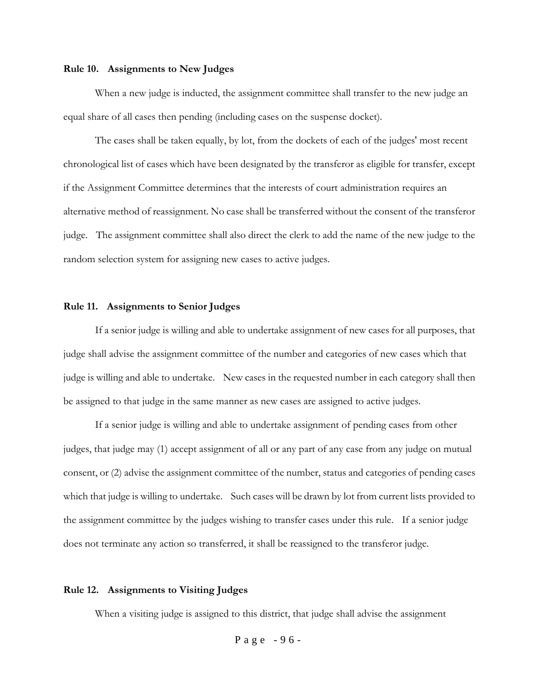#### **Rule 10. Assignments to New Judges**

When a new judge is inducted, the assignment committee shall transfer to the new judge an equal share of all cases then pending (including cases on the suspense docket).

The cases shall be taken equally, by lot, from the dockets of each of the judges' most recent chronological list of cases which have been designated by the transferor as eligible for transfer, except if the Assignment Committee determines that the interests of court administration requires an alternative method of reassignment. No case shall be transferred without the consent of the transferor judge. The assignment committee shall also direct the clerk to add the name of the new judge to the random selection system for assigning new cases to active judges.

### **Rule 11. Assignments to Senior Judges**

If a senior judge is willing and able to undertake assignment of new cases for all purposes, that judge shall advise the assignment committee of the number and categories of new cases which that judge is willing and able to undertake. New cases in the requested number in each category shall then be assigned to that judge in the same manner as new cases are assigned to active judges.

If a senior judge is willing and able to undertake assignment of pending cases from other judges, that judge may (1) accept assignment of all or any part of any case from any judge on mutual consent, or (2) advise the assignment committee of the number, status and categories of pending cases which that judge is willing to undertake. Such cases will be drawn by lot from current lists provided to the assignment committee by the judges wishing to transfer cases under this rule. If a senior judge does not terminate any action so transferred, it shall be reassigned to the transferor judge.

## **Rule 12. Assignments to Visiting Judges**

When a visiting judge is assigned to this district, that judge shall advise the assignment

 $P$  a g e - 9 6 -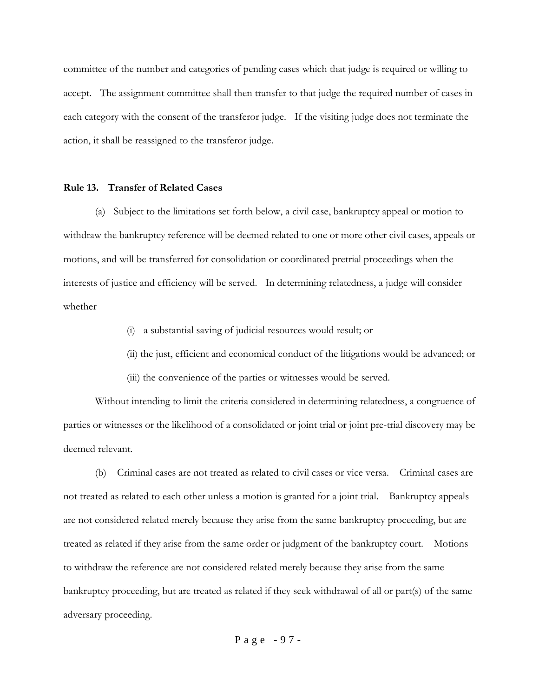committee of the number and categories of pending cases which that judge is required or willing to accept. The assignment committee shall then transfer to that judge the required number of cases in each category with the consent of the transferor judge. If the visiting judge does not terminate the action, it shall be reassigned to the transferor judge.

## **Rule 13. Transfer of Related Cases**

(a) Subject to the limitations set forth below, a civil case, bankruptcy appeal or motion to withdraw the bankruptcy reference will be deemed related to one or more other civil cases, appeals or motions, and will be transferred for consolidation or coordinated pretrial proceedings when the interests of justice and efficiency will be served. In determining relatedness, a judge will consider whether

- (i) a substantial saving of judicial resources would result; or
- (ii) the just, efficient and economical conduct of the litigations would be advanced; or
- (iii) the convenience of the parties or witnesses would be served.

Without intending to limit the criteria considered in determining relatedness, a congruence of parties or witnesses or the likelihood of a consolidated or joint trial or joint pre-trial discovery may be deemed relevant.

(b) Criminal cases are not treated as related to civil cases or vice versa. Criminal cases are not treated as related to each other unless a motion is granted for a joint trial. Bankruptcy appeals are not considered related merely because they arise from the same bankruptcy proceeding, but are treated as related if they arise from the same order or judgment of the bankruptcy court. Motions to withdraw the reference are not considered related merely because they arise from the same bankruptcy proceeding, but are treated as related if they seek withdrawal of all or part(s) of the same adversary proceeding.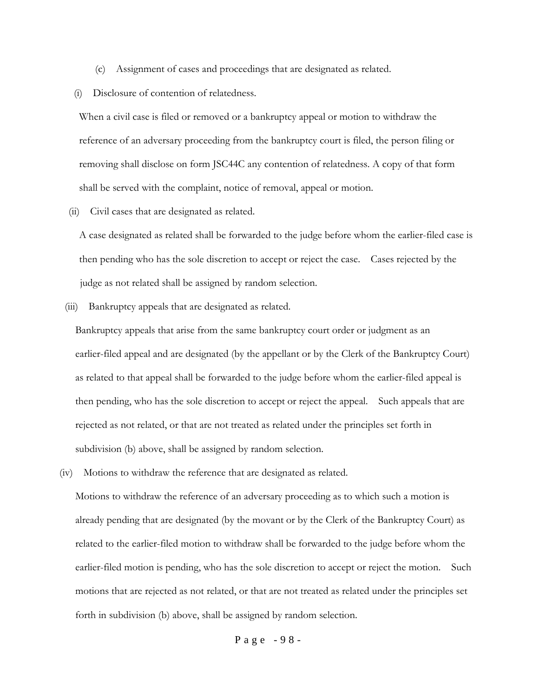- (c) Assignment of cases and proceedings that are designated as related.
- (i) Disclosure of contention of relatedness.

When a civil case is filed or removed or a bankruptcy appeal or motion to withdraw the reference of an adversary proceeding from the bankruptcy court is filed, the person filing or removing shall disclose on form JSC44C any contention of relatedness. A copy of that form shall be served with the complaint, notice of removal, appeal or motion.

(ii) Civil cases that are designated as related.

A case designated as related shall be forwarded to the judge before whom the earlier-filed case is then pending who has the sole discretion to accept or reject the case. Cases rejected by the judge as not related shall be assigned by random selection.

(iii) Bankruptcy appeals that are designated as related.

Bankruptcy appeals that arise from the same bankruptcy court order or judgment as an earlier-filed appeal and are designated (by the appellant or by the Clerk of the Bankruptcy Court) as related to that appeal shall be forwarded to the judge before whom the earlier-filed appeal is then pending, who has the sole discretion to accept or reject the appeal. Such appeals that are rejected as not related, or that are not treated as related under the principles set forth in subdivision (b) above, shall be assigned by random selection.

(iv) Motions to withdraw the reference that are designated as related.

Motions to withdraw the reference of an adversary proceeding as to which such a motion is already pending that are designated (by the movant or by the Clerk of the Bankruptcy Court) as related to the earlier-filed motion to withdraw shall be forwarded to the judge before whom the earlier-filed motion is pending, who has the sole discretion to accept or reject the motion. Such motions that are rejected as not related, or that are not treated as related under the principles set forth in subdivision (b) above, shall be assigned by random selection.

Page - 98 -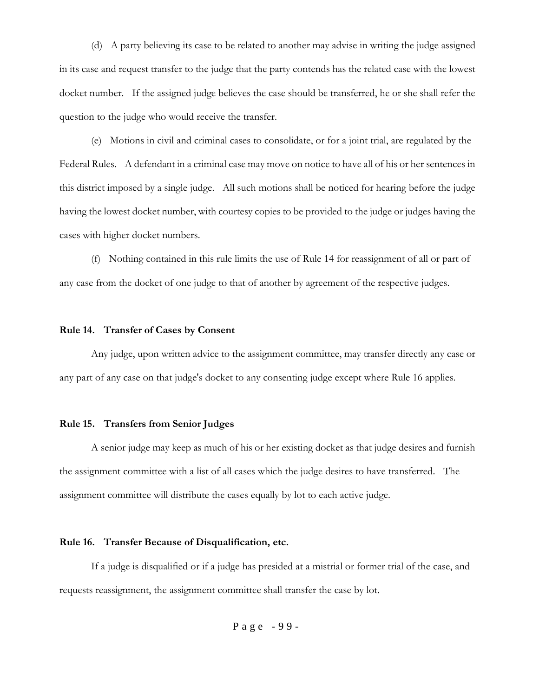(d) A party believing its case to be related to another may advise in writing the judge assigned in its case and request transfer to the judge that the party contends has the related case with the lowest docket number. If the assigned judge believes the case should be transferred, he or she shall refer the question to the judge who would receive the transfer.

(e) Motions in civil and criminal cases to consolidate, or for a joint trial, are regulated by the Federal Rules. A defendant in a criminal case may move on notice to have all of his or her sentences in this district imposed by a single judge. All such motions shall be noticed for hearing before the judge having the lowest docket number, with courtesy copies to be provided to the judge or judges having the cases with higher docket numbers.

(f) Nothing contained in this rule limits the use of Rule 14 for reassignment of all or part of any case from the docket of one judge to that of another by agreement of the respective judges.

## **Rule 14. Transfer of Cases by Consent**

Any judge, upon written advice to the assignment committee, may transfer directly any case or any part of any case on that judge's docket to any consenting judge except where Rule 16 applies.

#### **Rule 15. Transfers from Senior Judges**

A senior judge may keep as much of his or her existing docket as that judge desires and furnish the assignment committee with a list of all cases which the judge desires to have transferred. The assignment committee will distribute the cases equally by lot to each active judge.

#### **Rule 16. Transfer Because of Disqualification, etc.**

If a judge is disqualified or if a judge has presided at a mistrial or former trial of the case, and requests reassignment, the assignment committee shall transfer the case by lot.

Page - 99 -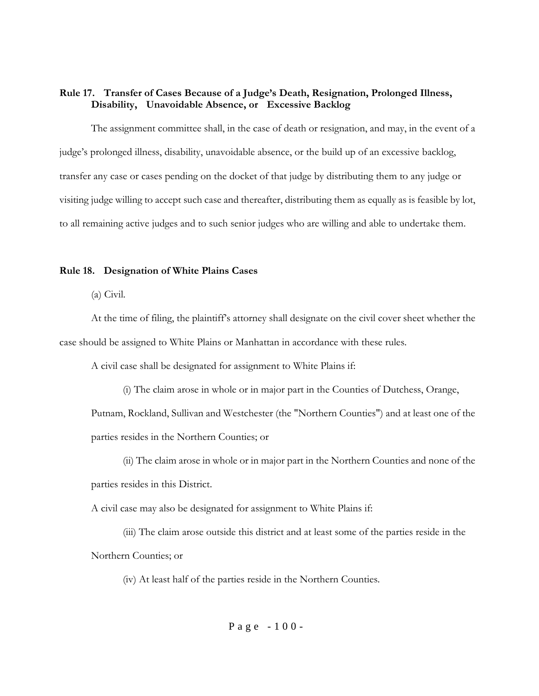# **Rule 17. Transfer of Cases Because of a Judge's Death, Resignation, Prolonged Illness, Disability, Unavoidable Absence, or Excessive Backlog**

The assignment committee shall, in the case of death or resignation, and may, in the event of a judge's prolonged illness, disability, unavoidable absence, or the build up of an excessive backlog, transfer any case or cases pending on the docket of that judge by distributing them to any judge or visiting judge willing to accept such case and thereafter, distributing them as equally as is feasible by lot, to all remaining active judges and to such senior judges who are willing and able to undertake them.

#### **Rule 18. Designation of White Plains Cases**

(a) Civil.

At the time of filing, the plaintiff's attorney shall designate on the civil cover sheet whether the case should be assigned to White Plains or Manhattan in accordance with these rules.

A civil case shall be designated for assignment to White Plains if:

(i) The claim arose in whole or in major part in the Counties of Dutchess, Orange,

Putnam, Rockland, Sullivan and Westchester (the "Northern Counties") and at least one of the parties resides in the Northern Counties; or

(ii) The claim arose in whole or in major part in the Northern Counties and none of the parties resides in this District.

A civil case may also be designated for assignment to White Plains if:

(iii) The claim arose outside this district and at least some of the parties reside in the Northern Counties; or

(iv) At least half of the parties reside in the Northern Counties.

Page - 100 -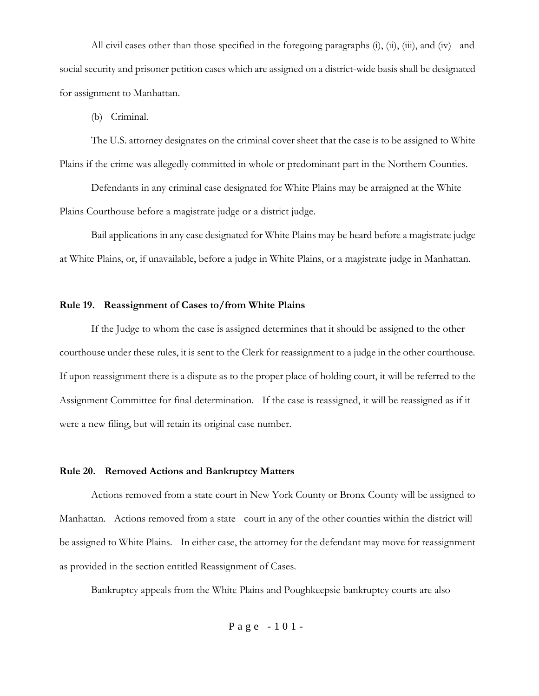All civil cases other than those specified in the foregoing paragraphs (i), (ii), (iii), and (iv) and social security and prisoner petition cases which are assigned on a district-wide basis shall be designated for assignment to Manhattan.

(b) Criminal.

The U.S. attorney designates on the criminal cover sheet that the case is to be assigned to White Plains if the crime was allegedly committed in whole or predominant part in the Northern Counties.

Defendants in any criminal case designated for White Plains may be arraigned at the White Plains Courthouse before a magistrate judge or a district judge.

Bail applications in any case designated for White Plains may be heard before a magistrate judge at White Plains, or, if unavailable, before a judge in White Plains, or a magistrate judge in Manhattan.

## **Rule 19. Reassignment of Cases to/from White Plains**

If the Judge to whom the case is assigned determines that it should be assigned to the other courthouse under these rules, it is sent to the Clerk for reassignment to a judge in the other courthouse. If upon reassignment there is a dispute as to the proper place of holding court, it will be referred to the Assignment Committee for final determination. If the case is reassigned, it will be reassigned as if it were a new filing, but will retain its original case number.

#### **Rule 20. Removed Actions and Bankruptcy Matters**

Actions removed from a state court in New York County or Bronx County will be assigned to Manhattan. Actions removed from a state court in any of the other counties within the district will be assigned to White Plains. In either case, the attorney for the defendant may move for reassignment as provided in the section entitled Reassignment of Cases.

Bankruptcy appeals from the White Plains and Poughkeepsie bankruptcy courts are also

Page - 101 -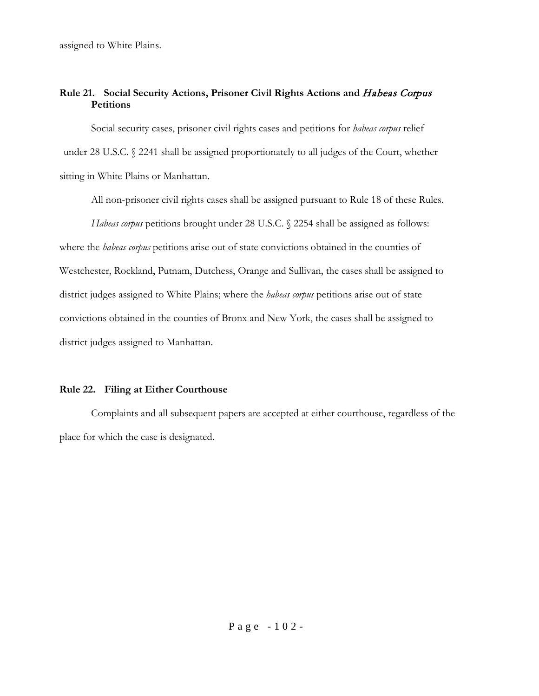# **Rule 21. Social Security Actions, Prisoner Civil Rights Actions and** Habeas Corpus **Petitions**

Social security cases, prisoner civil rights cases and petitions for *habeas corpus* relief under 28 U.S.C. § 2241 shall be assigned proportionately to all judges of the Court, whether sitting in White Plains or Manhattan.

All non-prisoner civil rights cases shall be assigned pursuant to Rule 18 of these Rules.

*Habeas corpus* petitions brought under 28 U.S.C. § 2254 shall be assigned as follows: where the *habeas corpus* petitions arise out of state convictions obtained in the counties of Westchester, Rockland, Putnam, Dutchess, Orange and Sullivan, the cases shall be assigned to district judges assigned to White Plains; where the *habeas corpus* petitions arise out of state convictions obtained in the counties of Bronx and New York, the cases shall be assigned to district judges assigned to Manhattan.

# **Rule 22. Filing at Either Courthouse**

Complaints and all subsequent papers are accepted at either courthouse, regardless of the place for which the case is designated.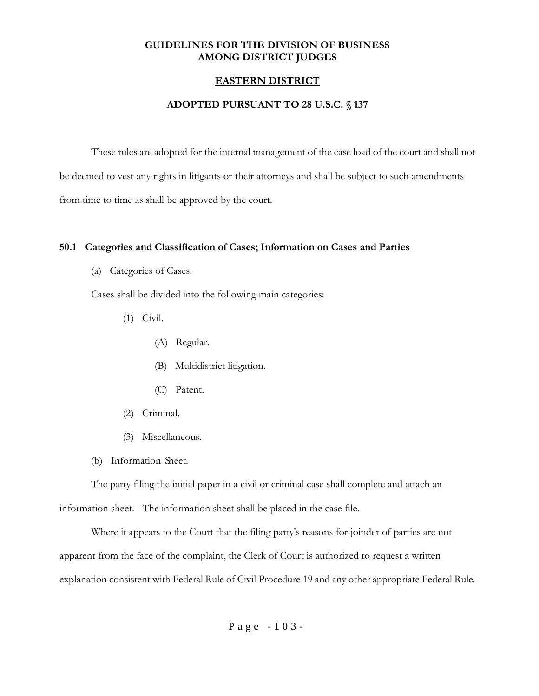# **GUIDELINES FOR THE DIVISION OF BUSINESS AMONG DISTRICT JUDGES**

# **EASTERN DISTRICT**

# **ADOPTED PURSUANT TO 28 U.S.C. § 137**

These rules are adopted for the internal management of the case load of the court and shall not be deemed to vest any rights in litigants or their attorneys and shall be subject to such amendments from time to time as shall be approved by the court.

# **50.1 Categories and Classification of Cases; Information on Cases and Parties**

(a) Categories of Cases.

Cases shall be divided into the following main categories:

- (1) Civil.
	- (A) Regular.
	- (B) Multidistrict litigation.
	- (C) Patent.
- (2) Criminal.
- (3) Miscellaneous.
- (b) Information Sheet.

 The party filing the initial paper in a civil or criminal case shall complete and attach an information sheet. The information sheet shall be placed in the case file.

Where it appears to the Court that the filing party's reasons for joinder of parties are not apparent from the face of the complaint, the Clerk of Court is authorized to request a written explanation consistent with Federal Rule of Civil Procedure 19 and any other appropriate Federal Rule.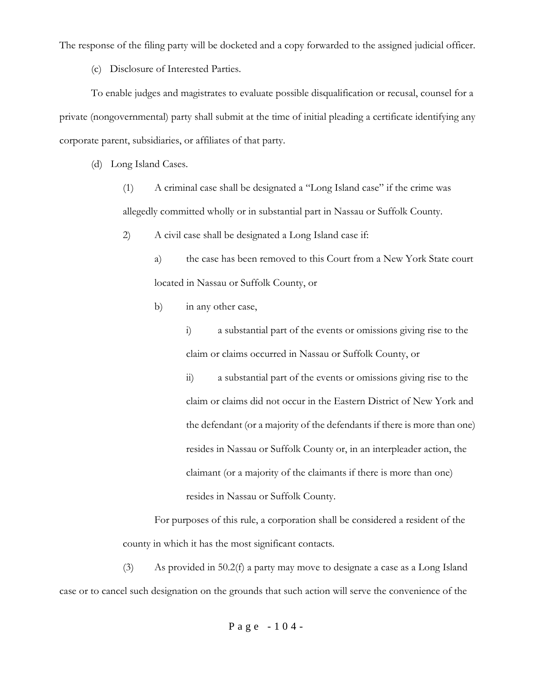The response of the filing party will be docketed and a copy forwarded to the assigned judicial officer.

(c) Disclosure of Interested Parties.

To enable judges and magistrates to evaluate possible disqualification or recusal, counsel for a private (nongovernmental) party shall submit at the time of initial pleading a certificate identifying any corporate parent, subsidiaries, or affiliates of that party.

(d) Long Island Cases.

- (1) A criminal case shall be designated a "Long Island case" if the crime was allegedly committed wholly or in substantial part in Nassau or Suffolk County.
- 2) A civil case shall be designated a Long Island case if:

a) the case has been removed to this Court from a New York State court located in Nassau or Suffolk County, or

b) in any other case,

i) a substantial part of the events or omissions giving rise to the claim or claims occurred in Nassau or Suffolk County, or

ii) a substantial part of the events or omissions giving rise to the claim or claims did not occur in the Eastern District of New York and the defendant (or a majority of the defendants if there is more than one) resides in Nassau or Suffolk County or, in an interpleader action, the claimant (or a majority of the claimants if there is more than one) resides in Nassau or Suffolk County.

For purposes of this rule, a corporation shall be considered a resident of the county in which it has the most significant contacts.

(3) As provided in 50.2(f) a party may move to designate a case as a Long Island case or to cancel such designation on the grounds that such action will serve the convenience of the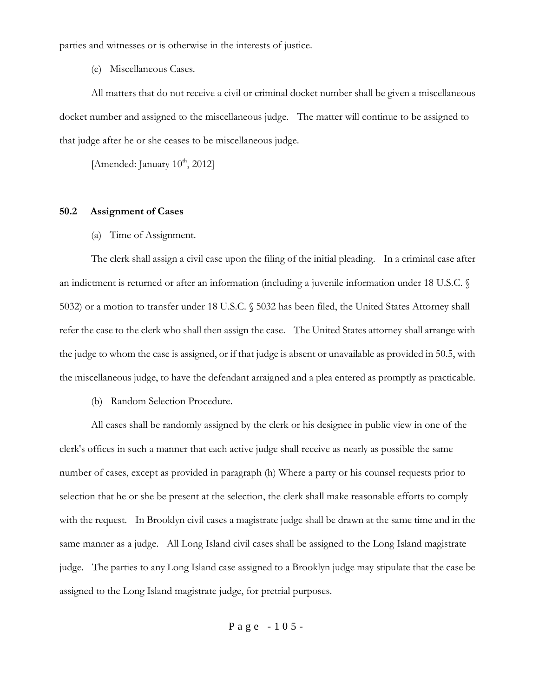parties and witnesses or is otherwise in the interests of justice.

(e) Miscellaneous Cases.

All matters that do not receive a civil or criminal docket number shall be given a miscellaneous docket number and assigned to the miscellaneous judge. The matter will continue to be assigned to that judge after he or she ceases to be miscellaneous judge.

[Amended: January  $10^{th}$ , 2012]

#### **50.2 Assignment of Cases**

(a) Time of Assignment.

The clerk shall assign a civil case upon the filing of the initial pleading. In a criminal case after an indictment is returned or after an information (including a juvenile information under 18 U.S.C. § 5032) or a motion to transfer under 18 U.S.C. § 5032 has been filed, the United States Attorney shall refer the case to the clerk who shall then assign the case. The United States attorney shall arrange with the judge to whom the case is assigned, or if that judge is absent or unavailable as provided in 50.5, with the miscellaneous judge, to have the defendant arraigned and a plea entered as promptly as practicable.

(b) Random Selection Procedure.

All cases shall be randomly assigned by the clerk or his designee in public view in one of the clerk's offices in such a manner that each active judge shall receive as nearly as possible the same number of cases, except as provided in paragraph (h) Where a party or his counsel requests prior to selection that he or she be present at the selection, the clerk shall make reasonable efforts to comply with the request. In Brooklyn civil cases a magistrate judge shall be drawn at the same time and in the same manner as a judge. All Long Island civil cases shall be assigned to the Long Island magistrate judge. The parties to any Long Island case assigned to a Brooklyn judge may stipulate that the case be assigned to the Long Island magistrate judge, for pretrial purposes.

Page - 105 -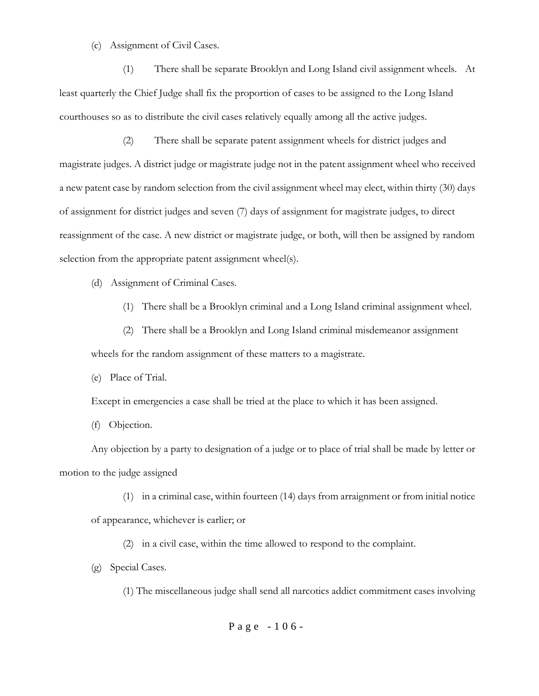## (c) Assignment of Civil Cases.

(1) There shall be separate Brooklyn and Long Island civil assignment wheels. At least quarterly the Chief Judge shall fix the proportion of cases to be assigned to the Long Island courthouses so as to distribute the civil cases relatively equally among all the active judges.

(2) There shall be separate patent assignment wheels for district judges and magistrate judges. A district judge or magistrate judge not in the patent assignment wheel who received a new patent case by random selection from the civil assignment wheel may elect, within thirty (30) days of assignment for district judges and seven (7) days of assignment for magistrate judges, to direct reassignment of the case. A new district or magistrate judge, or both, will then be assigned by random selection from the appropriate patent assignment wheel(s).

(d) Assignment of Criminal Cases.

(1) There shall be a Brooklyn criminal and a Long Island criminal assignment wheel.

(2) There shall be a Brooklyn and Long Island criminal misdemeanor assignment wheels for the random assignment of these matters to a magistrate.

(e) Place of Trial.

Except in emergencies a case shall be tried at the place to which it has been assigned.

(f) Objection.

Any objection by a party to designation of a judge or to place of trial shall be made by letter or motion to the judge assigned

(1) in a criminal case, within fourteen (14) days from arraignment or from initial notice of appearance, whichever is earlier; or

(2) in a civil case, within the time allowed to respond to the complaint.

(g) Special Cases.

(1) The miscellaneous judge shall send all narcotics addict commitment cases involving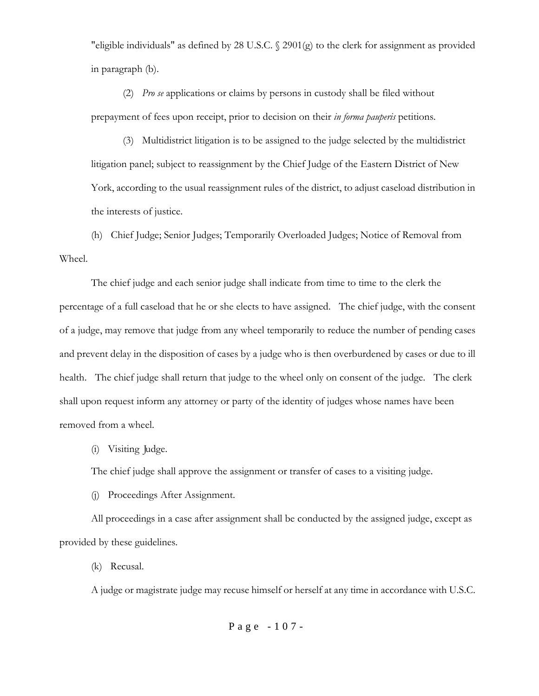"eligible individuals" as defined by 28 U.S.C. § 2901(g) to the clerk for assignment as provided in paragraph (b).

(2) *Pro se* applications or claims by persons in custody shall be filed without prepayment of fees upon receipt, prior to decision on their *in forma pauperis* petitions.

(3) Multidistrict litigation is to be assigned to the judge selected by the multidistrict litigation panel; subject to reassignment by the Chief Judge of the Eastern District of New York, according to the usual reassignment rules of the district, to adjust caseload distribution in the interests of justice.

(h) Chief Judge; Senior Judges; Temporarily Overloaded Judges; Notice of Removal from Wheel.

The chief judge and each senior judge shall indicate from time to time to the clerk the percentage of a full caseload that he or she elects to have assigned. The chief judge, with the consent of a judge, may remove that judge from any wheel temporarily to reduce the number of pending cases and prevent delay in the disposition of cases by a judge who is then overburdened by cases or due to ill health. The chief judge shall return that judge to the wheel only on consent of the judge. The clerk shall upon request inform any attorney or party of the identity of judges whose names have been removed from a wheel.

(i) Visiting Judge.

The chief judge shall approve the assignment or transfer of cases to a visiting judge.

(j) Proceedings After Assignment.

All proceedings in a case after assignment shall be conducted by the assigned judge, except as provided by these guidelines.

(k) Recusal.

A judge or magistrate judge may recuse himself or herself at any time in accordance with U.S.C.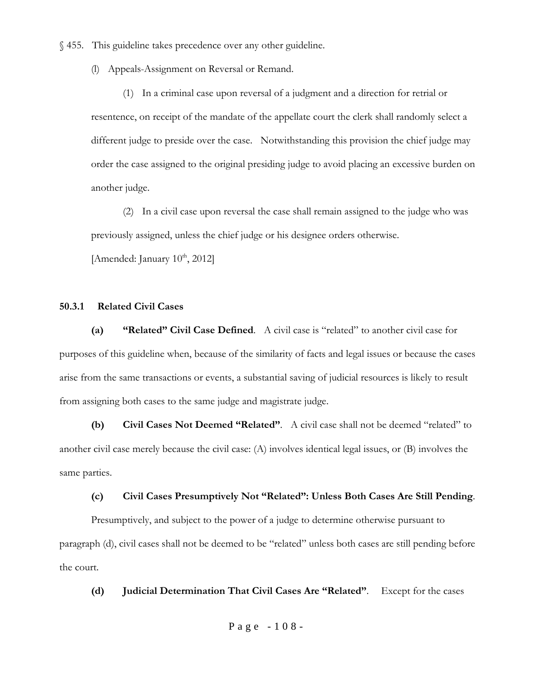§ 455. This guideline takes precedence over any other guideline.

(l) Appeals-Assignment on Reversal or Remand.

(1) In a criminal case upon reversal of a judgment and a direction for retrial or resentence, on receipt of the mandate of the appellate court the clerk shall randomly select a different judge to preside over the case. Notwithstanding this provision the chief judge may order the case assigned to the original presiding judge to avoid placing an excessive burden on another judge.

(2) In a civil case upon reversal the case shall remain assigned to the judge who was previously assigned, unless the chief judge or his designee orders otherwise.

[Amended: January  $10^{th}$ , 2012]

#### **50.3.1 Related Civil Cases**

**(a) "Related" Civil Case Defined**. A civil case is "related" to another civil case for purposes of this guideline when, because of the similarity of facts and legal issues or because the cases arise from the same transactions or events, a substantial saving of judicial resources is likely to result from assigning both cases to the same judge and magistrate judge.

**(b) Civil Cases Not Deemed "Related"**. A civil case shall not be deemed "related" to another civil case merely because the civil case: (A) involves identical legal issues, or (B) involves the same parties.

#### **(c) Civil Cases Presumptively Not "Related": Unless Both Cases Are Still Pending**.

Presumptively, and subject to the power of a judge to determine otherwise pursuant to paragraph (d), civil cases shall not be deemed to be "related" unless both cases are still pending before the court.

**(d) Judicial Determination That Civil Cases Are "Related"**. Except for the cases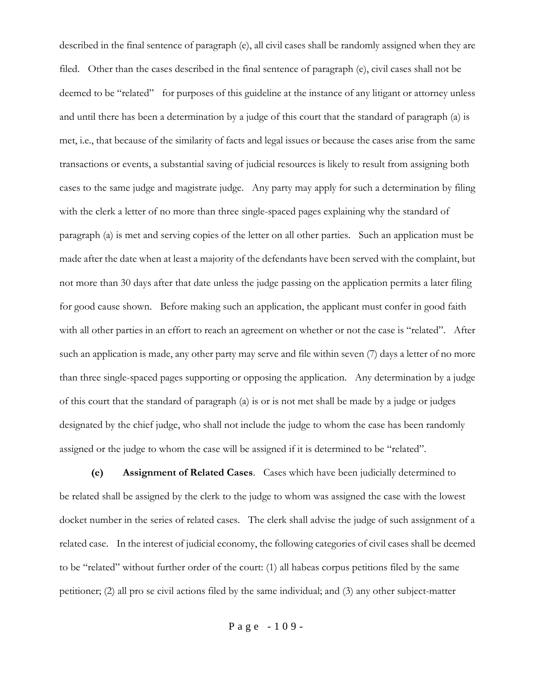described in the final sentence of paragraph (e), all civil cases shall be randomly assigned when they are filed. Other than the cases described in the final sentence of paragraph (e), civil cases shall not be deemed to be "related" for purposes of this guideline at the instance of any litigant or attorney unless and until there has been a determination by a judge of this court that the standard of paragraph (a) is met, i.e., that because of the similarity of facts and legal issues or because the cases arise from the same transactions or events, a substantial saving of judicial resources is likely to result from assigning both cases to the same judge and magistrate judge. Any party may apply for such a determination by filing with the clerk a letter of no more than three single-spaced pages explaining why the standard of paragraph (a) is met and serving copies of the letter on all other parties. Such an application must be made after the date when at least a majority of the defendants have been served with the complaint, but not more than 30 days after that date unless the judge passing on the application permits a later filing for good cause shown. Before making such an application, the applicant must confer in good faith with all other parties in an effort to reach an agreement on whether or not the case is "related". After such an application is made, any other party may serve and file within seven (7) days a letter of no more than three single-spaced pages supporting or opposing the application. Any determination by a judge of this court that the standard of paragraph (a) is or is not met shall be made by a judge or judges designated by the chief judge, who shall not include the judge to whom the case has been randomly assigned or the judge to whom the case will be assigned if it is determined to be "related".

**(e) Assignment of Related Cases**. Cases which have been judicially determined to be related shall be assigned by the clerk to the judge to whom was assigned the case with the lowest docket number in the series of related cases. The clerk shall advise the judge of such assignment of a related case. In the interest of judicial economy, the following categories of civil cases shall be deemed to be "related" without further order of the court: (1) all habeas corpus petitions filed by the same petitioner; (2) all pro se civil actions filed by the same individual; and (3) any other subject-matter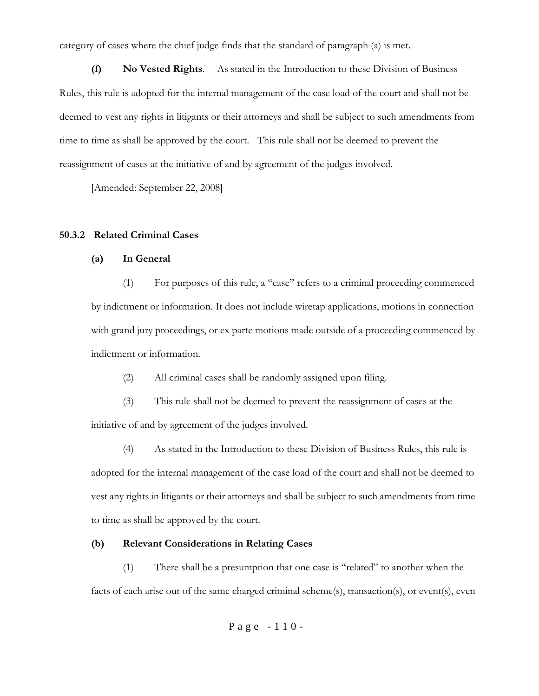category of cases where the chief judge finds that the standard of paragraph (a) is met.

**(f) No Vested Rights**. As stated in the Introduction to these Division of Business Rules, this rule is adopted for the internal management of the case load of the court and shall not be deemed to vest any rights in litigants or their attorneys and shall be subject to such amendments from time to time as shall be approved by the court. This rule shall not be deemed to prevent the reassignment of cases at the initiative of and by agreement of the judges involved.

[Amended: September 22, 2008]

#### **50.3.2 Related Criminal Cases**

## **(a) In General**

(1) For purposes of this rule, a "case" refers to a criminal proceeding commenced by indictment or information. It does not include wiretap applications, motions in connection with grand jury proceedings, or ex parte motions made outside of a proceeding commenced by indictment or information.

(2) All criminal cases shall be randomly assigned upon filing.

(3) This rule shall not be deemed to prevent the reassignment of cases at the initiative of and by agreement of the judges involved.

(4) As stated in the Introduction to these Division of Business Rules, this rule is adopted for the internal management of the case load of the court and shall not be deemed to vest any rights in litigants or their attorneys and shall be subject to such amendments from time to time as shall be approved by the court.

### **(b) Relevant Considerations in Relating Cases**

(1) There shall be a presumption that one case is "related" to another when the facts of each arise out of the same charged criminal scheme(s), transaction(s), or event(s), even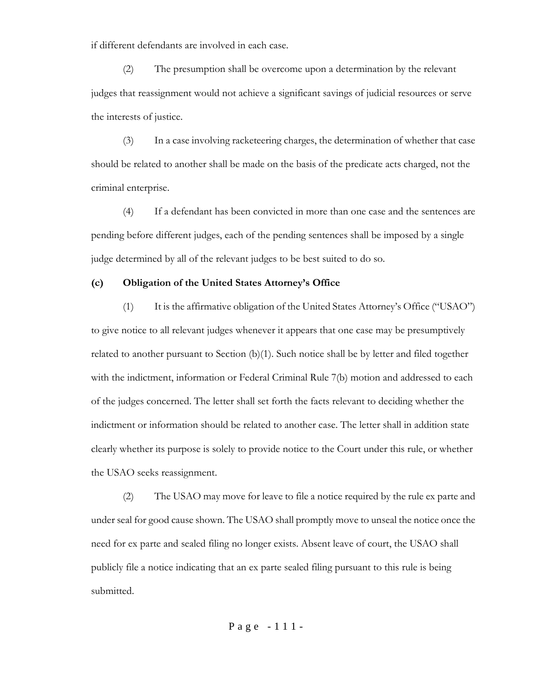if different defendants are involved in each case.

(2) The presumption shall be overcome upon a determination by the relevant judges that reassignment would not achieve a significant savings of judicial resources or serve the interests of justice.

(3) In a case involving racketeering charges, the determination of whether that case should be related to another shall be made on the basis of the predicate acts charged, not the criminal enterprise.

(4) If a defendant has been convicted in more than one case and the sentences are pending before different judges, each of the pending sentences shall be imposed by a single judge determined by all of the relevant judges to be best suited to do so.

#### **(c) Obligation of the United States Attorney's Office**

(1) It is the affirmative obligation of the United States Attorney's Office ("USAO") to give notice to all relevant judges whenever it appears that one case may be presumptively related to another pursuant to Section (b)(1). Such notice shall be by letter and filed together with the indictment, information or Federal Criminal Rule 7(b) motion and addressed to each of the judges concerned. The letter shall set forth the facts relevant to deciding whether the indictment or information should be related to another case. The letter shall in addition state clearly whether its purpose is solely to provide notice to the Court under this rule, or whether the USAO seeks reassignment.

(2) The USAO may move for leave to file a notice required by the rule ex parte and under seal for good cause shown. The USAO shall promptly move to unseal the notice once the need for ex parte and sealed filing no longer exists. Absent leave of court, the USAO shall publicly file a notice indicating that an ex parte sealed filing pursuant to this rule is being submitted.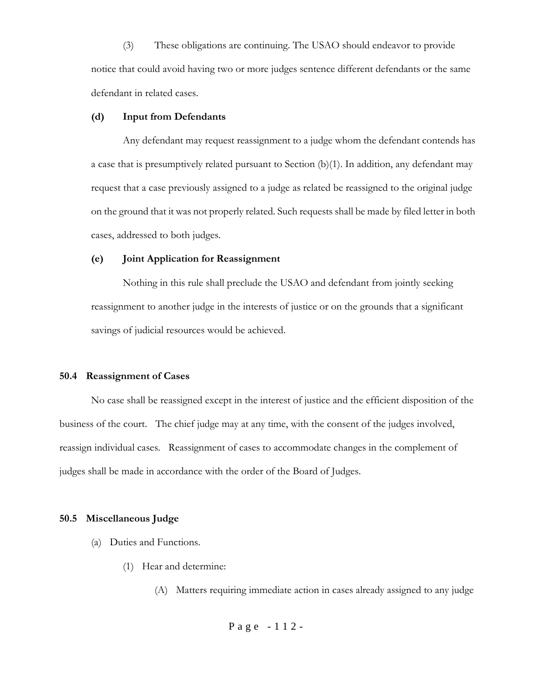(3) These obligations are continuing. The USAO should endeavor to provide notice that could avoid having two or more judges sentence different defendants or the same defendant in related cases.

### **(d) Input from Defendants**

Any defendant may request reassignment to a judge whom the defendant contends has a case that is presumptively related pursuant to Section  $(b)(1)$ . In addition, any defendant may request that a case previously assigned to a judge as related be reassigned to the original judge on the ground that it was not properly related. Such requests shall be made by filed letter in both cases, addressed to both judges.

## **(e) Joint Application for Reassignment**

Nothing in this rule shall preclude the USAO and defendant from jointly seeking reassignment to another judge in the interests of justice or on the grounds that a significant savings of judicial resources would be achieved.

## **50.4 Reassignment of Cases**

No case shall be reassigned except in the interest of justice and the efficient disposition of the business of the court. The chief judge may at any time, with the consent of the judges involved, reassign individual cases. Reassignment of cases to accommodate changes in the complement of judges shall be made in accordance with the order of the Board of Judges.

#### **50.5 Miscellaneous Judge**

- (a) Duties and Functions.
	- (1) Hear and determine:
		- (A) Matters requiring immediate action in cases already assigned to any judge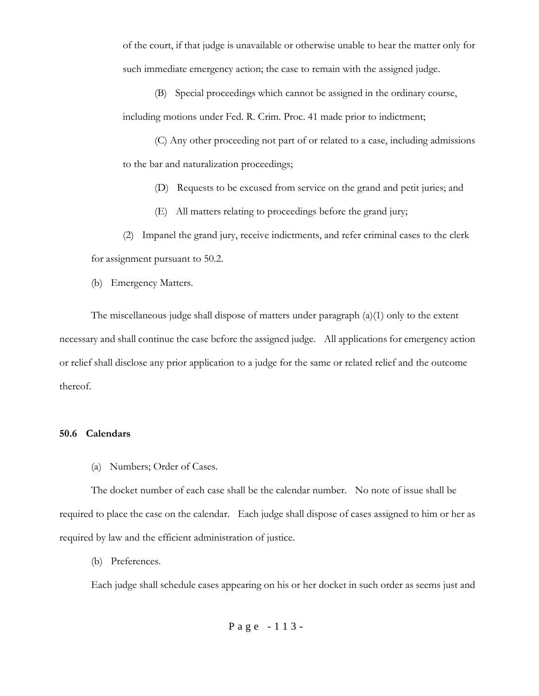of the court, if that judge is unavailable or otherwise unable to hear the matter only for such immediate emergency action; the case to remain with the assigned judge.

(B) Special proceedings which cannot be assigned in the ordinary course, including motions under Fed. R. Crim. Proc. 41 made prior to indictment;

(C) Any other proceeding not part of or related to a case, including admissions to the bar and naturalization proceedings;

(D) Requests to be excused from service on the grand and petit juries; and

(E) All matters relating to proceedings before the grand jury;

(2) Impanel the grand jury, receive indictments, and refer criminal cases to the clerk for assignment pursuant to 50.2.

(b) Emergency Matters.

The miscellaneous judge shall dispose of matters under paragraph (a)(1) only to the extent necessary and shall continue the case before the assigned judge. All applications for emergency action or relief shall disclose any prior application to a judge for the same or related relief and the outcome thereof.

## **50.6 Calendars**

(a) Numbers; Order of Cases.

The docket number of each case shall be the calendar number. No note of issue shall be required to place the case on the calendar. Each judge shall dispose of cases assigned to him or her as required by law and the efficient administration of justice.

(b) Preferences.

Each judge shall schedule cases appearing on his or her docket in such order as seems just and